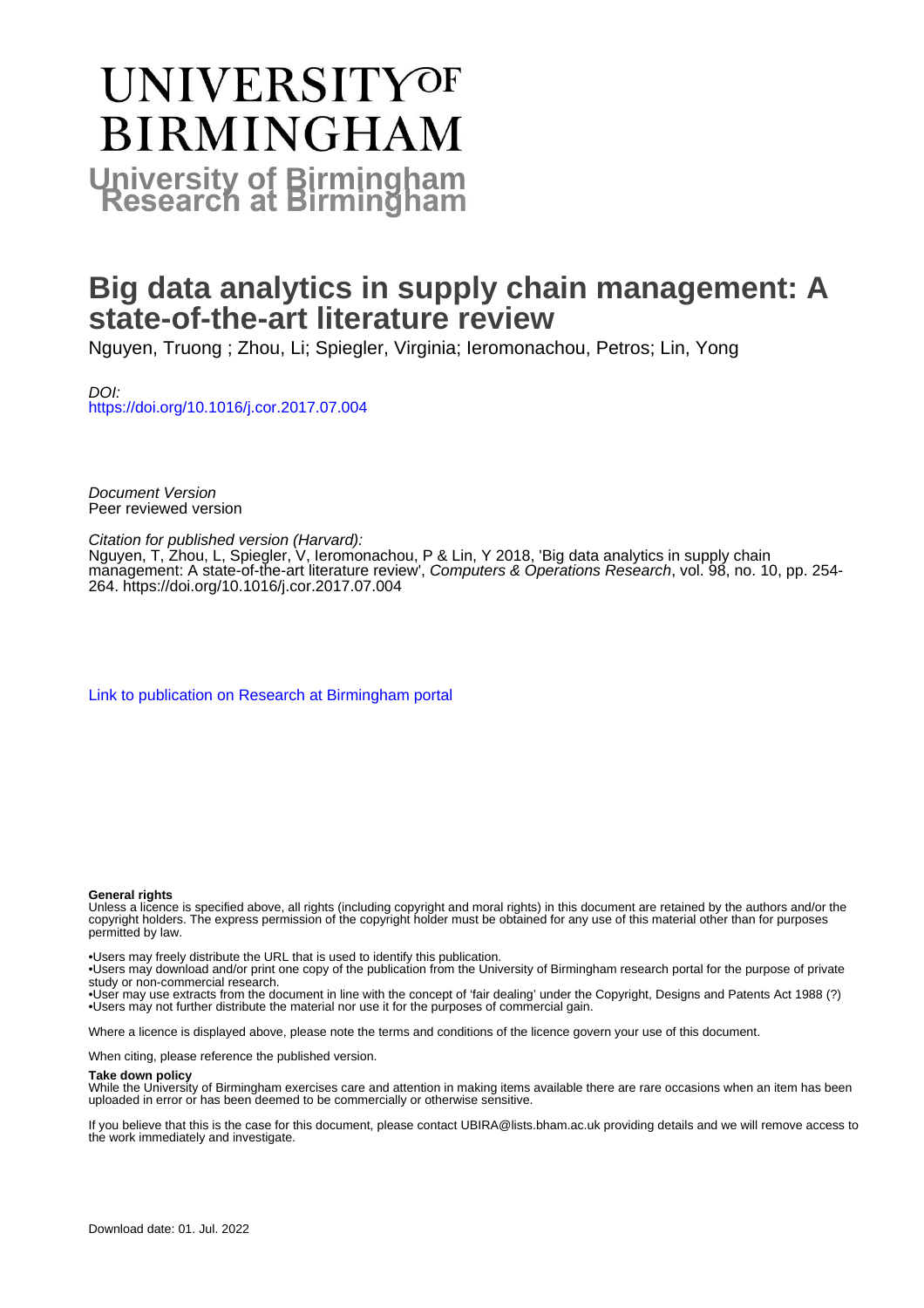# **UNIVERSITYOF BIRMINGHAM University of Birmingham**

# **Big data analytics in supply chain management: A state-of-the-art literature review**

Nguyen, Truong ; Zhou, Li; Spiegler, Virginia; Ieromonachou, Petros; Lin, Yong

DOI: <https://doi.org/10.1016/j.cor.2017.07.004>

Document Version Peer reviewed version

Citation for published version (Harvard):

Nguyen, T, Zhou, L, Spiegler, V, Ieromonachou, P & Lin, Y 2018, 'Big data analytics in supply chain management: A state-of-the-art literature review', Computers & Operations Research, vol. 98, no. 10, pp. 254- 264.<https://doi.org/10.1016/j.cor.2017.07.004>

[Link to publication on Research at Birmingham portal](https://birmingham.elsevierpure.com/en/publications/e8c09223-a98d-4512-8d54-fc3aa564ed30)

#### **General rights**

Unless a licence is specified above, all rights (including copyright and moral rights) in this document are retained by the authors and/or the copyright holders. The express permission of the copyright holder must be obtained for any use of this material other than for purposes permitted by law.

• Users may freely distribute the URL that is used to identify this publication.

• Users may download and/or print one copy of the publication from the University of Birmingham research portal for the purpose of private study or non-commercial research.

• User may use extracts from the document in line with the concept of 'fair dealing' under the Copyright, Designs and Patents Act 1988 (?) • Users may not further distribute the material nor use it for the purposes of commercial gain.

Where a licence is displayed above, please note the terms and conditions of the licence govern your use of this document.

When citing, please reference the published version.

#### **Take down policy**

While the University of Birmingham exercises care and attention in making items available there are rare occasions when an item has been uploaded in error or has been deemed to be commercially or otherwise sensitive.

If you believe that this is the case for this document, please contact UBIRA@lists.bham.ac.uk providing details and we will remove access to the work immediately and investigate.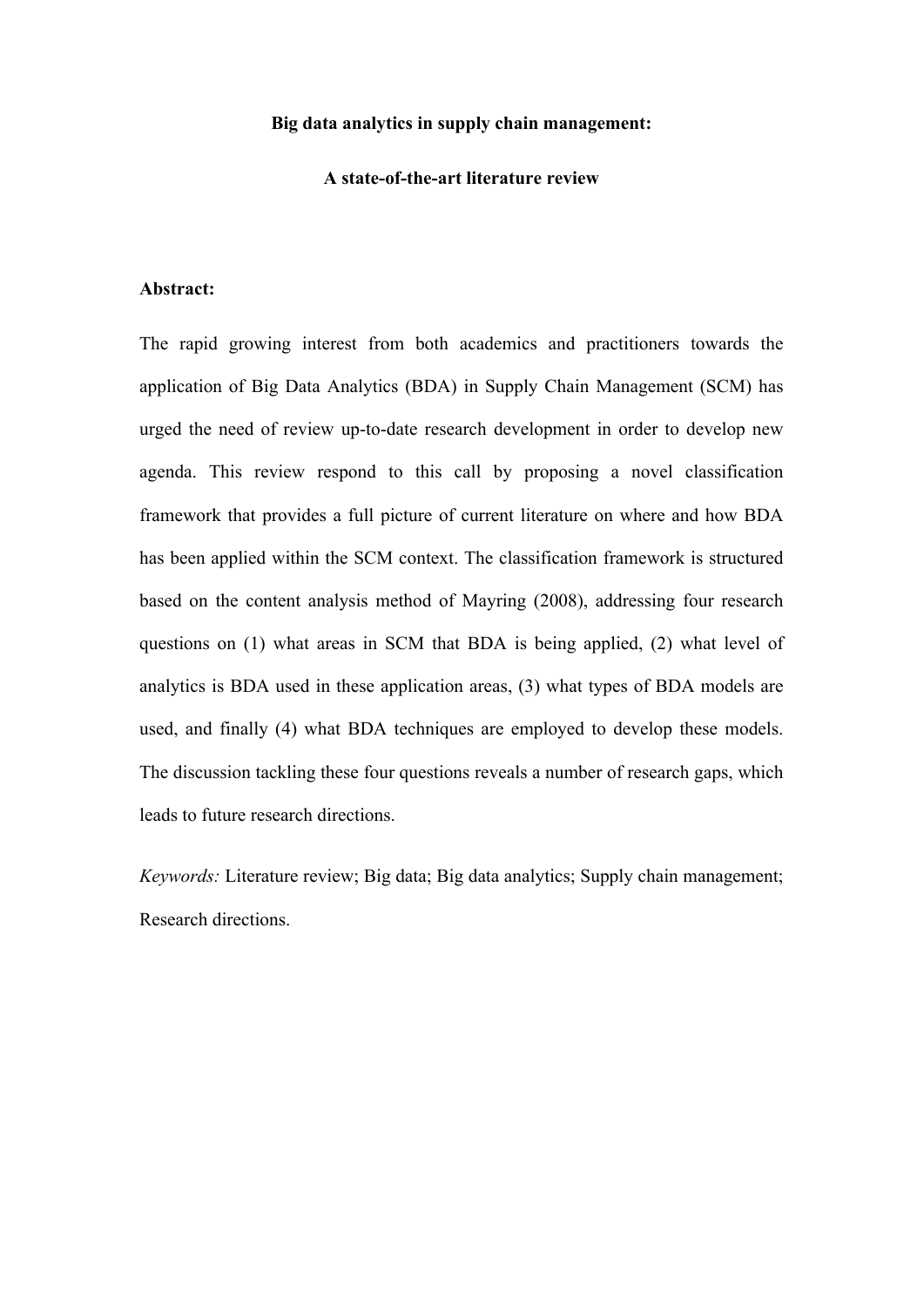#### **Big data analytics in supply chain management:**

#### **A state-of-the-art literature review**

#### **Abstract:**

The rapid growing interest from both academics and practitioners towards the application of Big Data Analytics (BDA) in Supply Chain Management (SCM) has urged the need of review up-to-date research development in order to develop new agenda. This review respond to this call by proposing a novel classification framework that provides a full picture of current literature on where and how BDA has been applied within the SCM context. The classification framework is structured based on the content analysis method of Mayring (2008), addressing four research questions on (1) what areas in SCM that BDA is being applied, (2) what level of analytics is BDA used in these application areas, (3) what types of BDA models are used, and finally (4) what BDA techniques are employed to develop these models. The discussion tackling these four questions reveals a number of research gaps, which leads to future research directions.

*Keywords:* Literature review; Big data; Big data analytics; Supply chain management; Research directions.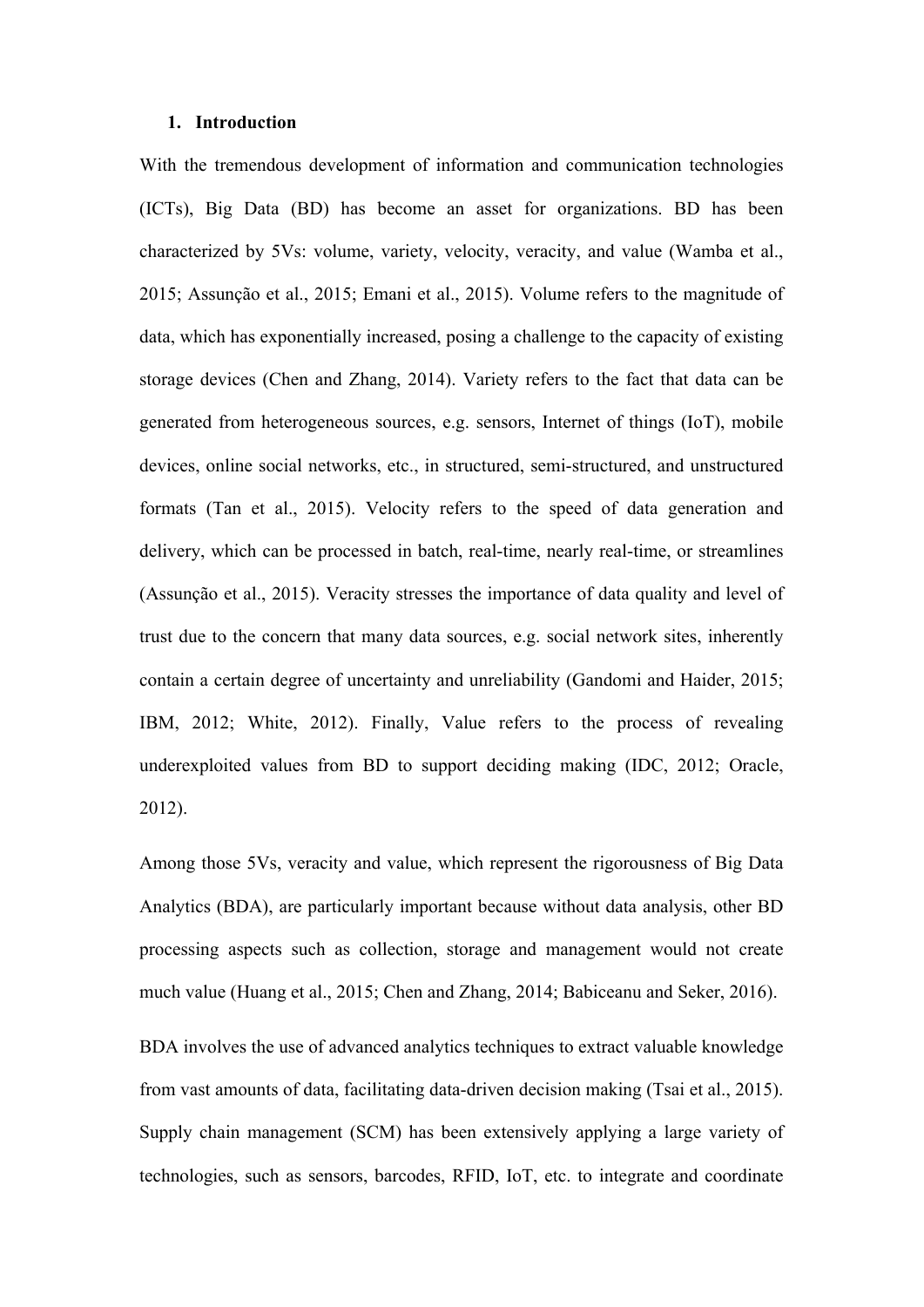#### **1. Introduction**

With the tremendous development of information and communication technologies (ICTs), Big Data (BD) has become an asset for organizations. BD has been characterized by 5Vs: volume, variety, velocity, veracity, and value (Wamba et al., 2015; Assunção et al., 2015; Emani et al., 2015). Volume refers to the magnitude of data, which has exponentially increased, posing a challenge to the capacity of existing storage devices (Chen and Zhang, 2014). Variety refers to the fact that data can be generated from heterogeneous sources, e.g. sensors, Internet of things (IoT), mobile devices, online social networks, etc., in structured, semi-structured, and unstructured formats (Tan et al., 2015). Velocity refers to the speed of data generation and delivery, which can be processed in batch, real-time, nearly real-time, or streamlines (Assunção et al., 2015). Veracity stresses the importance of data quality and level of trust due to the concern that many data sources, e.g. social network sites, inherently contain a certain degree of uncertainty and unreliability (Gandomi and Haider, 2015; IBM, 2012; White, 2012). Finally, Value refers to the process of revealing underexploited values from BD to support deciding making (IDC, 2012; Oracle, 2012).

Among those 5Vs, veracity and value, which represent the rigorousness of Big Data Analytics (BDA), are particularly important because without data analysis, other BD processing aspects such as collection, storage and management would not create much value (Huang et al., 2015; Chen and Zhang, 2014; Babiceanu and Seker, 2016).

BDA involves the use of advanced analytics techniques to extract valuable knowledge from vast amounts of data, facilitating data-driven decision making (Tsai et al., 2015). Supply chain management (SCM) has been extensively applying a large variety of technologies, such as sensors, barcodes, RFID, IoT, etc. to integrate and coordinate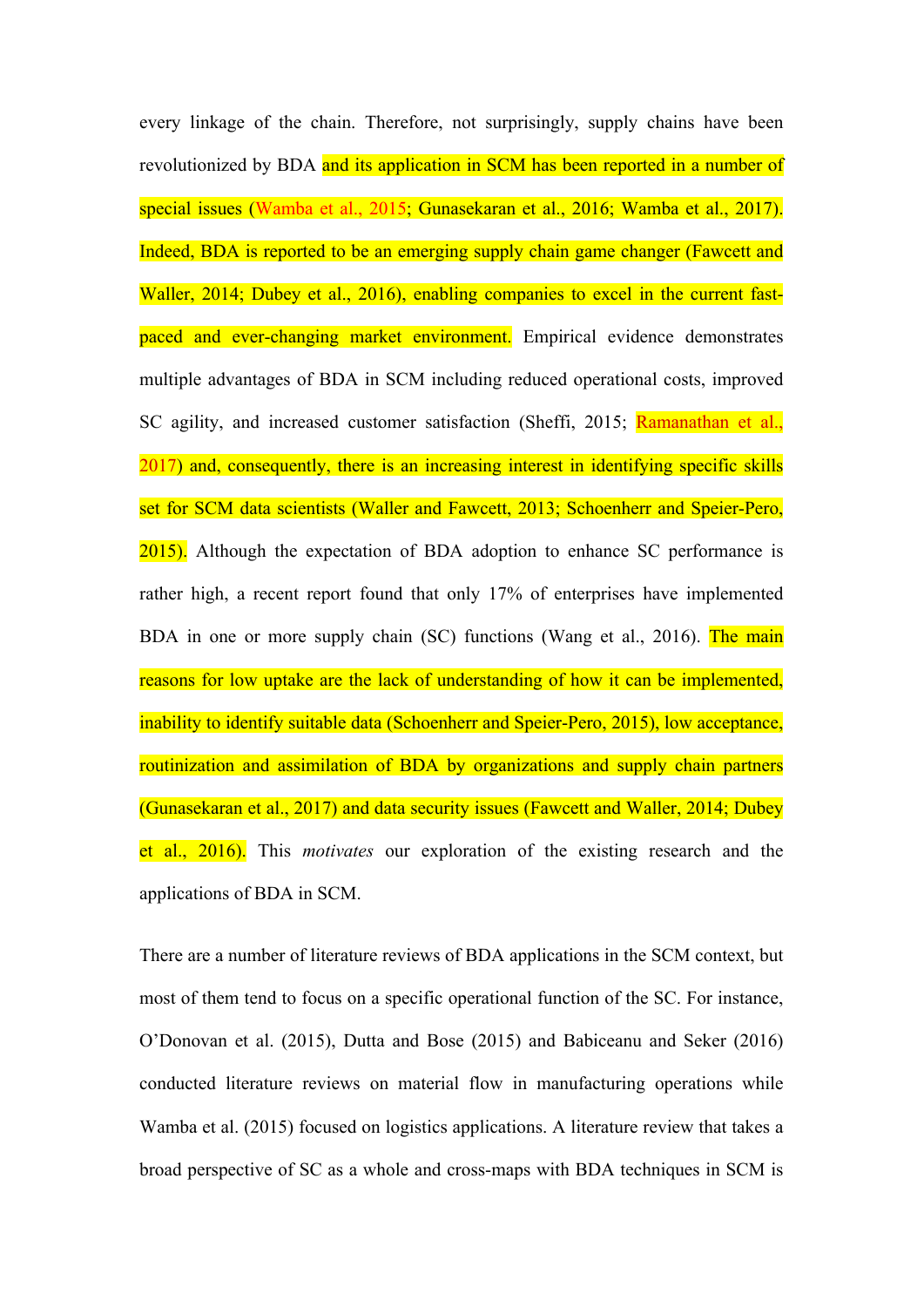every linkage of the chain. Therefore, not surprisingly, supply chains have been revolutionized by BDA and its application in SCM has been reported in a number of special issues (Wamba et al., 2015; Gunasekaran et al., 2016; Wamba et al., 2017). Indeed, BDA is reported to be an emerging supply chain game changer (Fawcett and Waller, 2014; Dubey et al., 2016), enabling companies to excel in the current fastpaced and ever-changing market environment. Empirical evidence demonstrates multiple advantages of BDA in SCM including reduced operational costs, improved SC agility, and increased customer satisfaction (Sheffi, 2015; Ramanathan et al., 2017) and, consequently, there is an increasing interest in identifying specific skills set for SCM data scientists (Waller and Fawcett, 2013; Schoenherr and Speier-Pero, 2015). Although the expectation of BDA adoption to enhance SC performance is rather high, a recent report found that only 17% of enterprises have implemented BDA in one or more supply chain (SC) functions (Wang et al., 2016). The main reasons for low uptake are the lack of understanding of how it can be implemented, inability to identify suitable data (Schoenherr and Speier-Pero, 2015), low acceptance, routinization and assimilation of BDA by organizations and supply chain partners (Gunasekaran et al., 2017) and data security issues (Fawcett and Waller, 2014; Dubey et al., 2016). This *motivates* our exploration of the existing research and the applications of BDA in SCM.

There are a number of literature reviews of BDA applications in the SCM context, but most of them tend to focus on a specific operational function of the SC. For instance, O'Donovan et al. (2015), Dutta and Bose (2015) and Babiceanu and Seker (2016) conducted literature reviews on material flow in manufacturing operations while Wamba et al. (2015) focused on logistics applications. A literature review that takes a broad perspective of SC as a whole and cross-maps with BDA techniques in SCM is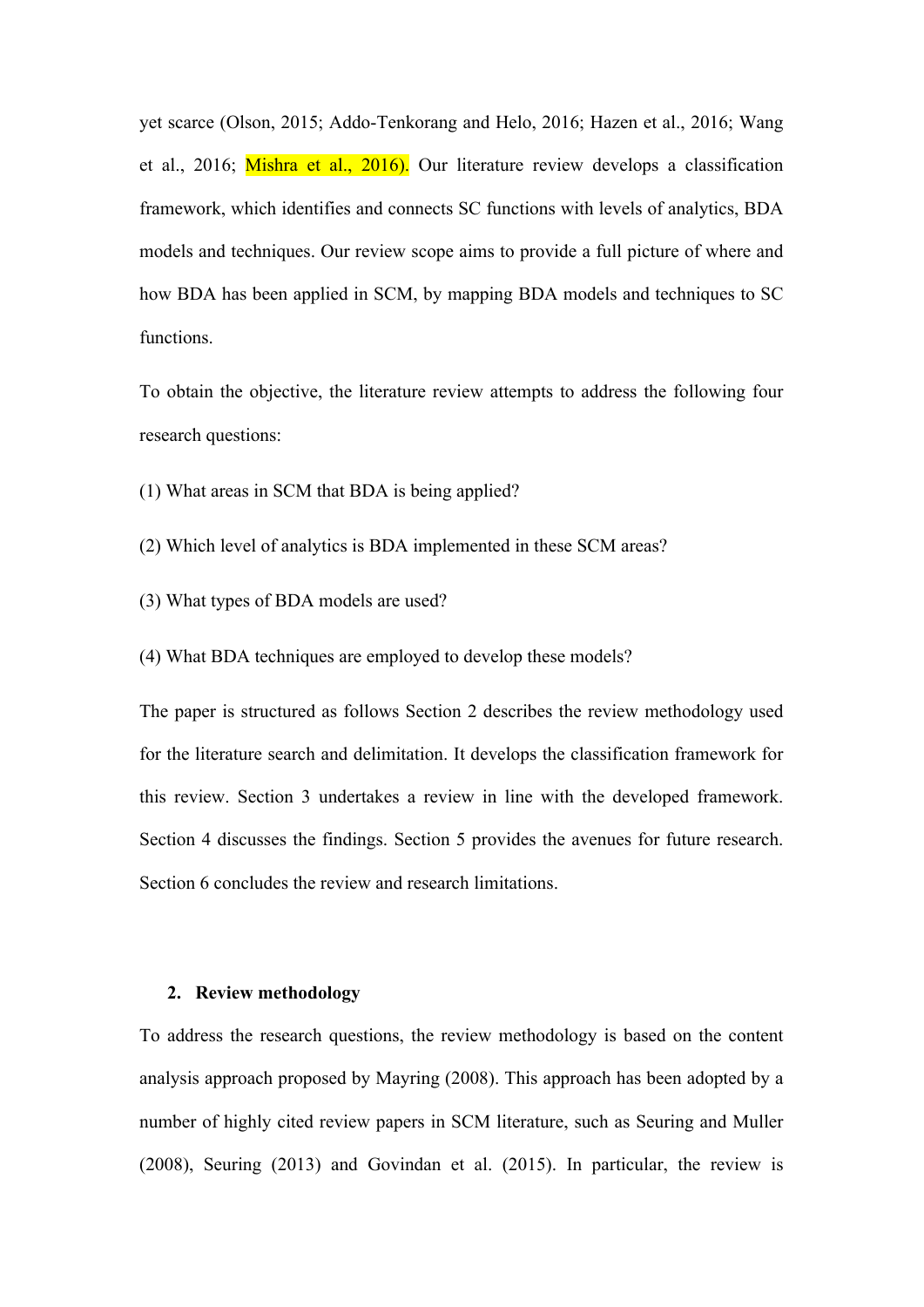yet scarce (Olson, 2015; Addo-Tenkorang and Helo, 2016; Hazen et al., 2016; Wang et al., 2016; Mishra et al., 2016). Our literature review develops a classification framework, which identifies and connects SC functions with levels of analytics, BDA models and techniques. Our review scope aims to provide a full picture of where and how BDA has been applied in SCM, by mapping BDA models and techniques to SC functions.

To obtain the objective, the literature review attempts to address the following four research questions:

(1) What areas in SCM that BDA is being applied?

- (2) Which level of analytics is BDA implemented in these SCM areas?
- (3) What types of BDA models are used?

(4) What BDA techniques are employed to develop these models?

The paper is structured as follows Section 2 describes the review methodology used for the literature search and delimitation. It develops the classification framework for this review. Section 3 undertakes a review in line with the developed framework. Section 4 discusses the findings. Section 5 provides the avenues for future research. Section 6 concludes the review and research limitations.

#### **2. Review methodology**

To address the research questions, the review methodology is based on the content analysis approach proposed by Mayring (2008). This approach has been adopted by a number of highly cited review papers in SCM literature, such as Seuring and Muller (2008), Seuring (2013) and Govindan et al. (2015). In particular, the review is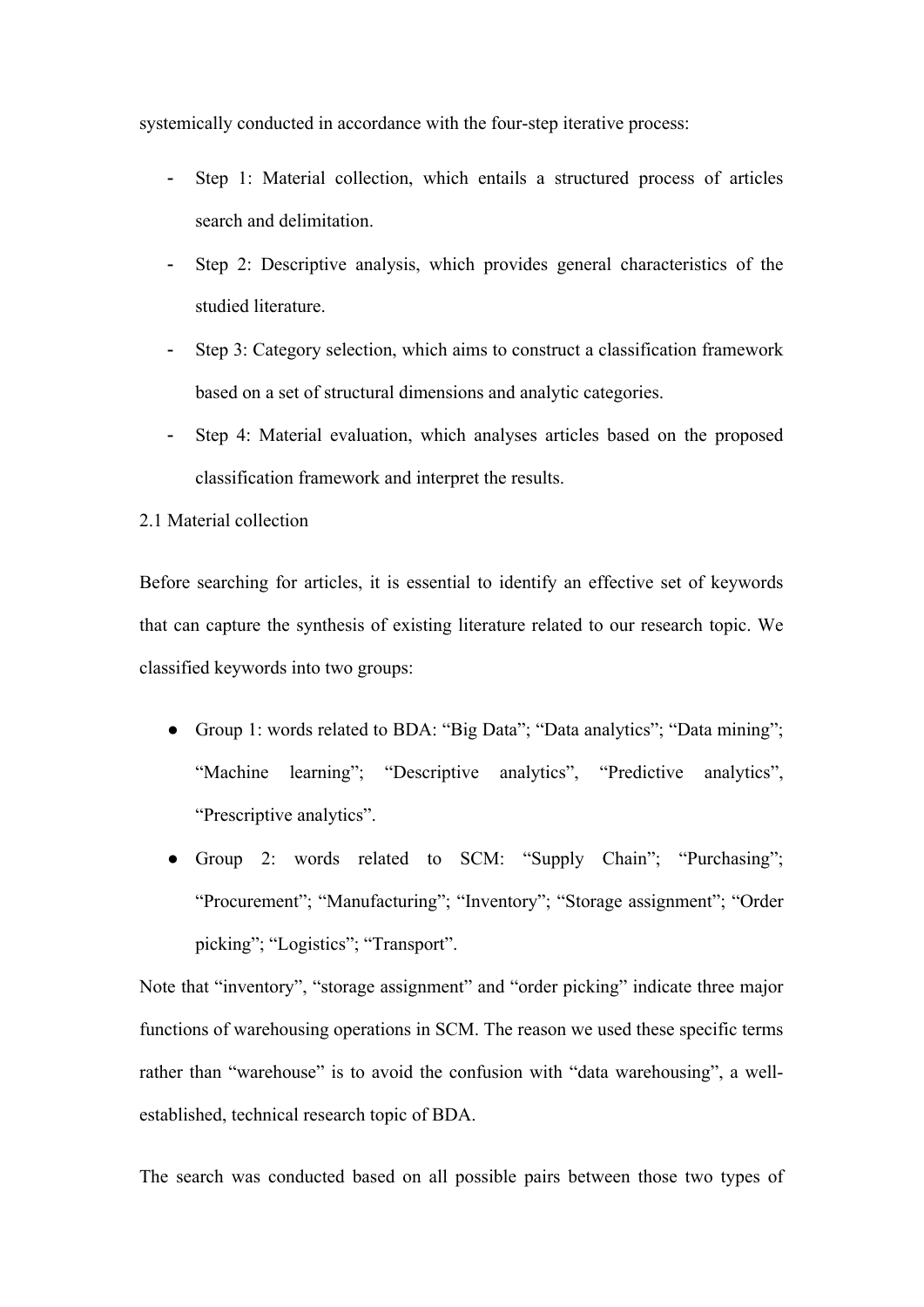systemically conducted in accordance with the four-step iterative process:

- Step 1: Material collection, which entails a structured process of articles search and delimitation.
- Step 2: Descriptive analysis, which provides general characteristics of the studied literature.
- Step 3: Category selection, which aims to construct a classification framework based on a set of structural dimensions and analytic categories.
- Step 4: Material evaluation, which analyses articles based on the proposed classification framework and interpret the results.

### 2.1 Material collection

Before searching for articles, it is essential to identify an effective set of keywords that can capture the synthesis of existing literature related to our research topic. We classified keywords into two groups:

- Group 1: words related to BDA: "Big Data"; "Data analytics"; "Data mining"; "Machine learning"; "Descriptive analytics", "Predictive analytics", "Prescriptive analytics".
- Group 2: words related to SCM: "Supply Chain"; "Purchasing"; "Procurement"; "Manufacturing"; "Inventory"; "Storage assignment"; "Order picking"; "Logistics"; "Transport".

Note that "inventory", "storage assignment" and "order picking" indicate three major functions of warehousing operations in SCM. The reason we used these specific terms rather than "warehouse" is to avoid the confusion with "data warehousing", a wellestablished, technical research topic of BDA.

The search was conducted based on all possible pairs between those two types of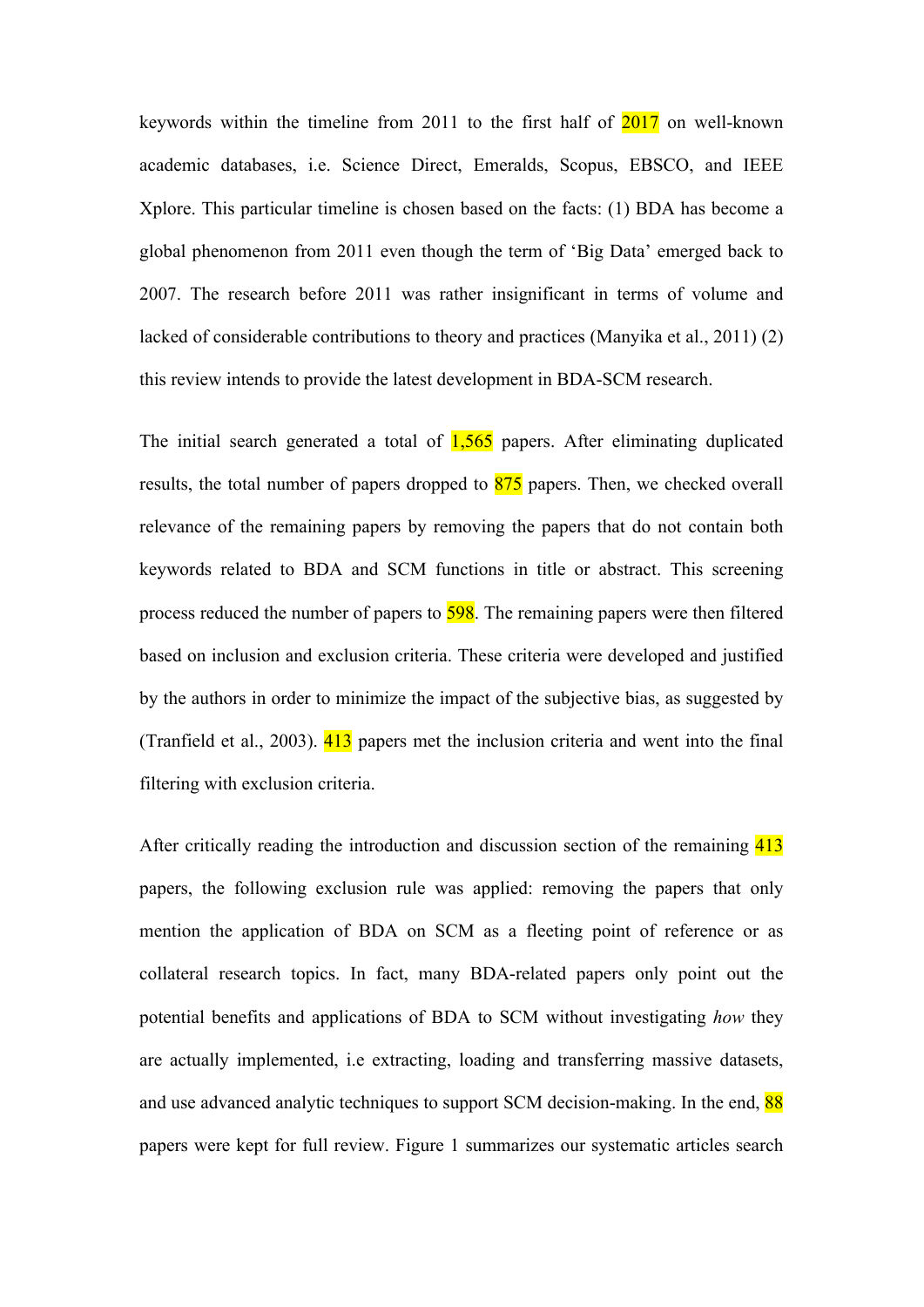keywords within the timeline from 2011 to the first half of 2017 on well-known academic databases, i.e. Science Direct, Emeralds, Scopus, EBSCO, and IEEE Xplore. This particular timeline is chosen based on the facts: (1) BDA has become a global phenomenon from 2011 even though the term of 'Big Data' emerged back to 2007. The research before 2011 was rather insignificant in terms of volume and lacked of considerable contributions to theory and practices (Manyika et al., 2011) (2) this review intends to provide the latest development in BDA-SCM research.

The initial search generated a total of  $1,565$  papers. After eliminating duplicated results, the total number of papers dropped to 875 papers. Then, we checked overall relevance of the remaining papers by removing the papers that do not contain both keywords related to BDA and SCM functions in title or abstract. This screening process reduced the number of papers to 598. The remaining papers were then filtered based on inclusion and exclusion criteria. These criteria were developed and justified by the authors in order to minimize the impact of the subjective bias, as suggested by (Tranfield et al., 2003). 413 papers met the inclusion criteria and went into the final filtering with exclusion criteria.

After critically reading the introduction and discussion section of the remaining 413 papers, the following exclusion rule was applied: removing the papers that only mention the application of BDA on SCM as a fleeting point of reference or as collateral research topics. In fact, many BDA-related papers only point out the potential benefits and applications of BDA to SCM without investigating *how* they are actually implemented, i.e extracting, loading and transferring massive datasets, and use advanced analytic techniques to support SCM decision-making. In the end, 88 papers were kept for full review. Figure 1 summarizes our systematic articles search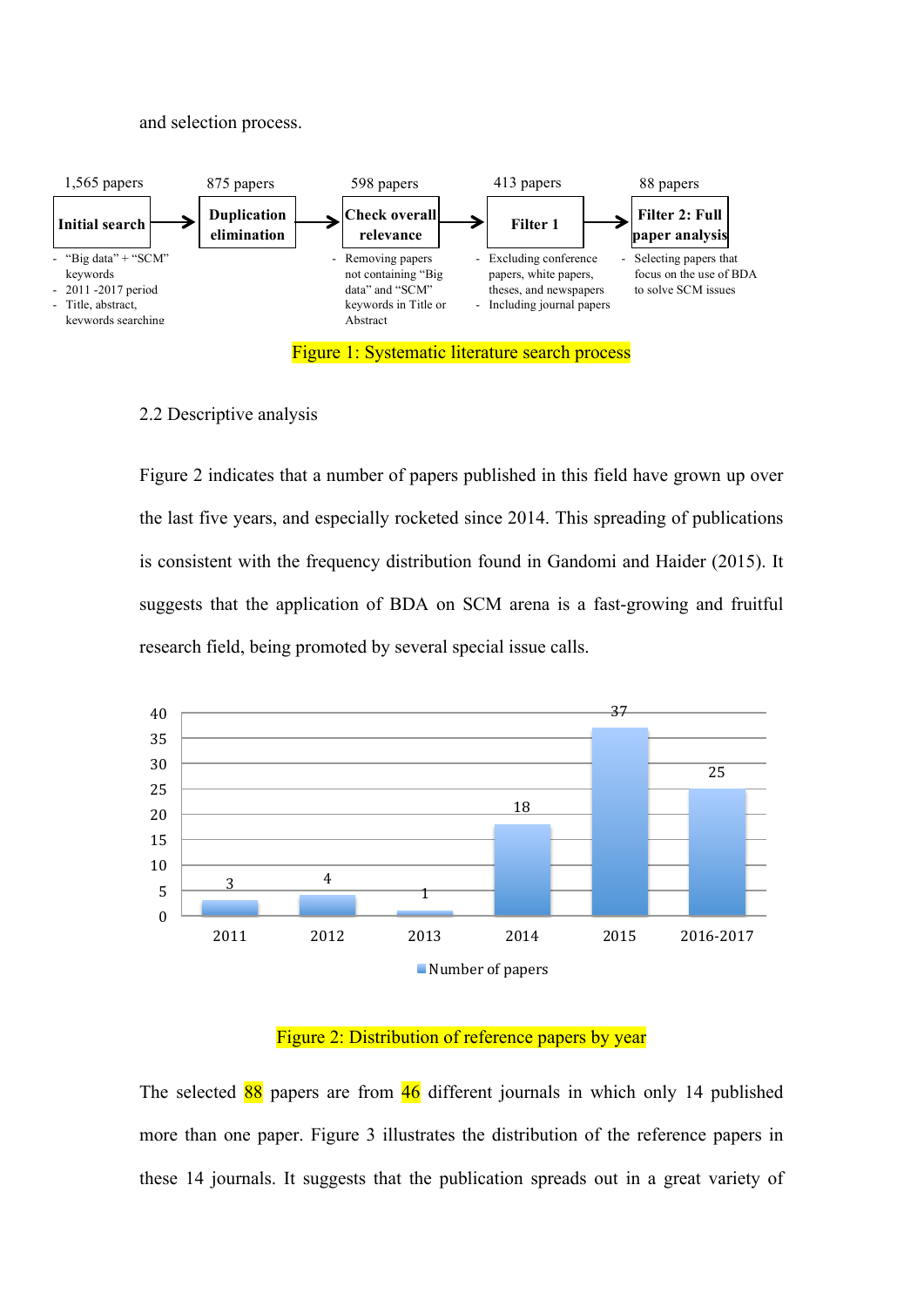#### and selection process.



#### 2.2 Descriptive analysis

Figure 2 indicates that a number of papers published in this field have grown up over the last five years, and especially rocketed since 2014. This spreading of publications is consistent with the frequency distribution found in Gandomi and Haider (2015). It suggests that the application of BDA on SCM arena is a fast-growing and fruitful research field, being promoted by several special issue calls.



#### Figure 2: Distribution of reference papers by year

The selected  $\frac{88}{9}$  papers are from  $\frac{46}{9}$  different journals in which only 14 published more than one paper. Figure 3 illustrates the distribution of the reference papers in these 14 journals. It suggests that the publication spreads out in a great variety of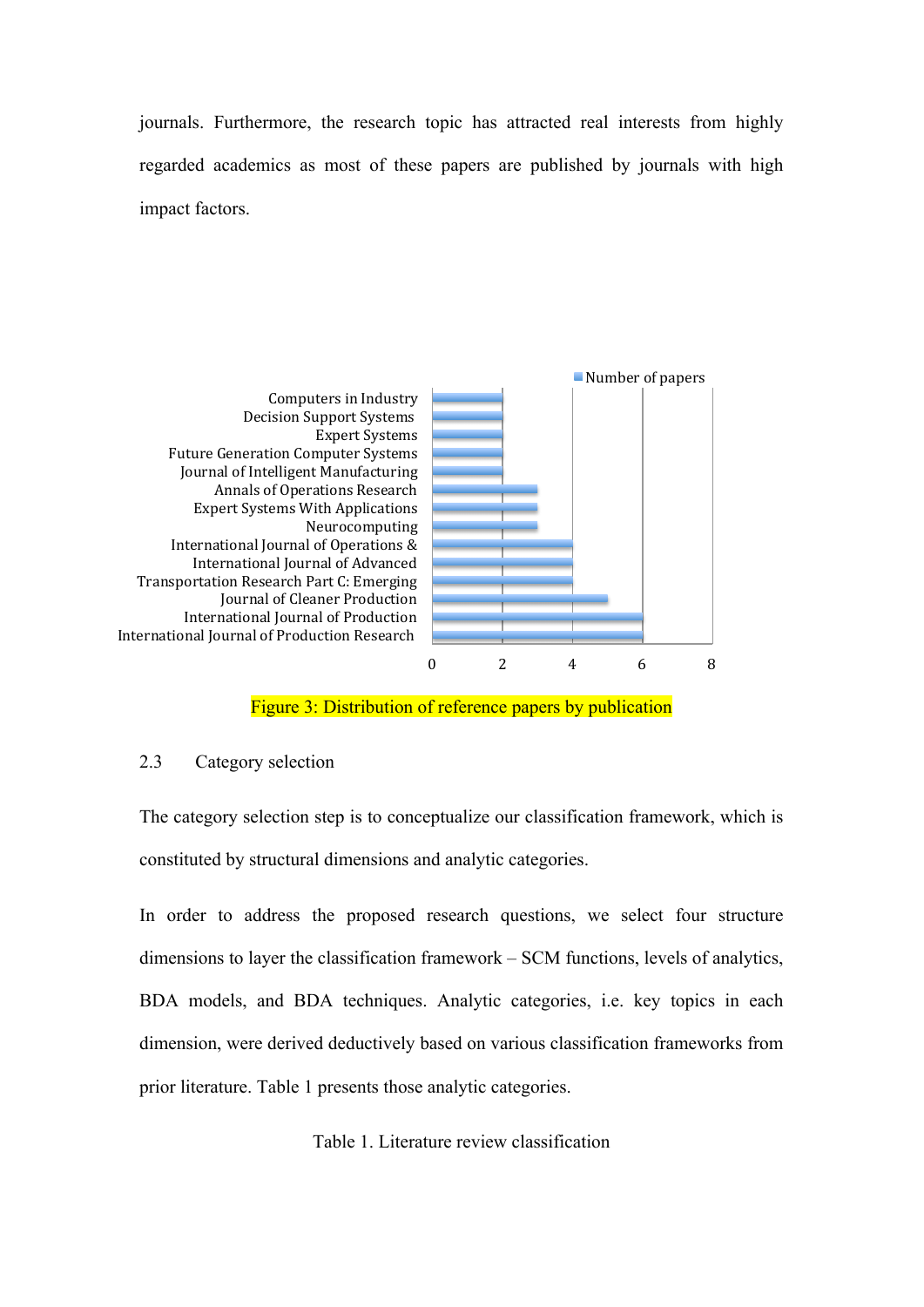journals. Furthermore, the research topic has attracted real interests from highly regarded academics as most of these papers are published by journals with high impact factors.



Figure 3: Distribution of reference papers by publication

#### 2.3 Category selection

The category selection step is to conceptualize our classification framework, which is constituted by structural dimensions and analytic categories.

In order to address the proposed research questions, we select four structure dimensions to layer the classification framework – SCM functions, levels of analytics, BDA models, and BDA techniques. Analytic categories, i.e. key topics in each dimension, were derived deductively based on various classification frameworks from prior literature. Table 1 presents those analytic categories.

Table 1. Literature review classification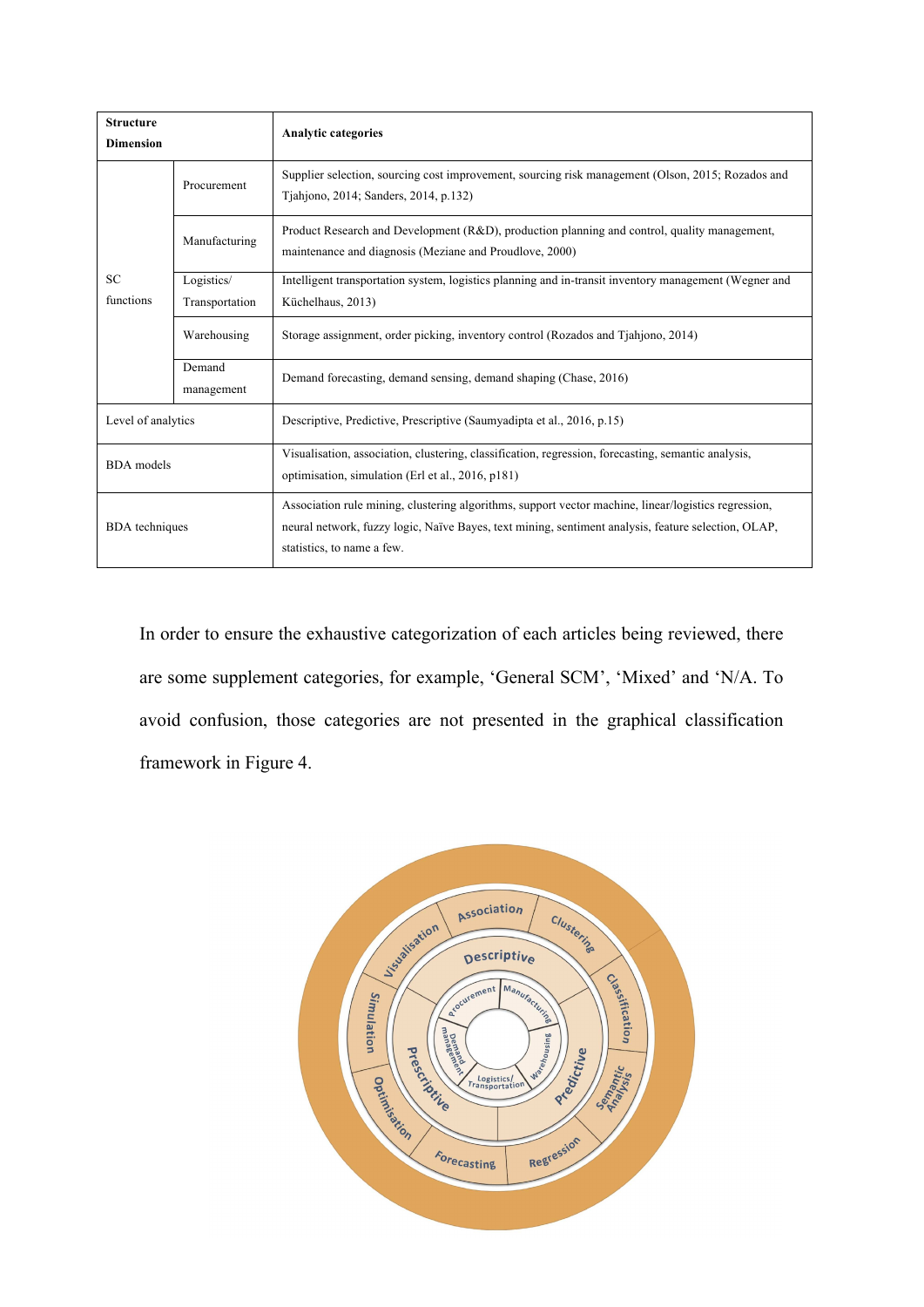| <b>Structure</b>       |                      | <b>Analytic categories</b>                                                                                                                                                                                                                |  |  |  |  |  |
|------------------------|----------------------|-------------------------------------------------------------------------------------------------------------------------------------------------------------------------------------------------------------------------------------------|--|--|--|--|--|
| <b>Dimension</b>       |                      |                                                                                                                                                                                                                                           |  |  |  |  |  |
|                        | Procurement          | Supplier selection, sourcing cost improvement, sourcing risk management (Olson, 2015; Rozados and<br>Tjahjono, 2014; Sanders, 2014, p.132)                                                                                                |  |  |  |  |  |
| <b>SC</b><br>functions | Manufacturing        | Product Research and Development (R&D), production planning and control, quality management,<br>maintenance and diagnosis (Meziane and Proudlove, 2000)                                                                                   |  |  |  |  |  |
|                        | Logistics/           | Intelligent transportation system, logistics planning and in-transit inventory management (Wegner and                                                                                                                                     |  |  |  |  |  |
|                        | Transportation       | Küchelhaus, 2013)                                                                                                                                                                                                                         |  |  |  |  |  |
|                        | Warehousing          | Storage assignment, order picking, inventory control (Rozados and Tjahjono, 2014)                                                                                                                                                         |  |  |  |  |  |
|                        | Demand<br>management | Demand forecasting, demand sensing, demand shaping (Chase, 2016)                                                                                                                                                                          |  |  |  |  |  |
| Level of analytics     |                      | Descriptive, Predictive, Prescriptive (Saumyadipta et al., 2016, p.15)                                                                                                                                                                    |  |  |  |  |  |
| <b>BDA</b> models      |                      | Visualisation, association, clustering, classification, regression, forecasting, semantic analysis,<br>optimisation, simulation (Erl et al., 2016, p181)                                                                                  |  |  |  |  |  |
| <b>BDA</b> techniques  |                      | Association rule mining, clustering algorithms, support vector machine, linear/logistics regression,<br>neural network, fuzzy logic, Naïve Bayes, text mining, sentiment analysis, feature selection, OLAP,<br>statistics, to name a few. |  |  |  |  |  |

In order to ensure the exhaustive categorization of each articles being reviewed, there are some supplement categories, for example, 'General SCM', 'Mixed' and 'N/A. To avoid confusion, those categories are not presented in the graphical classification framework in Figure 4.

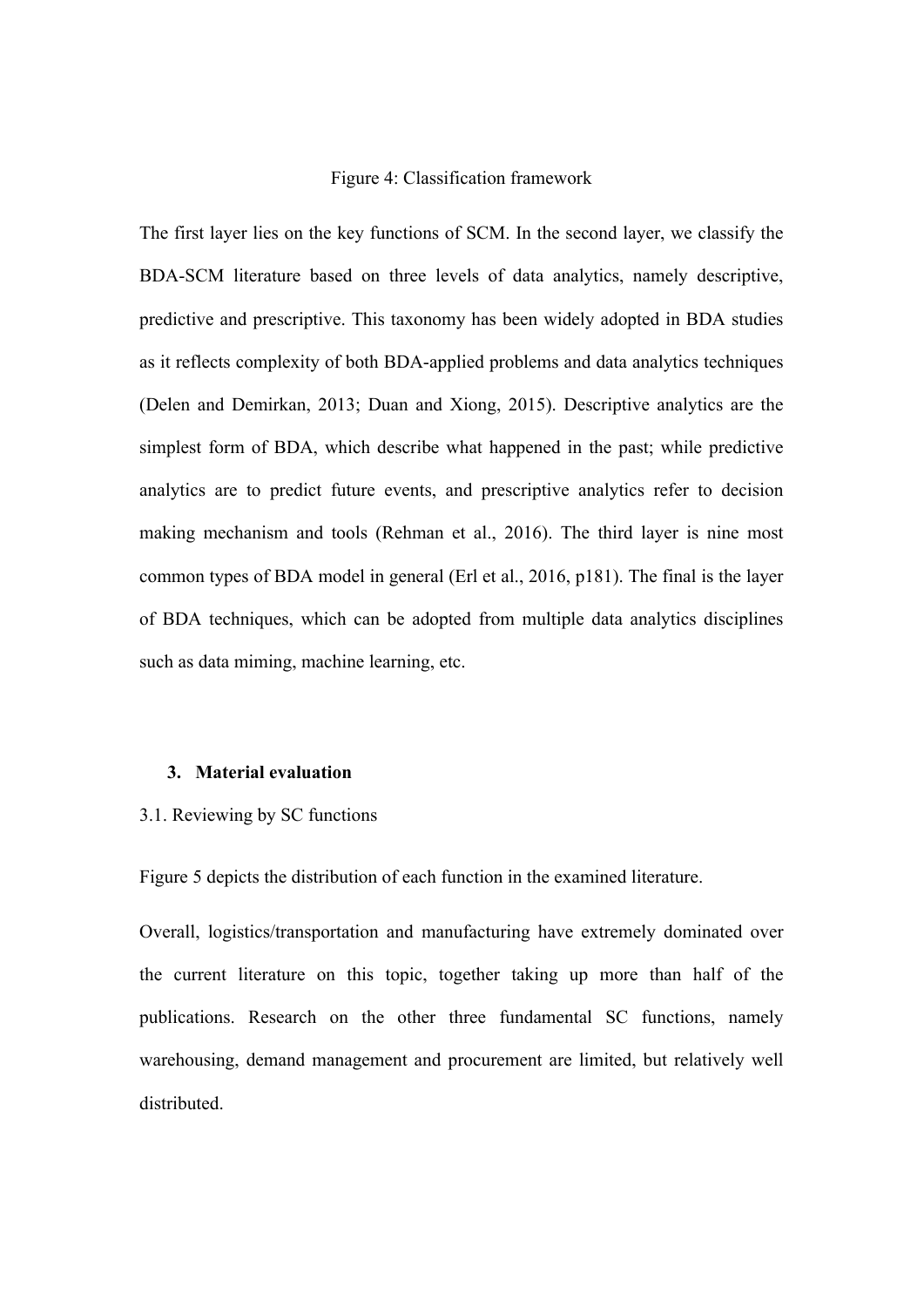#### Figure 4: Classification framework

The first layer lies on the key functions of SCM. In the second layer, we classify the BDA-SCM literature based on three levels of data analytics, namely descriptive, predictive and prescriptive. This taxonomy has been widely adopted in BDA studies as it reflects complexity of both BDA-applied problems and data analytics techniques (Delen and Demirkan, 2013; Duan and Xiong, 2015). Descriptive analytics are the simplest form of BDA, which describe what happened in the past; while predictive analytics are to predict future events, and prescriptive analytics refer to decision making mechanism and tools (Rehman et al., 2016). The third layer is nine most common types of BDA model in general (Erl et al., 2016, p181). The final is the layer of BDA techniques, which can be adopted from multiple data analytics disciplines such as data miming, machine learning, etc.

#### **3. Material evaluation**

#### 3.1. Reviewing by SC functions

Figure 5 depicts the distribution of each function in the examined literature.

Overall, logistics/transportation and manufacturing have extremely dominated over the current literature on this topic, together taking up more than half of the publications. Research on the other three fundamental SC functions, namely warehousing, demand management and procurement are limited, but relatively well distributed.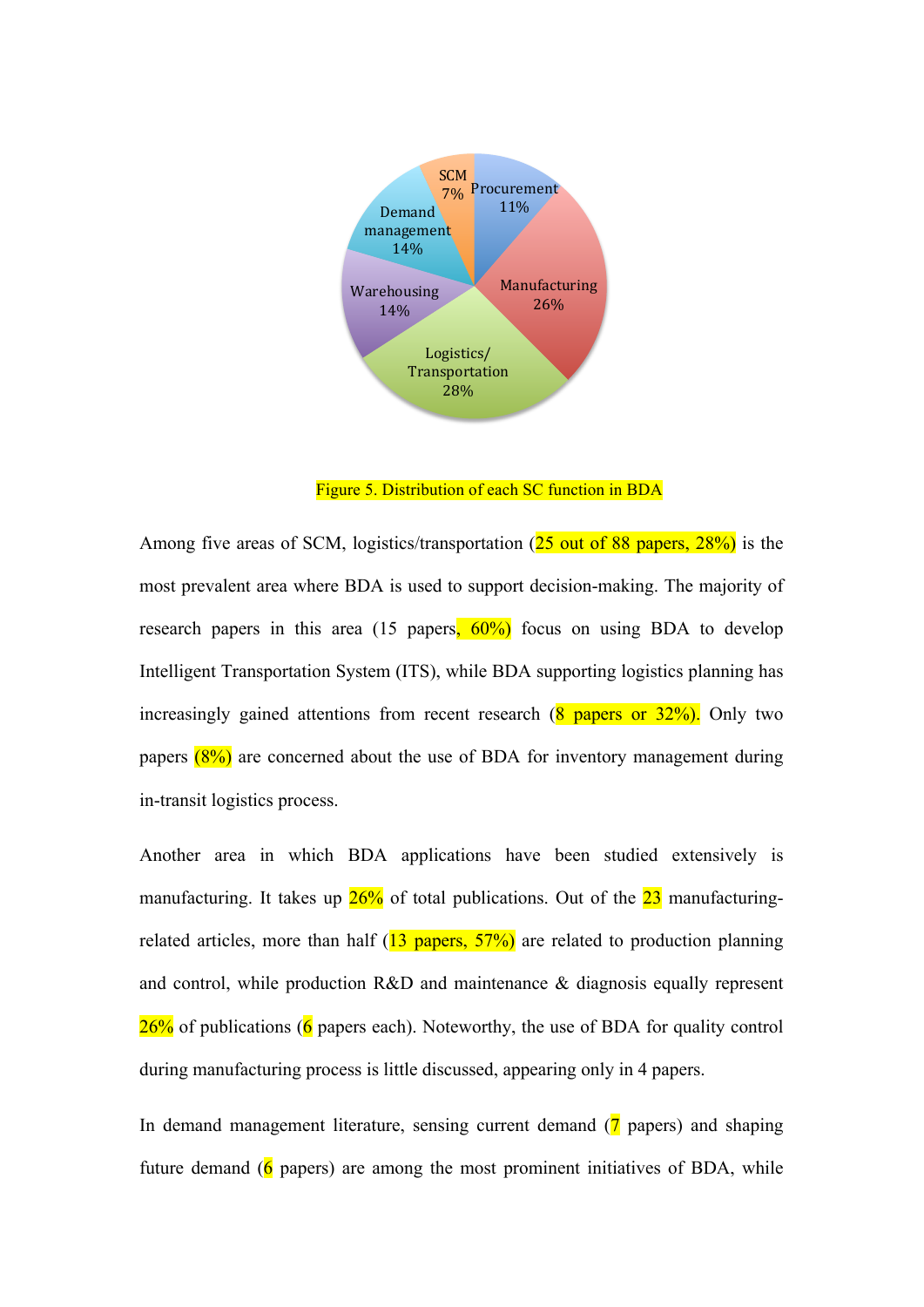

Figure 5. Distribution of each SC function in BDA

Among five areas of SCM, logistics/transportation (25 out of 88 papers, 28%) is the most prevalent area where BDA is used to support decision-making. The majority of research papers in this area (15 papers,  $60\%$ ) focus on using BDA to develop Intelligent Transportation System (ITS), while BDA supporting logistics planning has increasingly gained attentions from recent research  $(8 \text{ papers or } 32\%)$ . Only two papers  $(8\%)$  are concerned about the use of BDA for inventory management during in-transit logistics process.

Another area in which BDA applications have been studied extensively is manufacturing. It takes up  $26\%$  of total publications. Out of the  $23$  manufacturingrelated articles, more than half  $(13 \text{ papers}, 57%)$  are related to production planning and control, while production R&D and maintenance & diagnosis equally represent  $26\%$  of publications (6 papers each). Noteworthy, the use of BDA for quality control during manufacturing process is little discussed, appearing only in 4 papers.

In demand management literature, sensing current demand (7 papers) and shaping future demand ( $\overline{6}$  papers) are among the most prominent initiatives of BDA, while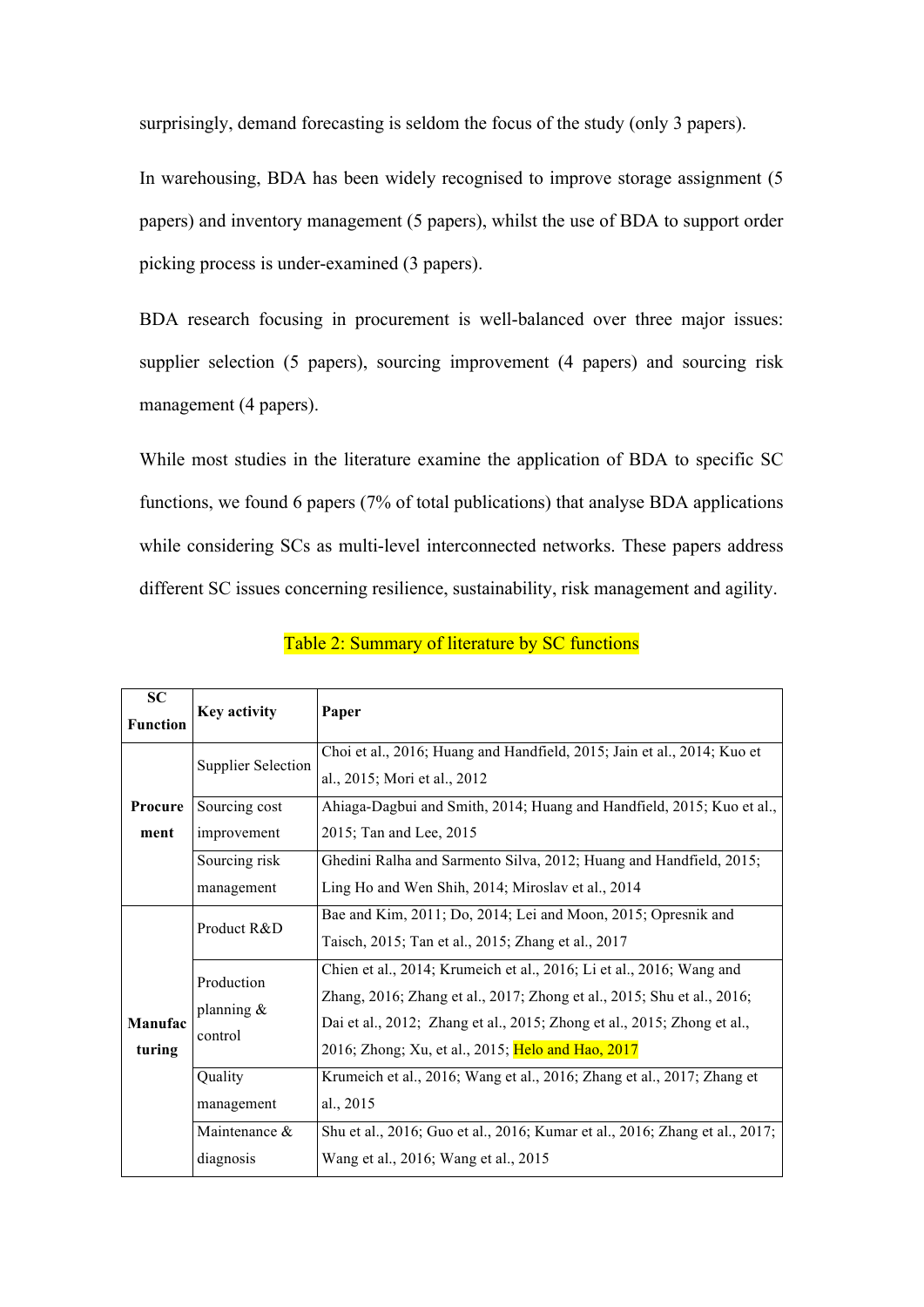surprisingly, demand forecasting is seldom the focus of the study (only 3 papers).

In warehousing, BDA has been widely recognised to improve storage assignment (5 papers) and inventory management (5 papers), whilst the use of BDA to support order picking process is under-examined (3 papers).

BDA research focusing in procurement is well-balanced over three major issues: supplier selection (5 papers), sourcing improvement (4 papers) and sourcing risk management (4 papers).

While most studies in the literature examine the application of BDA to specific SC functions, we found 6 papers (7% of total publications) that analyse BDA applications while considering SCs as multi-level interconnected networks. These papers address different SC issues concerning resilience, sustainability, risk management and agility.

| <b>SC</b><br><b>Function</b> | Key activity                           | Paper                                                                                                                                                                                                                                                                          |
|------------------------------|----------------------------------------|--------------------------------------------------------------------------------------------------------------------------------------------------------------------------------------------------------------------------------------------------------------------------------|
| Procure<br>ment              | <b>Supplier Selection</b>              | Choi et al., 2016; Huang and Handfield, 2015; Jain et al., 2014; Kuo et<br>al., 2015; Mori et al., 2012                                                                                                                                                                        |
|                              | Sourcing cost<br>improvement           | Ahiaga-Dagbui and Smith, 2014; Huang and Handfield, 2015; Kuo et al.,<br>2015; Tan and Lee, 2015                                                                                                                                                                               |
|                              | Sourcing risk<br>management            | Ghedini Ralha and Sarmento Silva, 2012; Huang and Handfield, 2015;<br>Ling Ho and Wen Shih, 2014; Miroslav et al., 2014                                                                                                                                                        |
| Manufac<br>turing            | Product R&D                            | Bae and Kim, 2011; Do, 2014; Lei and Moon, 2015; Opresnik and<br>Taisch, 2015; Tan et al., 2015; Zhang et al., 2017                                                                                                                                                            |
|                              | Production<br>planning $\&$<br>control | Chien et al., 2014; Krumeich et al., 2016; Li et al., 2016; Wang and<br>Zhang, 2016; Zhang et al., 2017; Zhong et al., 2015; Shu et al., 2016;<br>Dai et al., 2012; Zhang et al., 2015; Zhong et al., 2015; Zhong et al.,<br>2016; Zhong; Xu, et al., 2015; Helo and Hao, 2017 |
|                              | Quality<br>management                  | Krumeich et al., 2016; Wang et al., 2016; Zhang et al., 2017; Zhang et<br>al., 2015                                                                                                                                                                                            |
|                              | Maintenance &<br>diagnosis             | Shu et al., 2016; Guo et al., 2016; Kumar et al., 2016; Zhang et al., 2017;<br>Wang et al., 2016; Wang et al., 2015                                                                                                                                                            |

Table 2: Summary of literature by SC functions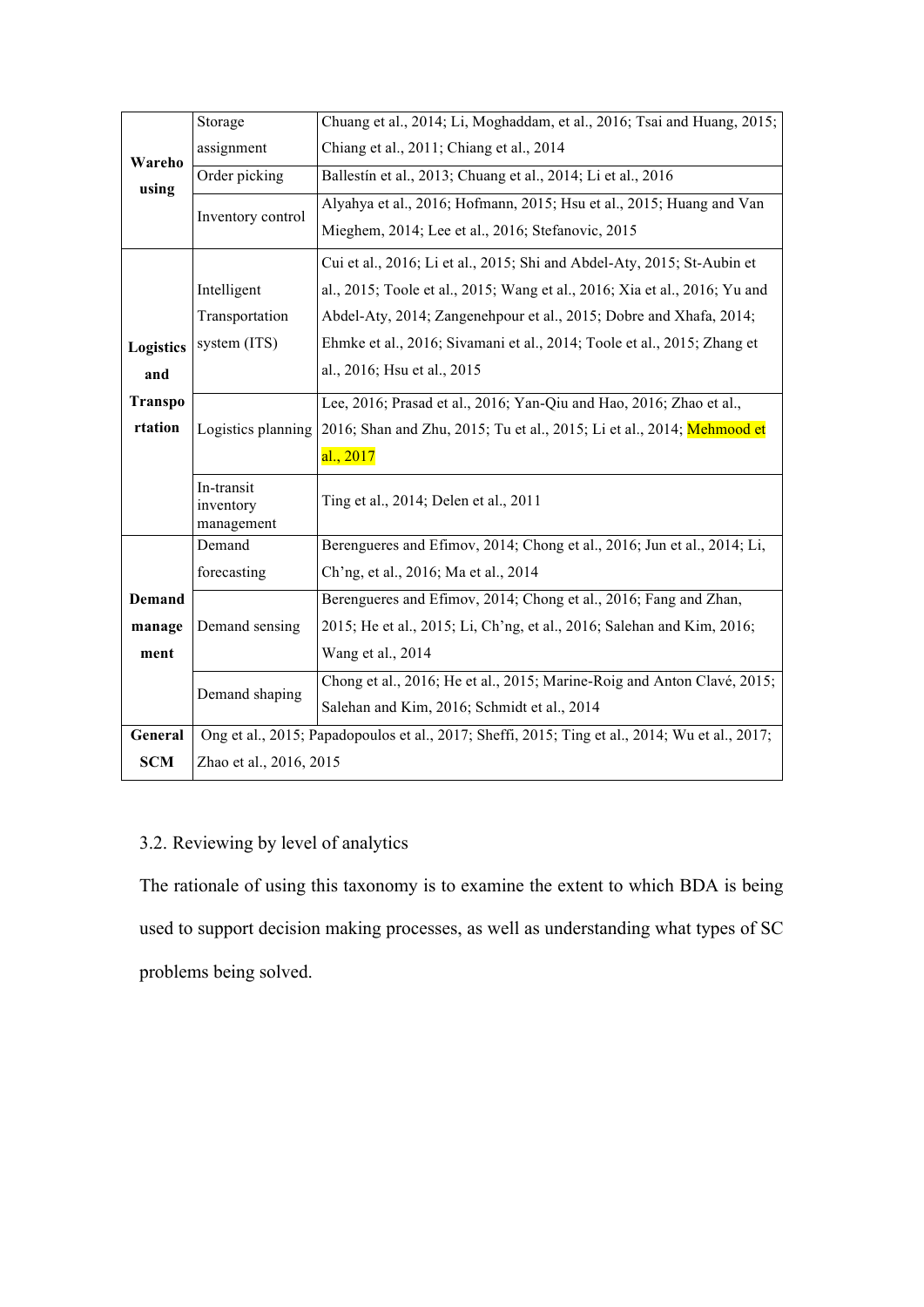|                | Storage                               | Chuang et al., 2014; Li, Moghaddam, et al., 2016; Tsai and Huang, 2015;                        |  |  |  |  |  |  |
|----------------|---------------------------------------|------------------------------------------------------------------------------------------------|--|--|--|--|--|--|
| Wareho         | assignment                            | Chiang et al., 2011; Chiang et al., 2014                                                       |  |  |  |  |  |  |
| using          | Order picking                         | Ballestín et al., 2013; Chuang et al., 2014; Li et al., 2016                                   |  |  |  |  |  |  |
|                | Inventory control                     | Alyahya et al., 2016; Hofmann, 2015; Hsu et al., 2015; Huang and Van                           |  |  |  |  |  |  |
|                |                                       | Mieghem, 2014; Lee et al., 2016; Stefanovic, 2015                                              |  |  |  |  |  |  |
|                |                                       | Cui et al., 2016; Li et al., 2015; Shi and Abdel-Aty, 2015; St-Aubin et                        |  |  |  |  |  |  |
|                | Intelligent                           | al., 2015; Toole et al., 2015; Wang et al., 2016; Xia et al., 2016; Yu and                     |  |  |  |  |  |  |
|                | Transportation                        | Abdel-Aty, 2014; Zangenehpour et al., 2015; Dobre and Xhafa, 2014;                             |  |  |  |  |  |  |
| Logistics      | system (ITS)                          | Ehmke et al., 2016; Sivamani et al., 2014; Toole et al., 2015; Zhang et                        |  |  |  |  |  |  |
| and            |                                       | al., 2016; Hsu et al., 2015                                                                    |  |  |  |  |  |  |
| <b>Transpo</b> |                                       | Lee, 2016; Prasad et al., 2016; Yan-Qiu and Hao, 2016; Zhao et al.,                            |  |  |  |  |  |  |
| rtation        | Logistics planning                    | 2016; Shan and Zhu, 2015; Tu et al., 2015; Li et al., 2014; Mehmood et                         |  |  |  |  |  |  |
|                |                                       | al., 2017                                                                                      |  |  |  |  |  |  |
|                | In-transit<br>inventory<br>management | Ting et al., 2014; Delen et al., 2011                                                          |  |  |  |  |  |  |
|                | Demand                                | Berengueres and Efimov, 2014; Chong et al., 2016; Jun et al., 2014; Li,                        |  |  |  |  |  |  |
|                | forecasting                           | Ch'ng, et al., 2016; Ma et al., 2014                                                           |  |  |  |  |  |  |
| <b>Demand</b>  |                                       | Berengueres and Efimov, 2014; Chong et al., 2016; Fang and Zhan,                               |  |  |  |  |  |  |
| manage         | Demand sensing                        | 2015; He et al., 2015; Li, Ch'ng, et al., 2016; Salehan and Kim, 2016;                         |  |  |  |  |  |  |
| ment           |                                       | Wang et al., 2014                                                                              |  |  |  |  |  |  |
|                | Demand shaping                        | Chong et al., 2016; He et al., 2015; Marine-Roig and Anton Clavé, 2015;                        |  |  |  |  |  |  |
|                |                                       | Salehan and Kim, 2016; Schmidt et al., 2014                                                    |  |  |  |  |  |  |
| General        |                                       | Ong et al., 2015; Papadopoulos et al., 2017; Sheffi, 2015; Ting et al., 2014; Wu et al., 2017; |  |  |  |  |  |  |
| <b>SCM</b>     | Zhao et al., 2016, 2015               |                                                                                                |  |  |  |  |  |  |

## 3.2. Reviewing by level of analytics

The rationale of using this taxonomy is to examine the extent to which BDA is being used to support decision making processes, as well as understanding what types of SC problems being solved.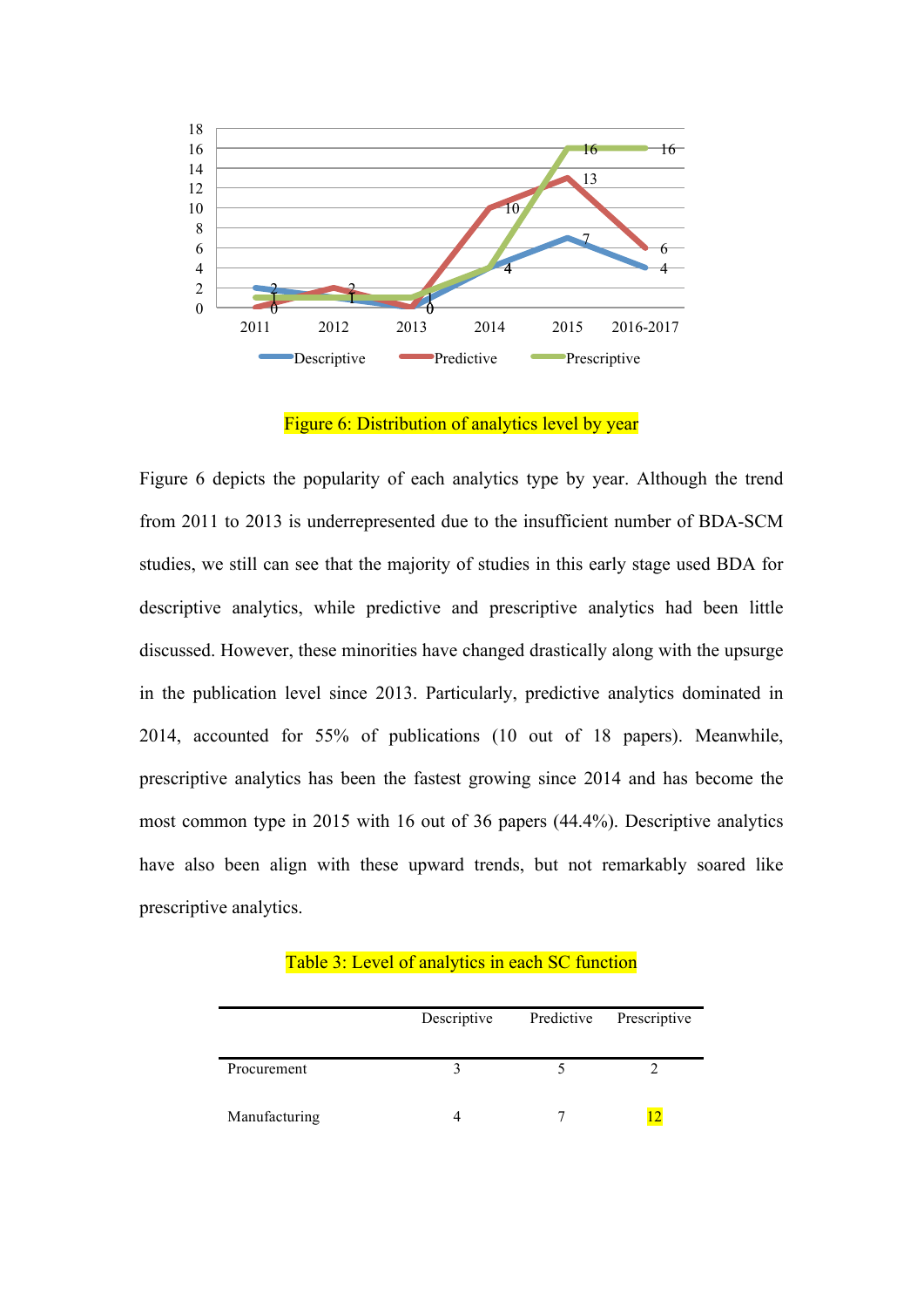

Figure 6: Distribution of analytics level by year

Figure 6 depicts the popularity of each analytics type by year. Although the trend from 2011 to 2013 is underrepresented due to the insufficient number of BDA-SCM studies, we still can see that the majority of studies in this early stage used BDA for descriptive analytics, while predictive and prescriptive analytics had been little discussed. However, these minorities have changed drastically along with the upsurge in the publication level since 2013. Particularly, predictive analytics dominated in 2014, accounted for 55% of publications (10 out of 18 papers). Meanwhile, prescriptive analytics has been the fastest growing since 2014 and has become the most common type in 2015 with 16 out of 36 papers (44.4%). Descriptive analytics have also been align with these upward trends, but not remarkably soared like prescriptive analytics.

Table 3: Level of analytics in each SC function

|               | Descriptive | Predictive | Prescriptive |  |  |
|---------------|-------------|------------|--------------|--|--|
| Procurement   |             |            |              |  |  |
| Manufacturing |             |            |              |  |  |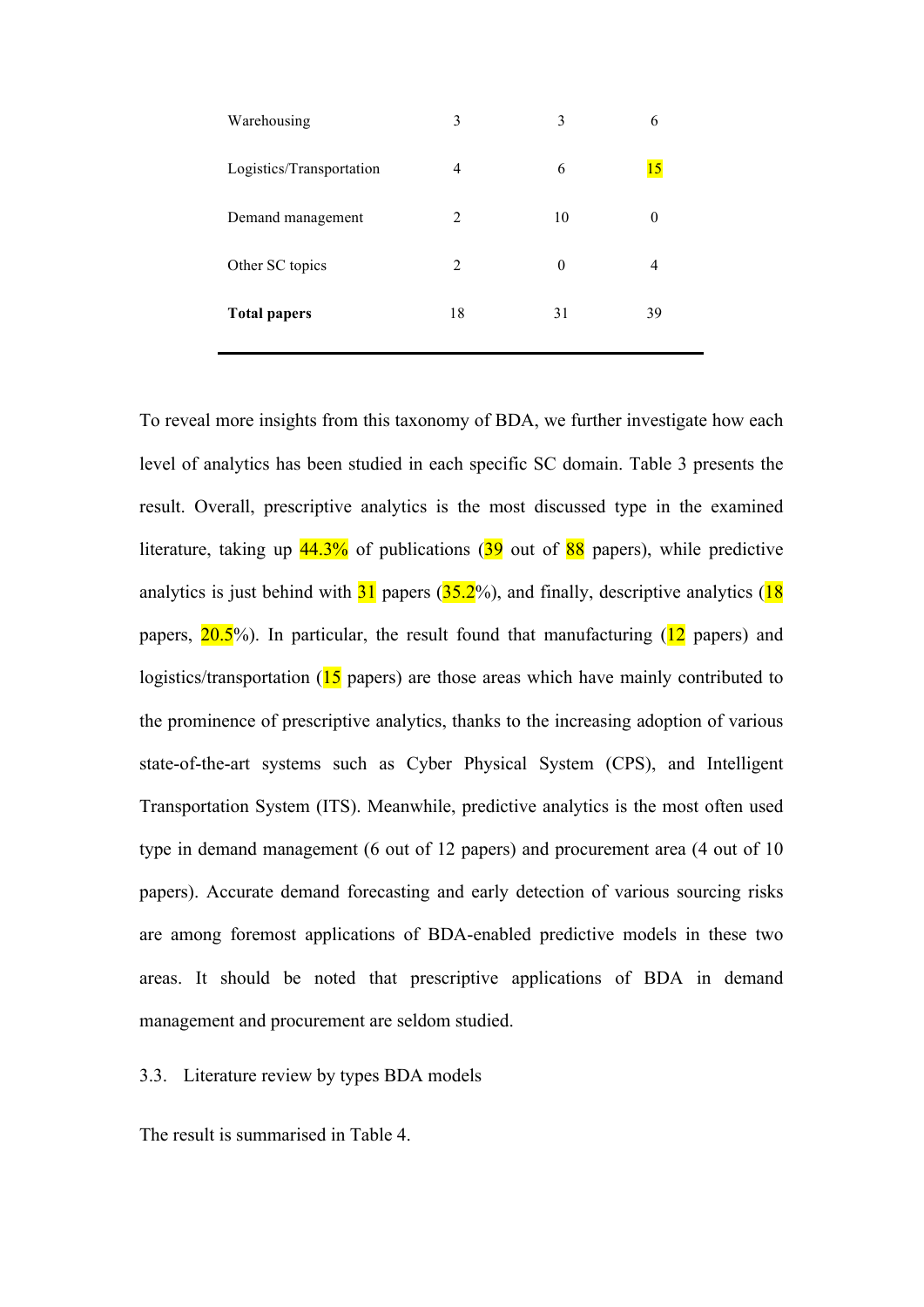| Warehousing              | 3              | 3  | 6              |
|--------------------------|----------------|----|----------------|
| Logistics/Transportation | 4              | 6  | 15             |
| Demand management        | 2              | 10 |                |
| Other SC topics          | $\overline{2}$ | 0  | $\overline{4}$ |
| <b>Total papers</b>      | 18             | 31 | 39             |

To reveal more insights from this taxonomy of BDA, we further investigate how each level of analytics has been studied in each specific SC domain. Table 3 presents the result. Overall, prescriptive analytics is the most discussed type in the examined literature, taking up  $44.3\%$  of publications (39 out of 88 papers), while predictive analytics is just behind with  $31$  papers ( $35.2\%$ ), and finally, descriptive analytics ( $18$ ) papers,  $20.5\%$ ). In particular, the result found that manufacturing ( $12$  papers) and logistics/transportation (15 papers) are those areas which have mainly contributed to the prominence of prescriptive analytics, thanks to the increasing adoption of various state-of-the-art systems such as Cyber Physical System (CPS), and Intelligent Transportation System (ITS). Meanwhile, predictive analytics is the most often used type in demand management (6 out of 12 papers) and procurement area (4 out of 10 papers). Accurate demand forecasting and early detection of various sourcing risks are among foremost applications of BDA-enabled predictive models in these two areas. It should be noted that prescriptive applications of BDA in demand management and procurement are seldom studied.

3.3. Literature review by types BDA models

The result is summarised in Table 4.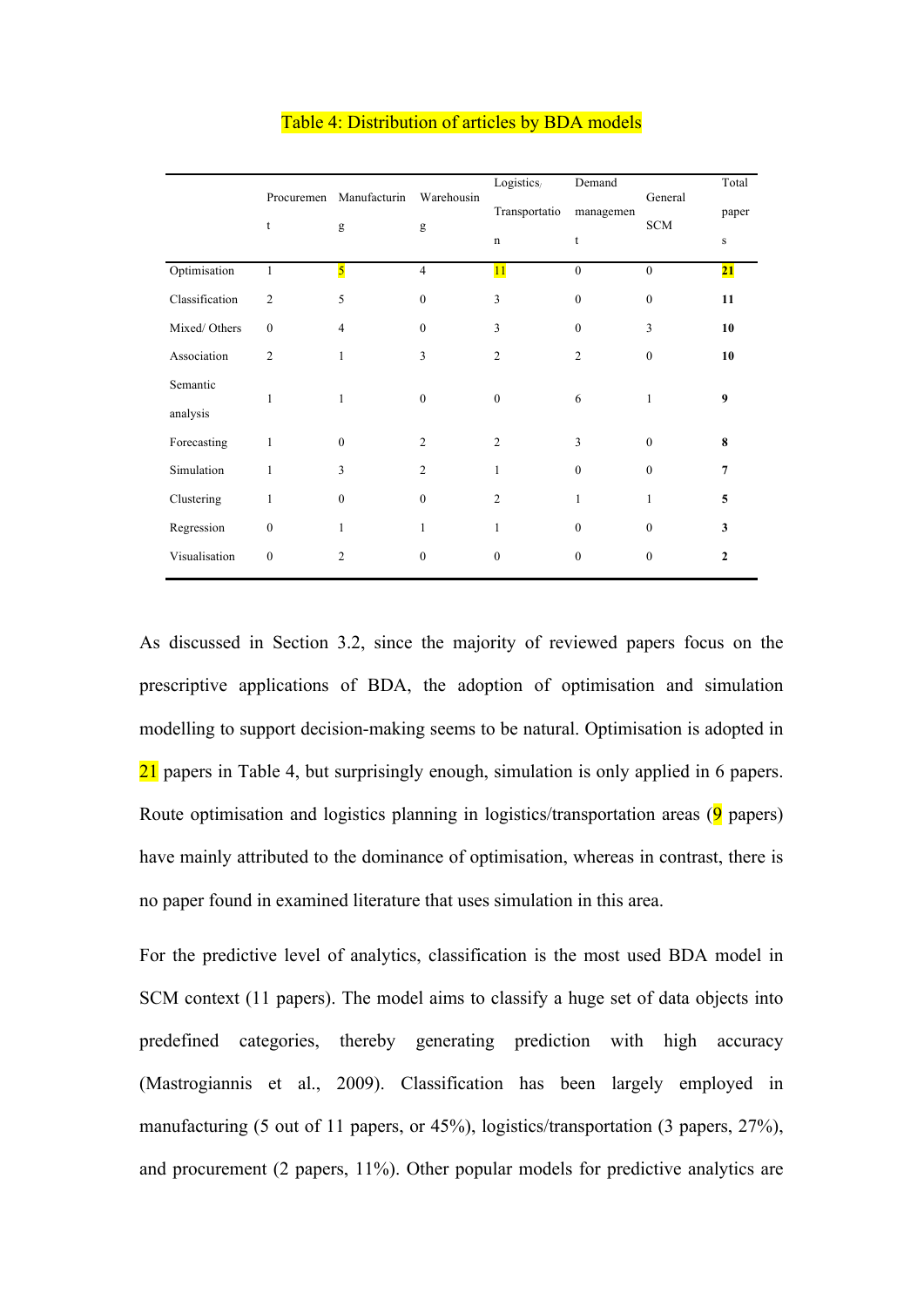|                | Procuremen     | Manufacturin            | Warehousin       | Logistics/                   | Demand         | General                     | Total            |
|----------------|----------------|-------------------------|------------------|------------------------------|----------------|-----------------------------|------------------|
|                | t              | g                       | g                | Transportatio<br>$\mathbf n$ | managemen<br>t | $\mathop{\rm SCM}\nolimits$ | paper<br>$\bf S$ |
| Optimisation   | $\mathbf{1}$   | $\overline{\mathbf{5}}$ | $\overline{4}$   | 11                           | $\mathbf{0}$   | $\mathbf{0}$                | 21               |
| Classification | $\overline{2}$ | 5                       | $\mathbf{0}$     | 3                            | $\mathbf{0}$   | $\mathbf{0}$                | 11               |
| Mixed/Others   | $\mathbf{0}$   | 4                       | $\theta$         | 3                            | $\theta$       | 3                           | 10               |
| Association    | $\overline{c}$ | 1                       | 3                | $\overline{2}$               | $\overline{2}$ | $\mathbf{0}$                | 10               |
| Semantic       | 1              | $\mathbf{1}$            | $\boldsymbol{0}$ | $\mathbf{0}$                 | 6              | 1                           | 9                |
| analysis       |                |                         |                  |                              |                |                             |                  |
| Forecasting    | 1              | $\boldsymbol{0}$        | $\overline{2}$   | $\overline{2}$               | 3              | $\mathbf{0}$                | 8                |
| Simulation     | 1              | 3                       | 2                | 1                            | $\theta$       | $\Omega$                    | 7                |
| Clustering     | 1              | $\mathbf{0}$            | $\mathbf{0}$     | $\overline{2}$               | 1              | 1                           | 5                |
| Regression     | $\mathbf{0}$   | 1                       | 1                | 1                            | $\mathbf{0}$   | $\mathbf{0}$                | 3                |
| Visualisation  | $\mathbf{0}$   | 2                       | $\theta$         | $\Omega$                     | 0              | $\Omega$                    | $\mathbf{2}$     |

#### Table 4: Distribution of articles by BDA models

As discussed in Section 3.2, since the majority of reviewed papers focus on the prescriptive applications of BDA, the adoption of optimisation and simulation modelling to support decision-making seems to be natural. Optimisation is adopted in 21 papers in Table 4, but surprisingly enough, simulation is only applied in 6 papers. Route optimisation and logistics planning in logistics/transportation areas  $(9)$  papers) have mainly attributed to the dominance of optimisation, whereas in contrast, there is no paper found in examined literature that uses simulation in this area.

For the predictive level of analytics, classification is the most used BDA model in SCM context (11 papers). The model aims to classify a huge set of data objects into predefined categories, thereby generating prediction with high accuracy (Mastrogiannis et al., 2009). Classification has been largely employed in manufacturing (5 out of 11 papers, or 45%), logistics/transportation (3 papers, 27%), and procurement (2 papers, 11%). Other popular models for predictive analytics are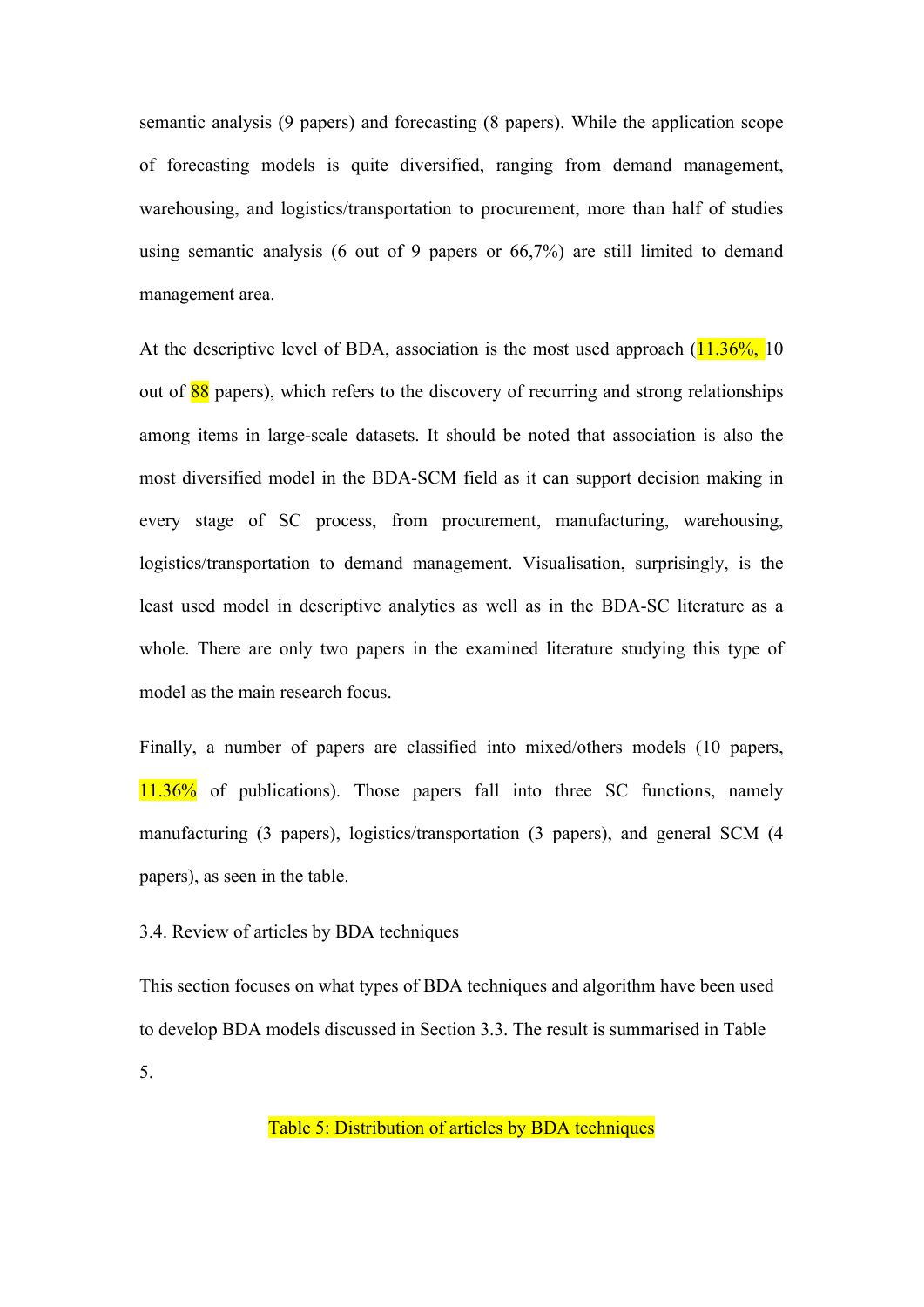semantic analysis (9 papers) and forecasting (8 papers). While the application scope of forecasting models is quite diversified, ranging from demand management, warehousing, and logistics/transportation to procurement, more than half of studies using semantic analysis (6 out of 9 papers or 66,7%) are still limited to demand management area.

At the descriptive level of BDA, association is the most used approach  $(11.36\%$ , 10 out of  $88$  papers), which refers to the discovery of recurring and strong relationships among items in large-scale datasets. It should be noted that association is also the most diversified model in the BDA-SCM field as it can support decision making in every stage of SC process, from procurement, manufacturing, warehousing, logistics/transportation to demand management. Visualisation, surprisingly, is the least used model in descriptive analytics as well as in the BDA-SC literature as a whole. There are only two papers in the examined literature studying this type of model as the main research focus.

Finally, a number of papers are classified into mixed/others models (10 papers, 11.36% of publications). Those papers fall into three SC functions, namely manufacturing (3 papers), logistics/transportation (3 papers), and general SCM (4 papers), as seen in the table.

#### 3.4. Review of articles by BDA techniques

This section focuses on what types of BDA techniques and algorithm have been used to develop BDA models discussed in Section 3.3. The result is summarised in Table 5.

Table 5: Distribution of articles by BDA techniques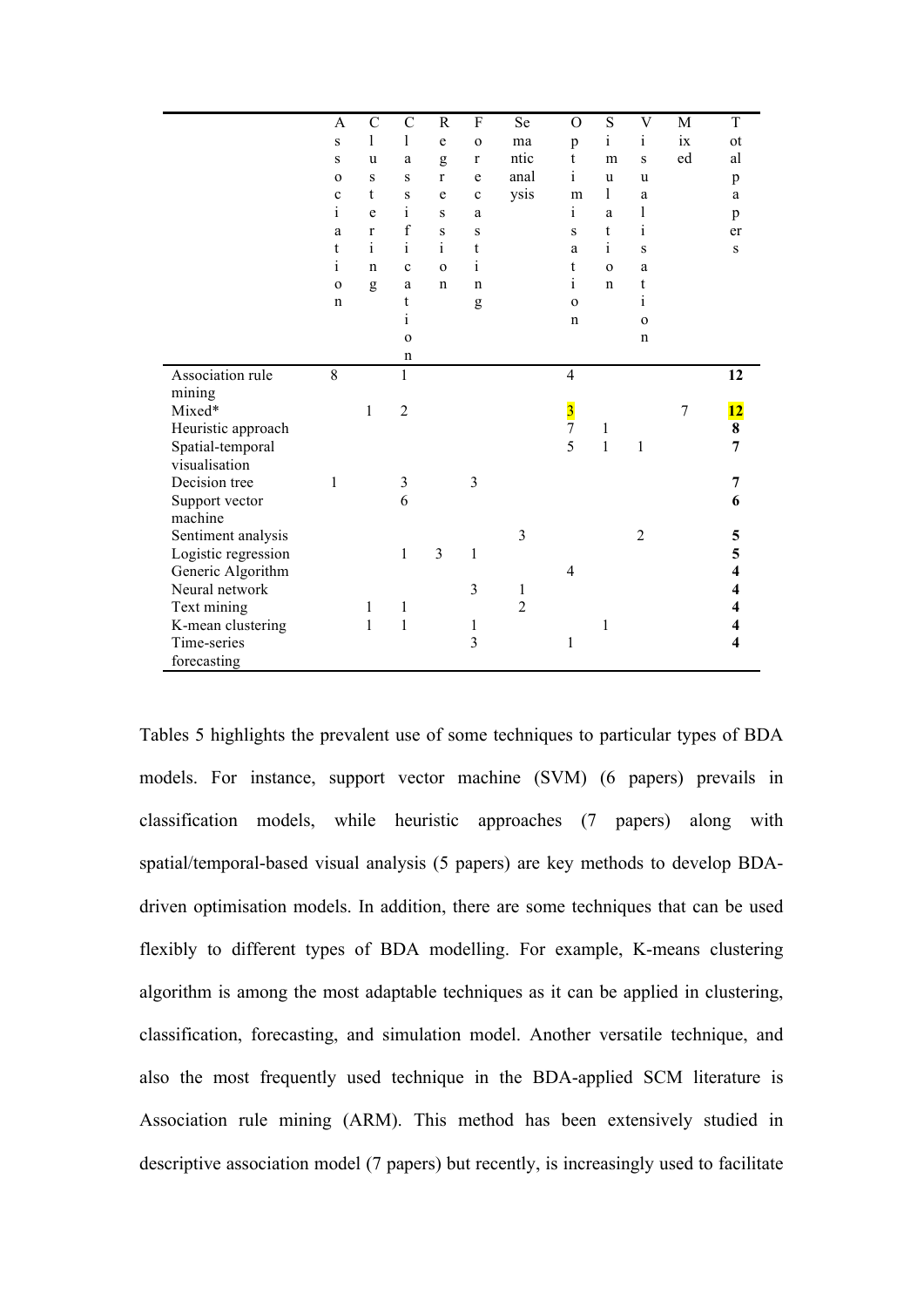|                                     | A            | $\mathcal{C}$ | $\mathcal{C}$  | $\mathbf R$  | $\rm F$             | Se             | $\overline{O}$ | S            | $\ensuremath{\mathbf{V}}$ | M              | $\mathbf T$     |
|-------------------------------------|--------------|---------------|----------------|--------------|---------------------|----------------|----------------|--------------|---------------------------|----------------|-----------------|
|                                     | S            | $\mathbf{l}$  | 1              | $\mathbf e$  | $\Omega$            | ma             | p              | $\mathbf{i}$ | $\mathbf{i}$              | ix             | ot              |
|                                     | S            | u             | a              | g            | $\bf r$             | ntic           | t              | m            | S                         | ed             | al              |
|                                     | $\mathbf 0$  | S             | S              | $\mathbf{r}$ | e                   | anal           | $\mathbf{i}$   | u            | u                         |                | p               |
|                                     | c            | t             | $\bf S$        | e            | $\mathbf c$         | ysis           | m              | 1            | a                         |                | a               |
|                                     | $\mathbf{i}$ | e             | $\rm i$        | S            | a                   |                | i              | a            | $\mathbf{l}$              |                | p               |
|                                     | a            | $\mathbf{r}$  | $\mathbf f$    | S            | S                   |                | S              | t            | $\mathbf{i}$              |                | er              |
|                                     | t            | $\mathbf{i}$  | $\mathbf{i}$   | $\mathbf{i}$ | t                   |                | a              | $\mathbf{i}$ | S                         |                | ${\bf S}$       |
|                                     | $\mathbf{i}$ | $\mathbf n$   | $\mathbf c$    | $\mathbf{O}$ | $\mathbf{i}$        |                | t              | $\mathbf{o}$ | a                         |                |                 |
|                                     | $\mathbf{o}$ | g             | a              | $\mathbf n$  | $\mathbf n$         |                | 1              | $\mathbf n$  | t                         |                |                 |
|                                     | $\mathbf n$  |               | t              |              | g                   |                | $\Omega$       |              | $\mathbf{i}$              |                |                 |
|                                     |              |               | $\rm i$        |              |                     |                | n              |              | $\mathbf 0$               |                |                 |
|                                     |              |               | $\mathbf{o}$   |              |                     |                |                |              | $\mathbf n$               |                |                 |
|                                     |              |               | n              |              |                     |                |                |              |                           |                |                 |
| Association rule                    | 8            |               | 1              |              |                     |                | $\overline{4}$ |              |                           |                | 12              |
| mining                              |              |               |                |              |                     |                |                |              |                           |                |                 |
| Mixed*                              |              | 1             | $\overline{2}$ |              |                     |                | $\frac{3}{7}$  |              |                           | $\overline{7}$ | $\overline{12}$ |
| Heuristic approach                  |              |               |                |              |                     |                |                | 1            |                           |                | 8               |
| Spatial-temporal                    |              |               |                |              |                     |                | 5              | $\mathbf{1}$ | 1                         |                | 7               |
| visualisation                       |              |               |                |              |                     |                |                |              |                           |                |                 |
| Decision tree                       | 1            |               | $\mathfrak{Z}$ |              | 3                   |                |                |              |                           |                | 7               |
| Support vector                      |              |               | 6              |              |                     |                |                |              |                           |                | 6               |
| machine                             |              |               |                |              |                     | 3              |                |              |                           |                |                 |
| Sentiment analysis                  |              |               |                | 3            | 1                   |                |                |              | $\overline{2}$            |                | 5               |
| Logistic regression                 |              |               | $\,1$          |              |                     |                | $\overline{4}$ |              |                           |                | 5               |
| Generic Algorithm<br>Neural network |              |               |                |              | 3                   | $\mathbf{1}$   |                |              |                           |                | 4               |
|                                     |              |               |                |              |                     | $\overline{2}$ |                |              |                           |                | 4               |
| Text mining                         |              | 1<br>1        | 1<br>$\,1$     |              |                     |                |                | 1            |                           |                |                 |
| K-mean clustering<br>Time-series    |              |               |                |              | 1<br>$\overline{3}$ |                | $\mathbf{1}$   |              |                           |                | 4               |
|                                     |              |               |                |              |                     |                |                |              |                           |                |                 |
| forecasting                         |              |               |                |              |                     |                |                |              |                           |                |                 |

Tables 5 highlights the prevalent use of some techniques to particular types of BDA models. For instance, support vector machine (SVM) (6 papers) prevails in classification models, while heuristic approaches (7 papers) along with spatial/temporal-based visual analysis (5 papers) are key methods to develop BDAdriven optimisation models. In addition, there are some techniques that can be used flexibly to different types of BDA modelling. For example, K-means clustering algorithm is among the most adaptable techniques as it can be applied in clustering, classification, forecasting, and simulation model. Another versatile technique, and also the most frequently used technique in the BDA-applied SCM literature is Association rule mining (ARM). This method has been extensively studied in descriptive association model (7 papers) but recently, is increasingly used to facilitate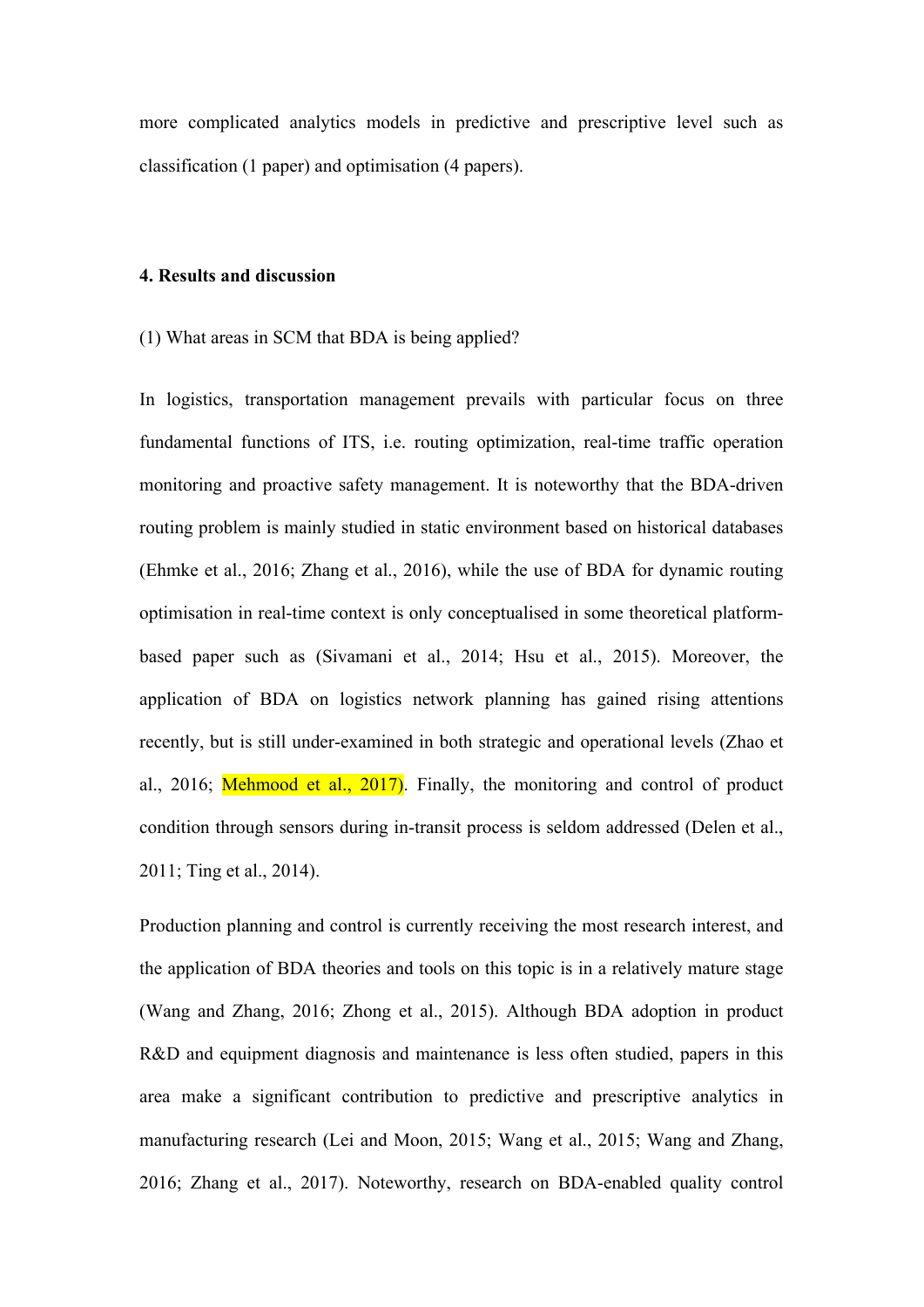more complicated analytics models in predictive and prescriptive level such as classification (1 paper) and optimisation (4 papers).

#### **4. Results and discussion**

(1) What areas in SCM that BDA is being applied?

In logistics, transportation management prevails with particular focus on three fundamental functions of ITS, i.e. routing optimization, real-time traffic operation monitoring and proactive safety management. It is noteworthy that the BDA-driven routing problem is mainly studied in static environment based on historical databases (Ehmke et al., 2016; Zhang et al., 2016), while the use of BDA for dynamic routing optimisation in real-time context is only conceptualised in some theoretical platformbased paper such as (Sivamani et al., 2014; Hsu et al., 2015). Moreover, the application of BDA on logistics network planning has gained rising attentions recently, but is still under-examined in both strategic and operational levels (Zhao et al., 2016; Mehmood et al., 2017). Finally, the monitoring and control of product condition through sensors during in-transit process is seldom addressed (Delen et al., 2011; Ting et al., 2014).

Production planning and control is currently receiving the most research interest, and the application of BDA theories and tools on this topic is in a relatively mature stage (Wang and Zhang, 2016; Zhong et al., 2015). Although BDA adoption in product R&D and equipment diagnosis and maintenance is less often studied, papers in this area make a significant contribution to predictive and prescriptive analytics in manufacturing research (Lei and Moon, 2015; Wang et al., 2015; Wang and Zhang, 2016; Zhang et al., 2017). Noteworthy, research on BDA-enabled quality control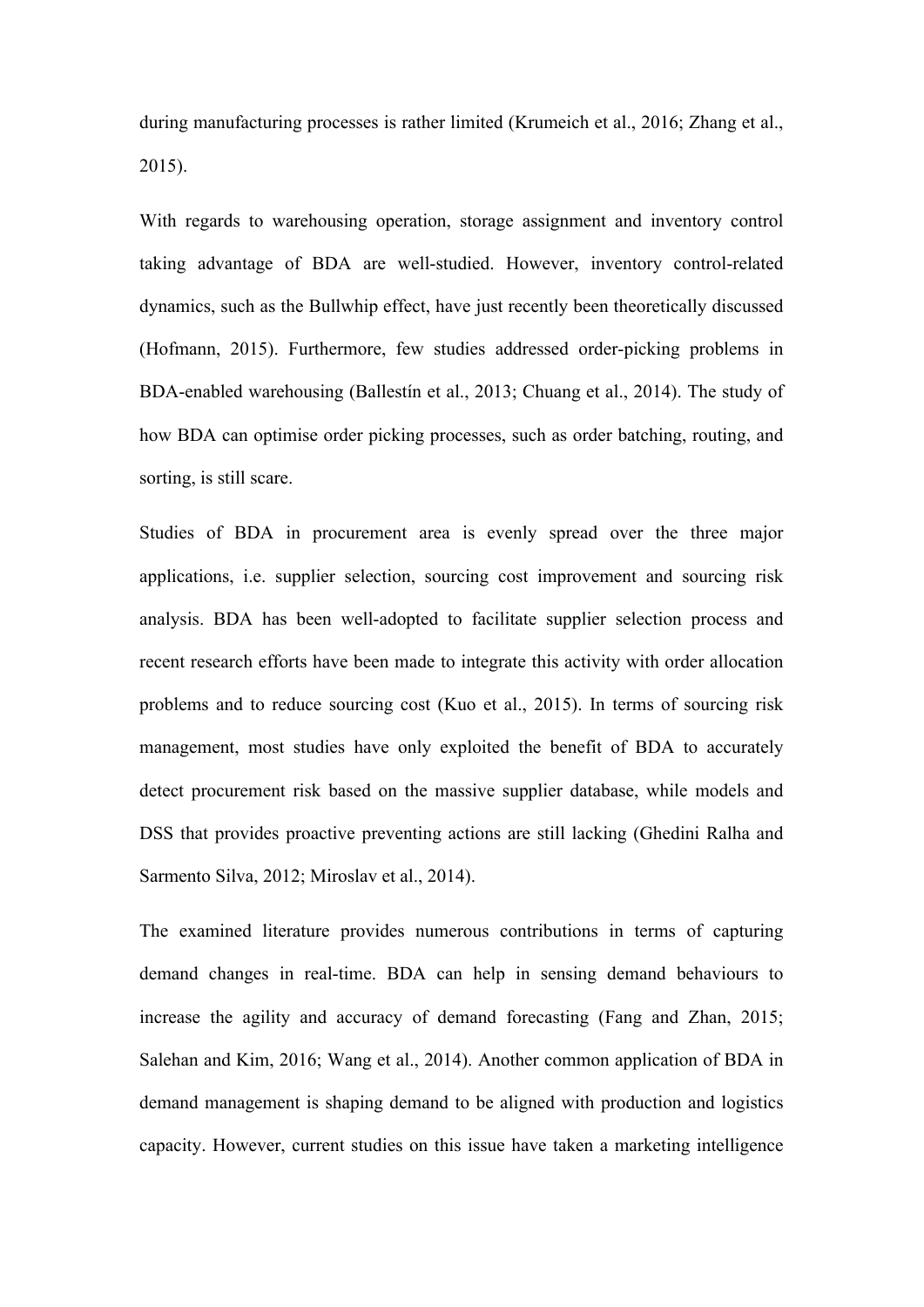during manufacturing processes is rather limited (Krumeich et al., 2016; Zhang et al., 2015).

With regards to warehousing operation, storage assignment and inventory control taking advantage of BDA are well-studied. However, inventory control-related dynamics, such as the Bullwhip effect, have just recently been theoretically discussed (Hofmann, 2015). Furthermore, few studies addressed order-picking problems in BDA-enabled warehousing (Ballestín et al., 2013; Chuang et al., 2014). The study of how BDA can optimise order picking processes, such as order batching, routing, and sorting, is still scare.

Studies of BDA in procurement area is evenly spread over the three major applications, i.e. supplier selection, sourcing cost improvement and sourcing risk analysis. BDA has been well-adopted to facilitate supplier selection process and recent research efforts have been made to integrate this activity with order allocation problems and to reduce sourcing cost (Kuo et al., 2015). In terms of sourcing risk management, most studies have only exploited the benefit of BDA to accurately detect procurement risk based on the massive supplier database, while models and DSS that provides proactive preventing actions are still lacking (Ghedini Ralha and Sarmento Silva, 2012; Miroslav et al., 2014).

The examined literature provides numerous contributions in terms of capturing demand changes in real-time. BDA can help in sensing demand behaviours to increase the agility and accuracy of demand forecasting (Fang and Zhan, 2015; Salehan and Kim, 2016; Wang et al., 2014). Another common application of BDA in demand management is shaping demand to be aligned with production and logistics capacity. However, current studies on this issue have taken a marketing intelligence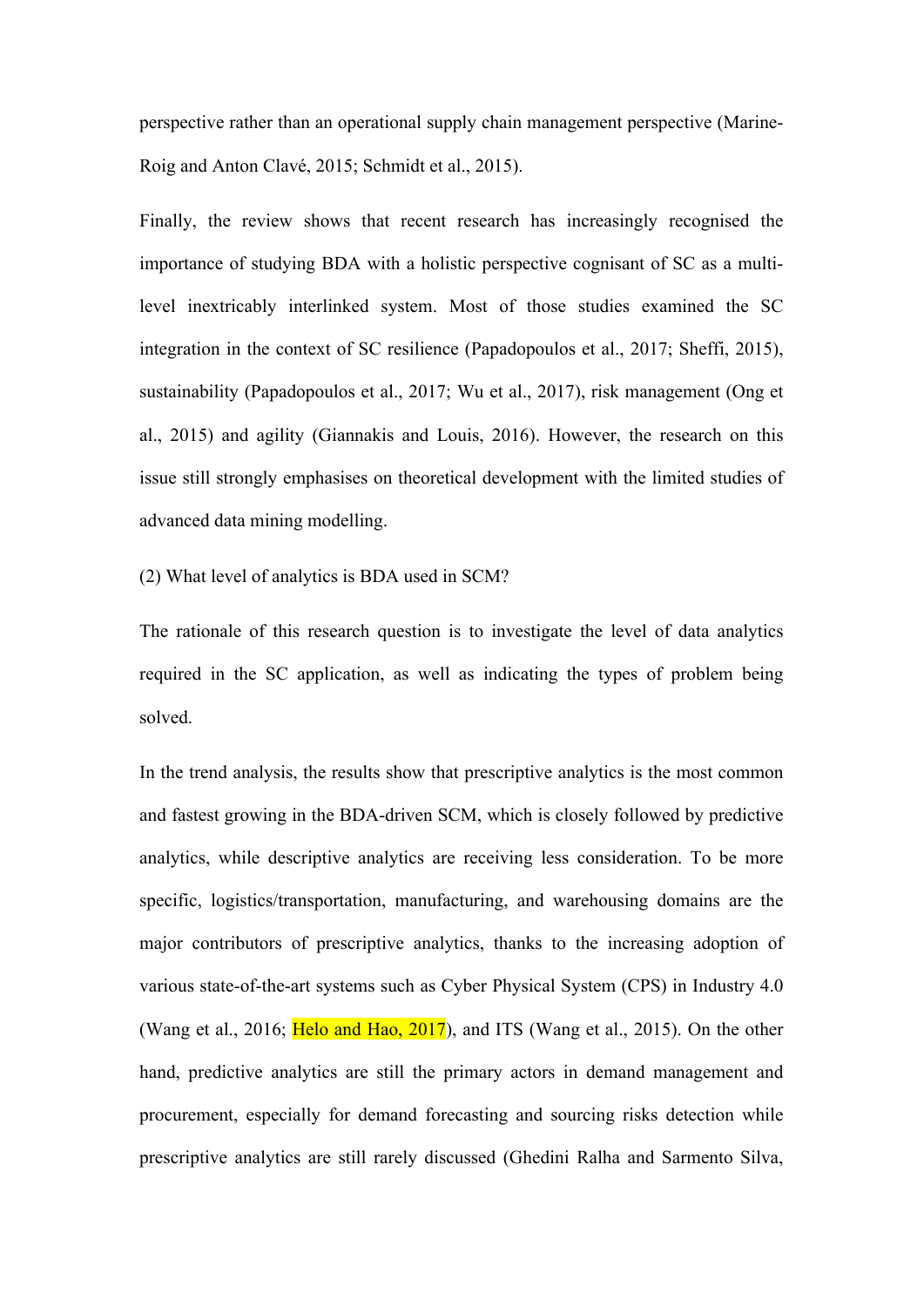perspective rather than an operational supply chain management perspective (Marine-Roig and Anton Clavé, 2015; Schmidt et al., 2015).

Finally, the review shows that recent research has increasingly recognised the importance of studying BDA with a holistic perspective cognisant of SC as a multilevel inextricably interlinked system. Most of those studies examined the SC integration in the context of SC resilience (Papadopoulos et al., 2017; Sheffi, 2015), sustainability (Papadopoulos et al., 2017; Wu et al., 2017), risk management (Ong et al., 2015) and agility (Giannakis and Louis, 2016). However, the research on this issue still strongly emphasises on theoretical development with the limited studies of advanced data mining modelling.

(2) What level of analytics is BDA used in SCM?

The rationale of this research question is to investigate the level of data analytics required in the SC application, as well as indicating the types of problem being solved.

In the trend analysis, the results show that prescriptive analytics is the most common and fastest growing in the BDA-driven SCM, which is closely followed by predictive analytics, while descriptive analytics are receiving less consideration. To be more specific, logistics/transportation, manufacturing, and warehousing domains are the major contributors of prescriptive analytics, thanks to the increasing adoption of various state-of-the-art systems such as Cyber Physical System (CPS) in Industry 4.0 (Wang et al., 2016; Helo and Hao, 2017), and ITS (Wang et al., 2015). On the other hand, predictive analytics are still the primary actors in demand management and procurement, especially for demand forecasting and sourcing risks detection while prescriptive analytics are still rarely discussed (Ghedini Ralha and Sarmento Silva,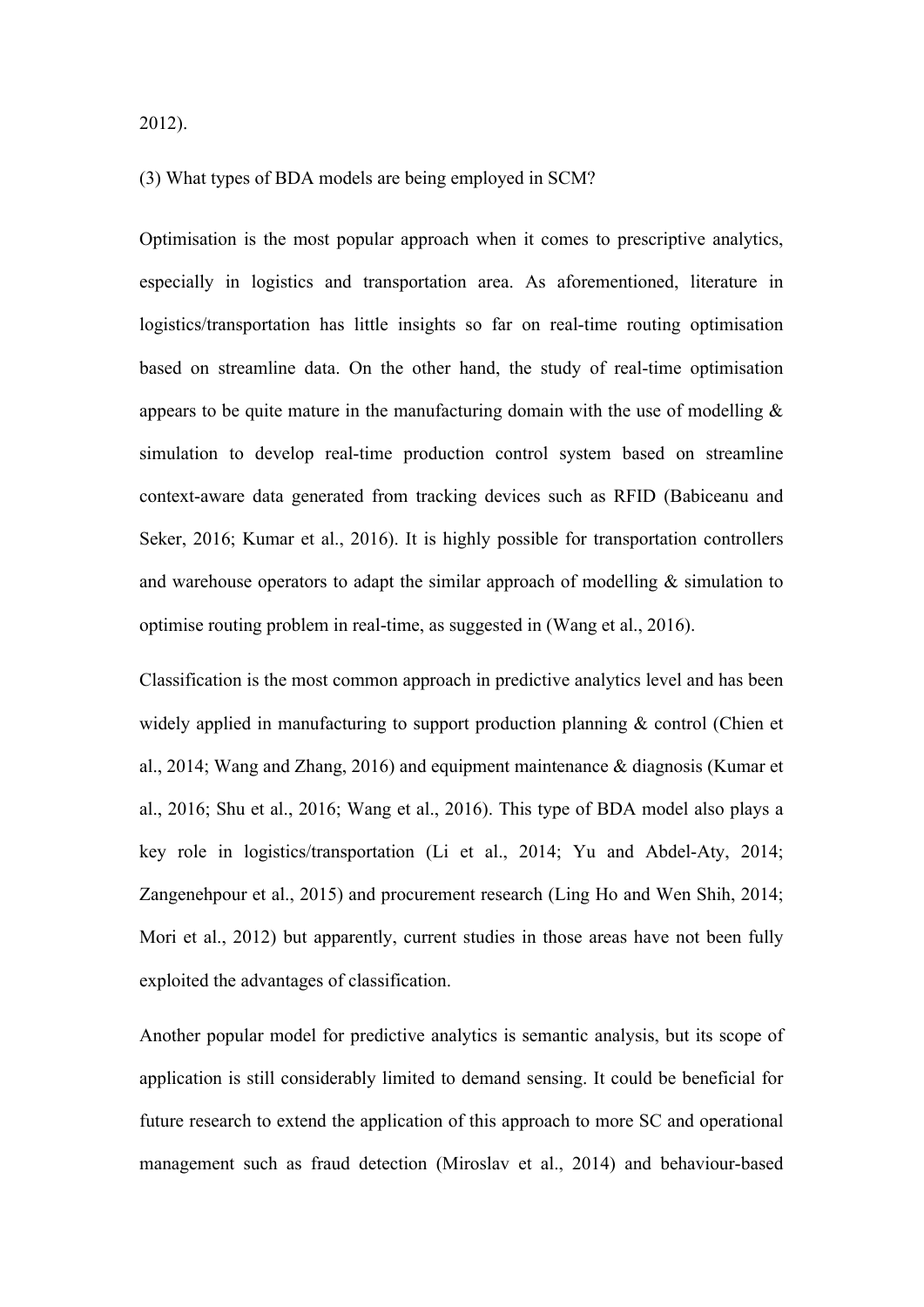2012).

#### (3) What types of BDA models are being employed in SCM?

Optimisation is the most popular approach when it comes to prescriptive analytics, especially in logistics and transportation area. As aforementioned, literature in logistics/transportation has little insights so far on real-time routing optimisation based on streamline data. On the other hand, the study of real-time optimisation appears to be quite mature in the manufacturing domain with the use of modelling  $\&$ simulation to develop real-time production control system based on streamline context-aware data generated from tracking devices such as RFID (Babiceanu and Seker, 2016; Kumar et al., 2016). It is highly possible for transportation controllers and warehouse operators to adapt the similar approach of modelling  $\&$  simulation to optimise routing problem in real-time, as suggested in (Wang et al., 2016).

Classification is the most common approach in predictive analytics level and has been widely applied in manufacturing to support production planning & control (Chien et al., 2014; Wang and Zhang, 2016) and equipment maintenance & diagnosis (Kumar et al., 2016; Shu et al., 2016; Wang et al., 2016). This type of BDA model also plays a key role in logistics/transportation (Li et al., 2014; Yu and Abdel-Aty, 2014; Zangenehpour et al., 2015) and procurement research (Ling Ho and Wen Shih, 2014; Mori et al., 2012) but apparently, current studies in those areas have not been fully exploited the advantages of classification.

Another popular model for predictive analytics is semantic analysis, but its scope of application is still considerably limited to demand sensing. It could be beneficial for future research to extend the application of this approach to more SC and operational management such as fraud detection (Miroslav et al., 2014) and behaviour-based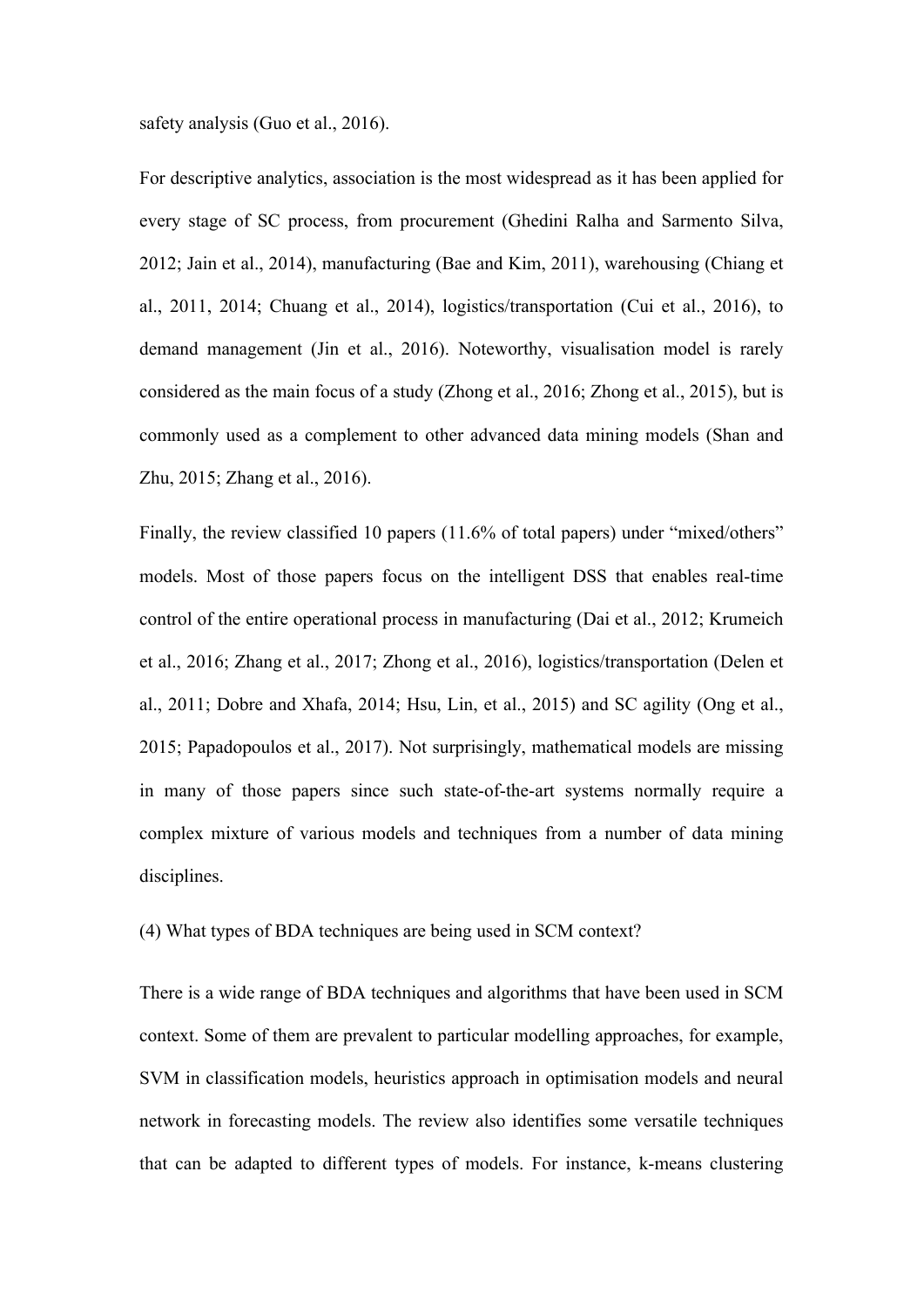safety analysis (Guo et al., 2016).

For descriptive analytics, association is the most widespread as it has been applied for every stage of SC process, from procurement (Ghedini Ralha and Sarmento Silva, 2012; Jain et al., 2014), manufacturing (Bae and Kim, 2011), warehousing (Chiang et al., 2011, 2014; Chuang et al., 2014), logistics/transportation (Cui et al., 2016), to demand management (Jin et al., 2016). Noteworthy, visualisation model is rarely considered as the main focus of a study (Zhong et al., 2016; Zhong et al., 2015), but is commonly used as a complement to other advanced data mining models (Shan and Zhu, 2015; Zhang et al., 2016).

Finally, the review classified 10 papers (11.6% of total papers) under "mixed/others" models. Most of those papers focus on the intelligent DSS that enables real-time control of the entire operational process in manufacturing (Dai et al., 2012; Krumeich et al., 2016; Zhang et al., 2017; Zhong et al., 2016), logistics/transportation (Delen et al., 2011; Dobre and Xhafa, 2014; Hsu, Lin, et al., 2015) and SC agility (Ong et al., 2015; Papadopoulos et al., 2017). Not surprisingly, mathematical models are missing in many of those papers since such state-of-the-art systems normally require a complex mixture of various models and techniques from a number of data mining disciplines.

(4) What types of BDA techniques are being used in SCM context?

There is a wide range of BDA techniques and algorithms that have been used in SCM context. Some of them are prevalent to particular modelling approaches, for example, SVM in classification models, heuristics approach in optimisation models and neural network in forecasting models. The review also identifies some versatile techniques that can be adapted to different types of models. For instance, k-means clustering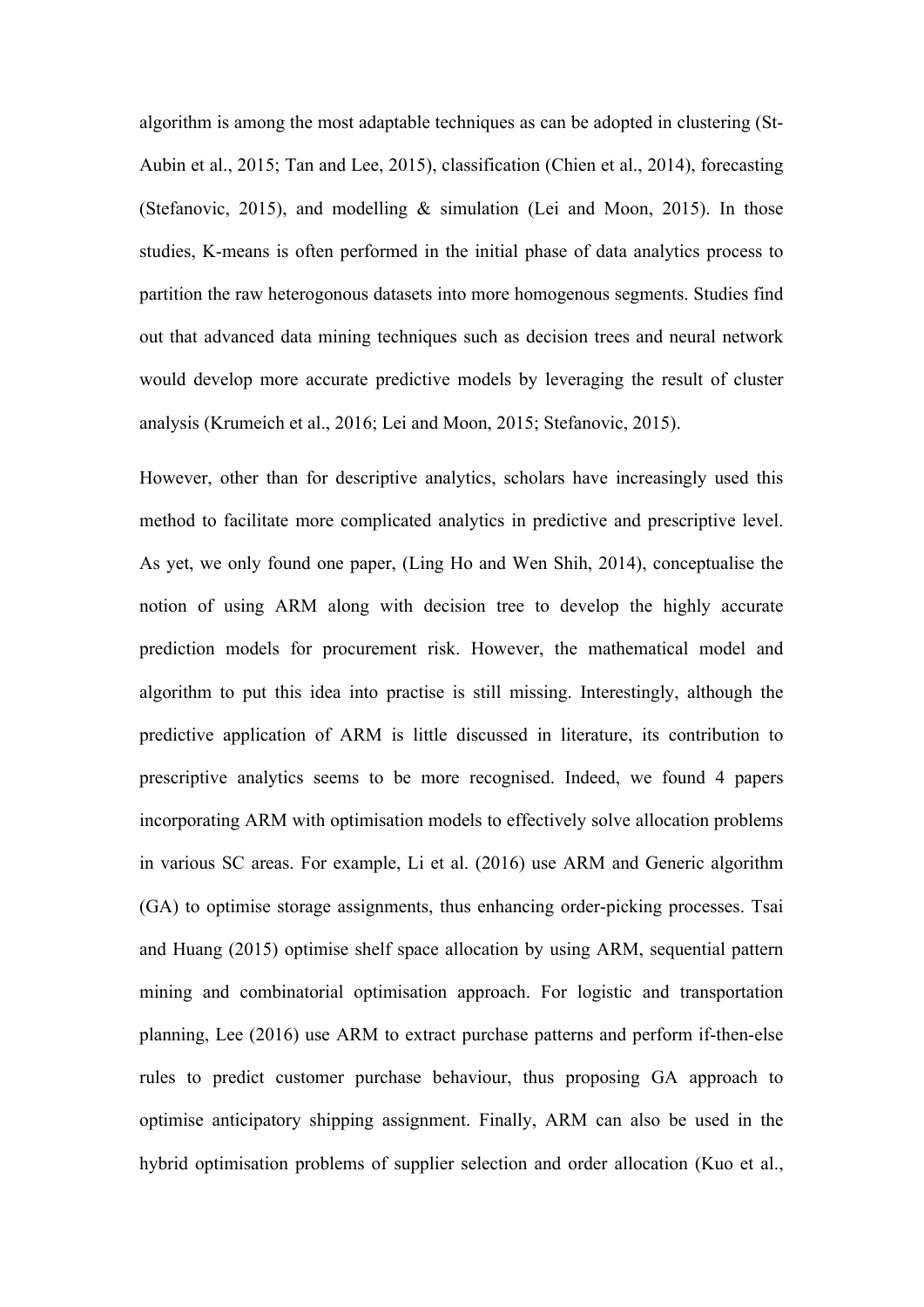algorithm is among the most adaptable techniques as can be adopted in clustering (St-Aubin et al., 2015; Tan and Lee, 2015), classification (Chien et al., 2014), forecasting (Stefanovic, 2015), and modelling & simulation (Lei and Moon, 2015). In those studies, K-means is often performed in the initial phase of data analytics process to partition the raw heterogonous datasets into more homogenous segments. Studies find out that advanced data mining techniques such as decision trees and neural network would develop more accurate predictive models by leveraging the result of cluster analysis (Krumeich et al., 2016; Lei and Moon, 2015; Stefanovic, 2015).

However, other than for descriptive analytics, scholars have increasingly used this method to facilitate more complicated analytics in predictive and prescriptive level. As yet, we only found one paper, (Ling Ho and Wen Shih, 2014), conceptualise the notion of using ARM along with decision tree to develop the highly accurate prediction models for procurement risk. However, the mathematical model and algorithm to put this idea into practise is still missing. Interestingly, although the predictive application of ARM is little discussed in literature, its contribution to prescriptive analytics seems to be more recognised. Indeed, we found 4 papers incorporating ARM with optimisation models to effectively solve allocation problems in various SC areas. For example, Li et al. (2016) use ARM and Generic algorithm (GA) to optimise storage assignments, thus enhancing order-picking processes. Tsai and Huang (2015) optimise shelf space allocation by using ARM, sequential pattern mining and combinatorial optimisation approach. For logistic and transportation planning, Lee (2016) use ARM to extract purchase patterns and perform if-then-else rules to predict customer purchase behaviour, thus proposing GA approach to optimise anticipatory shipping assignment. Finally, ARM can also be used in the hybrid optimisation problems of supplier selection and order allocation (Kuo et al.,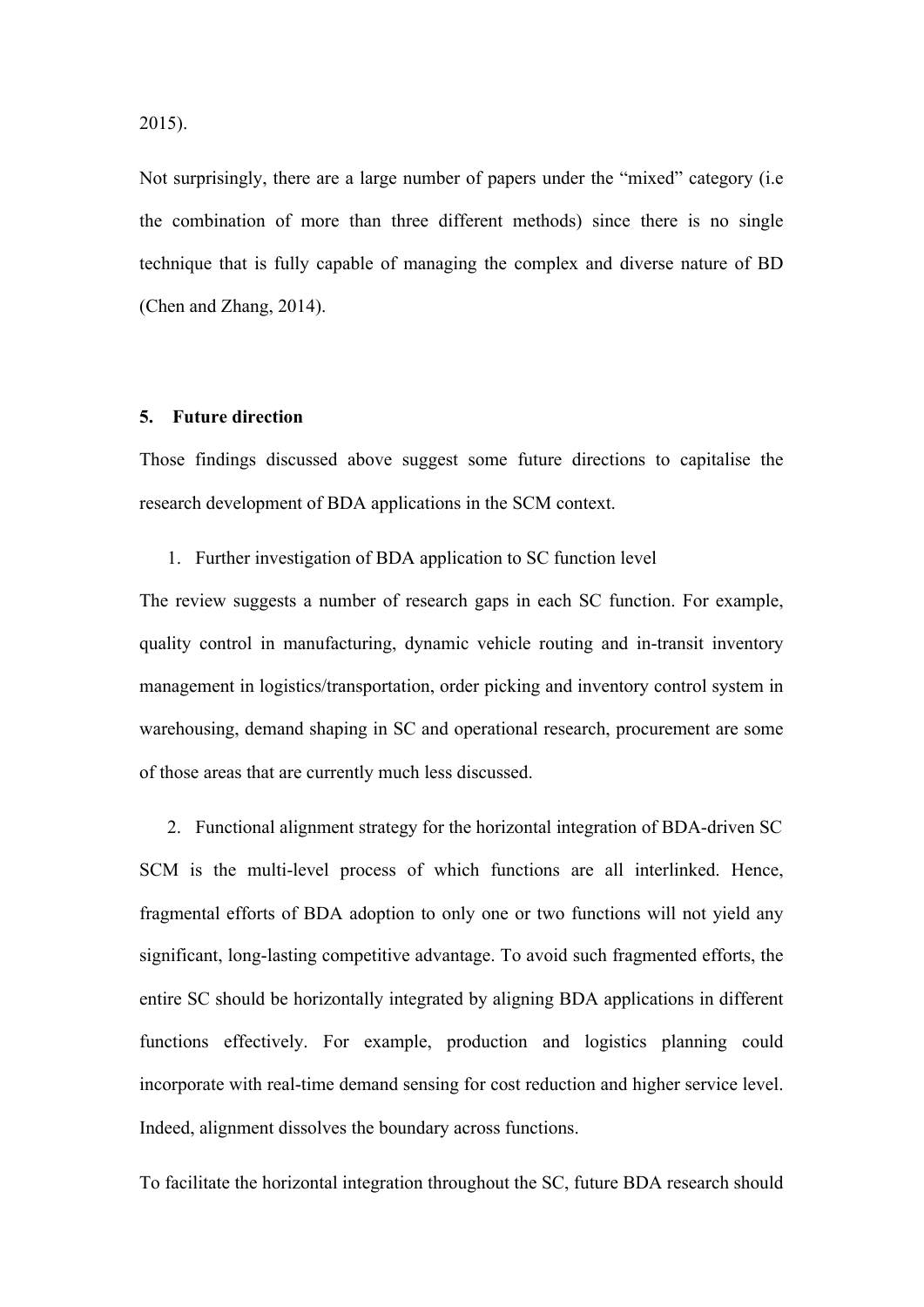2015).

Not surprisingly, there are a large number of papers under the "mixed" category (i.e the combination of more than three different methods) since there is no single technique that is fully capable of managing the complex and diverse nature of BD (Chen and Zhang, 2014).

#### **5. Future direction**

Those findings discussed above suggest some future directions to capitalise the research development of BDA applications in the SCM context.

1. Further investigation of BDA application to SC function level

The review suggests a number of research gaps in each SC function. For example, quality control in manufacturing, dynamic vehicle routing and in-transit inventory management in logistics/transportation, order picking and inventory control system in warehousing, demand shaping in SC and operational research, procurement are some of those areas that are currently much less discussed.

2. Functional alignment strategy for the horizontal integration of BDA-driven SC SCM is the multi-level process of which functions are all interlinked. Hence, fragmental efforts of BDA adoption to only one or two functions will not yield any significant, long-lasting competitive advantage. To avoid such fragmented efforts, the entire SC should be horizontally integrated by aligning BDA applications in different functions effectively. For example, production and logistics planning could incorporate with real-time demand sensing for cost reduction and higher service level. Indeed, alignment dissolves the boundary across functions.

To facilitate the horizontal integration throughout the SC, future BDA research should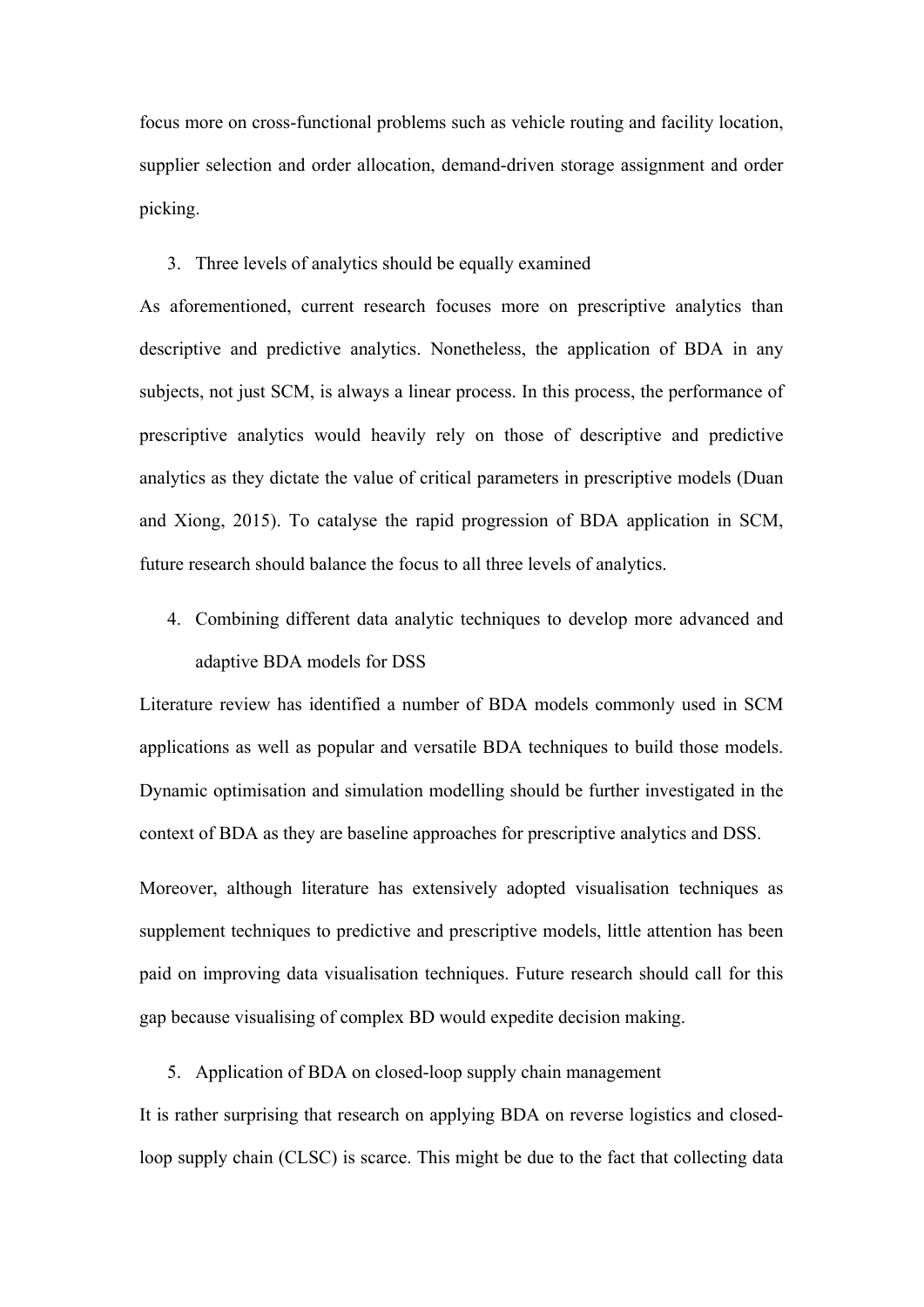focus more on cross-functional problems such as vehicle routing and facility location, supplier selection and order allocation, demand-driven storage assignment and order picking.

#### 3. Three levels of analytics should be equally examined

As aforementioned, current research focuses more on prescriptive analytics than descriptive and predictive analytics. Nonetheless, the application of BDA in any subjects, not just SCM, is always a linear process. In this process, the performance of prescriptive analytics would heavily rely on those of descriptive and predictive analytics as they dictate the value of critical parameters in prescriptive models (Duan and Xiong, 2015). To catalyse the rapid progression of BDA application in SCM, future research should balance the focus to all three levels of analytics.

4. Combining different data analytic techniques to develop more advanced and adaptive BDA models for DSS

Literature review has identified a number of BDA models commonly used in SCM applications as well as popular and versatile BDA techniques to build those models. Dynamic optimisation and simulation modelling should be further investigated in the context of BDA as they are baseline approaches for prescriptive analytics and DSS.

Moreover, although literature has extensively adopted visualisation techniques as supplement techniques to predictive and prescriptive models, little attention has been paid on improving data visualisation techniques. Future research should call for this gap because visualising of complex BD would expedite decision making.

5. Application of BDA on closed-loop supply chain management

It is rather surprising that research on applying BDA on reverse logistics and closedloop supply chain (CLSC) is scarce. This might be due to the fact that collecting data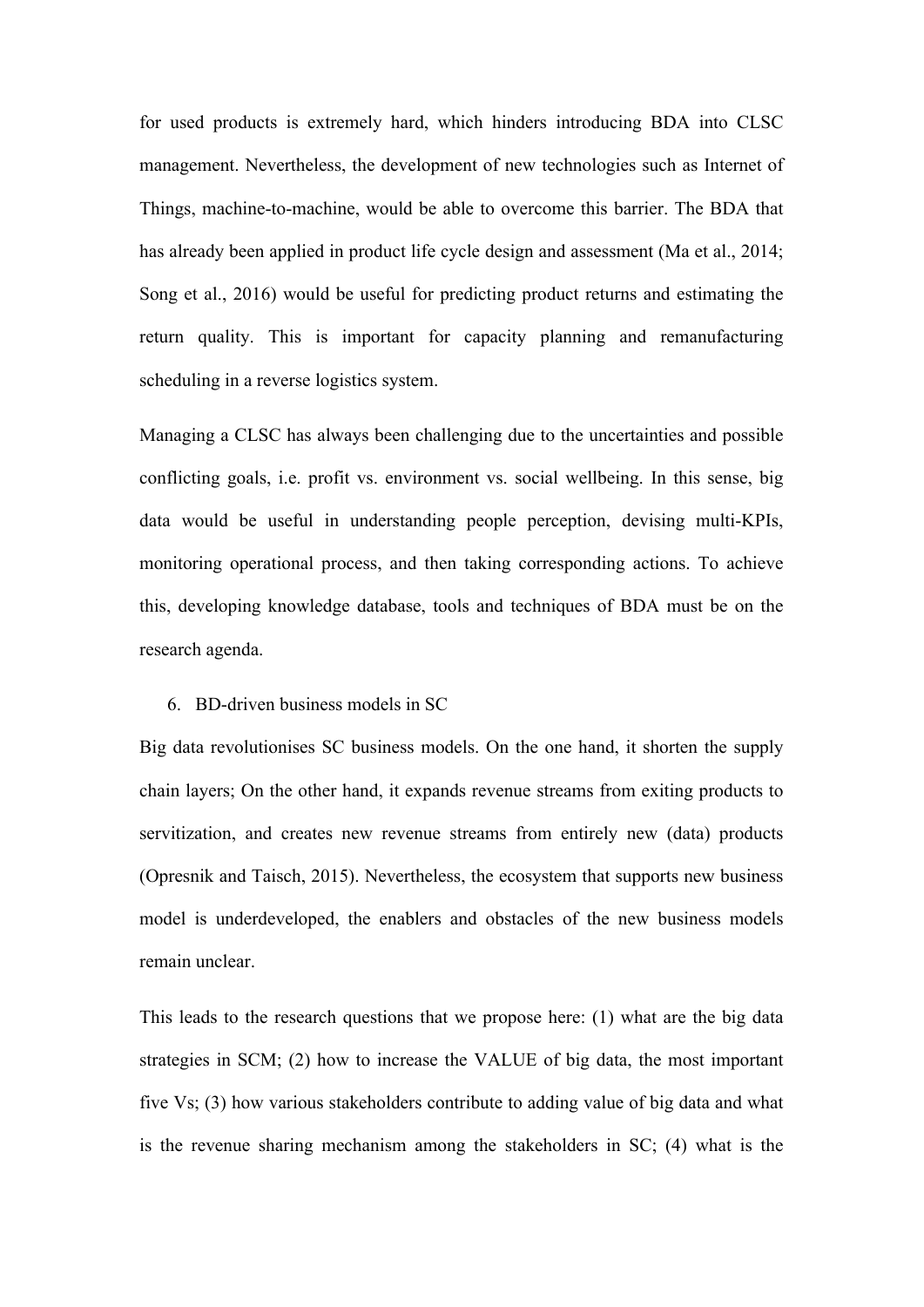for used products is extremely hard, which hinders introducing BDA into CLSC management. Nevertheless, the development of new technologies such as Internet of Things, machine-to-machine, would be able to overcome this barrier. The BDA that has already been applied in product life cycle design and assessment (Ma et al., 2014; Song et al., 2016) would be useful for predicting product returns and estimating the return quality. This is important for capacity planning and remanufacturing scheduling in a reverse logistics system.

Managing a CLSC has always been challenging due to the uncertainties and possible conflicting goals, i.e. profit vs. environment vs. social wellbeing. In this sense, big data would be useful in understanding people perception, devising multi-KPIs, monitoring operational process, and then taking corresponding actions. To achieve this, developing knowledge database, tools and techniques of BDA must be on the research agenda.

#### 6. BD-driven business models in SC

Big data revolutionises SC business models. On the one hand, it shorten the supply chain layers; On the other hand, it expands revenue streams from exiting products to servitization, and creates new revenue streams from entirely new (data) products (Opresnik and Taisch, 2015). Nevertheless, the ecosystem that supports new business model is underdeveloped, the enablers and obstacles of the new business models remain unclear.

This leads to the research questions that we propose here: (1) what are the big data strategies in SCM; (2) how to increase the VALUE of big data, the most important five Vs; (3) how various stakeholders contribute to adding value of big data and what is the revenue sharing mechanism among the stakeholders in SC; (4) what is the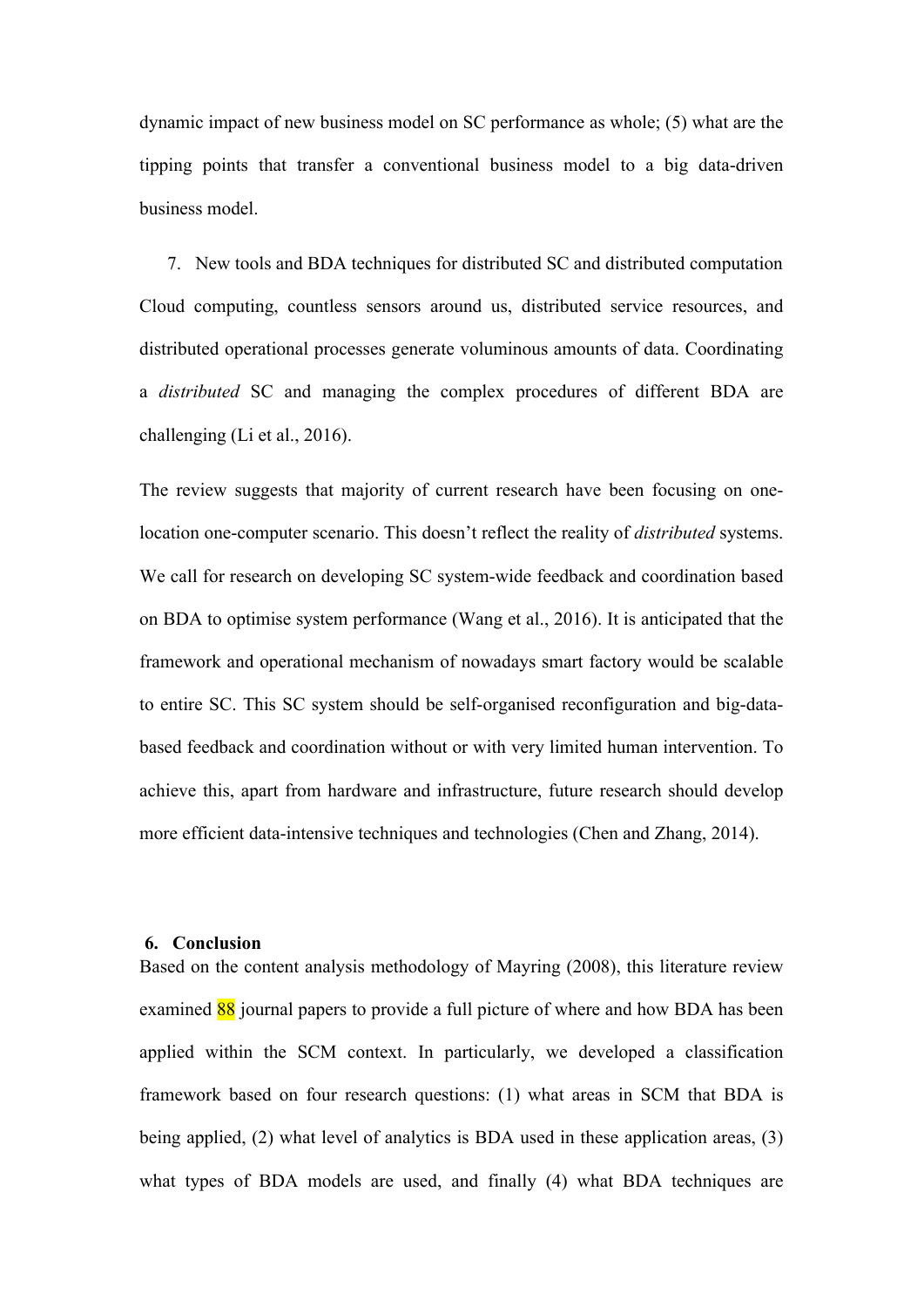dynamic impact of new business model on SC performance as whole; (5) what are the tipping points that transfer a conventional business model to a big data-driven business model.

7. New tools and BDA techniques for distributed SC and distributed computation Cloud computing, countless sensors around us, distributed service resources, and distributed operational processes generate voluminous amounts of data. Coordinating a *distributed* SC and managing the complex procedures of different BDA are challenging (Li et al., 2016).

The review suggests that majority of current research have been focusing on onelocation one-computer scenario. This doesn't reflect the reality of *distributed* systems. We call for research on developing SC system-wide feedback and coordination based on BDA to optimise system performance (Wang et al., 2016). It is anticipated that the framework and operational mechanism of nowadays smart factory would be scalable to entire SC. This SC system should be self-organised reconfiguration and big-databased feedback and coordination without or with very limited human intervention. To achieve this, apart from hardware and infrastructure, future research should develop more efficient data-intensive techniques and technologies (Chen and Zhang, 2014).

#### **6. Conclusion**

Based on the content analysis methodology of Mayring (2008), this literature review examined 88 journal papers to provide a full picture of where and how BDA has been applied within the SCM context. In particularly, we developed a classification framework based on four research questions: (1) what areas in SCM that BDA is being applied, (2) what level of analytics is BDA used in these application areas, (3) what types of BDA models are used, and finally (4) what BDA techniques are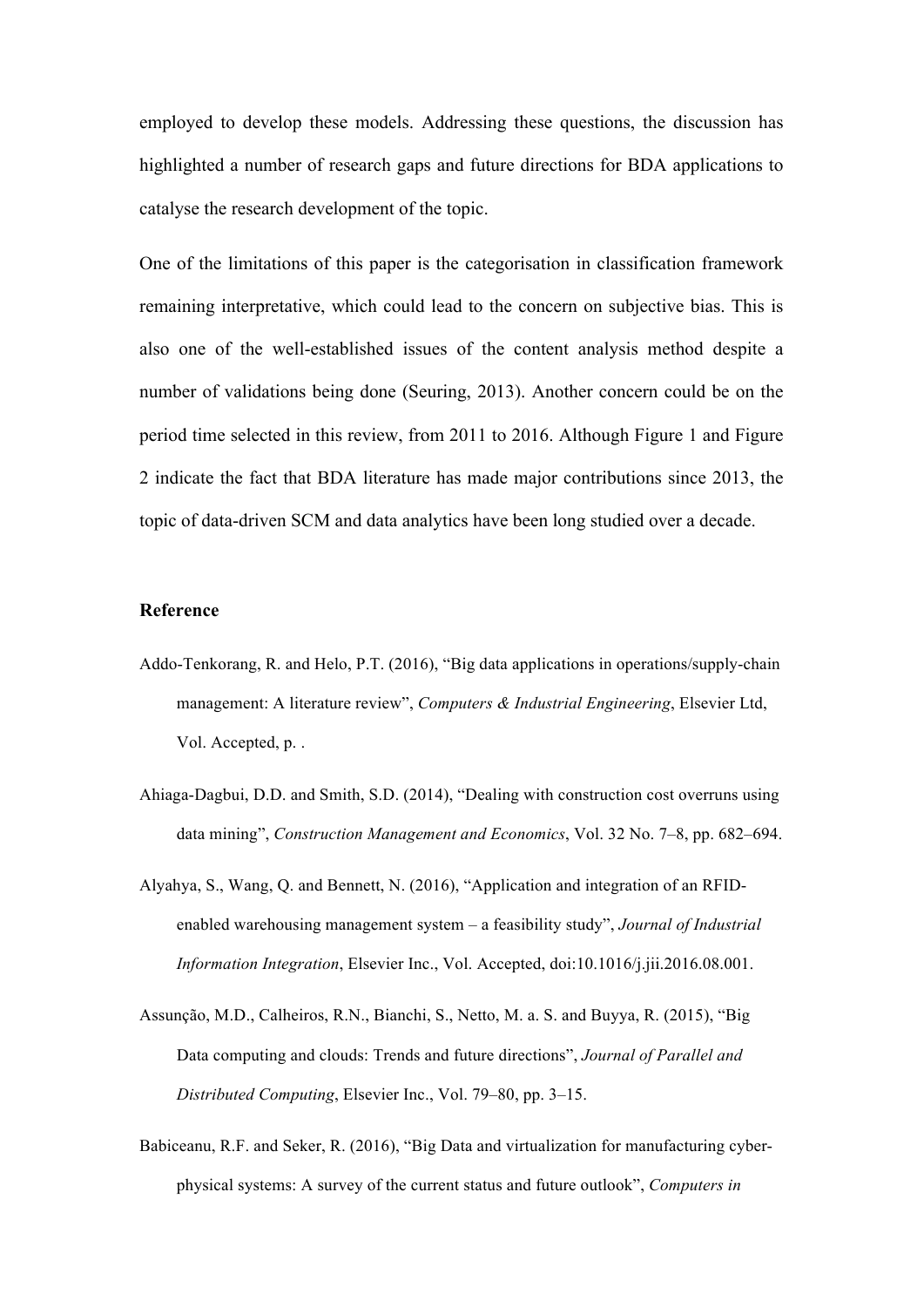employed to develop these models. Addressing these questions, the discussion has highlighted a number of research gaps and future directions for BDA applications to catalyse the research development of the topic.

One of the limitations of this paper is the categorisation in classification framework remaining interpretative, which could lead to the concern on subjective bias. This is also one of the well-established issues of the content analysis method despite a number of validations being done (Seuring, 2013). Another concern could be on the period time selected in this review, from 2011 to 2016. Although Figure 1 and Figure 2 indicate the fact that BDA literature has made major contributions since 2013, the topic of data-driven SCM and data analytics have been long studied over a decade.

#### **Reference**

- Addo-Tenkorang, R. and Helo, P.T. (2016), "Big data applications in operations/supply-chain management: A literature review", *Computers & Industrial Engineering*, Elsevier Ltd, Vol. Accepted, p. .
- Ahiaga-Dagbui, D.D. and Smith, S.D. (2014), "Dealing with construction cost overruns using data mining", *Construction Management and Economics*, Vol. 32 No. 7–8, pp. 682–694.
- Alyahya, S., Wang, Q. and Bennett, N. (2016), "Application and integration of an RFIDenabled warehousing management system – a feasibility study", *Journal of Industrial Information Integration*, Elsevier Inc., Vol. Accepted, doi:10.1016/j.jii.2016.08.001.
- Assunção, M.D., Calheiros, R.N., Bianchi, S., Netto, M. a. S. and Buyya, R. (2015), "Big Data computing and clouds: Trends and future directions", *Journal of Parallel and Distributed Computing*, Elsevier Inc., Vol. 79–80, pp. 3–15.
- Babiceanu, R.F. and Seker, R. (2016), "Big Data and virtualization for manufacturing cyberphysical systems: A survey of the current status and future outlook", *Computers in*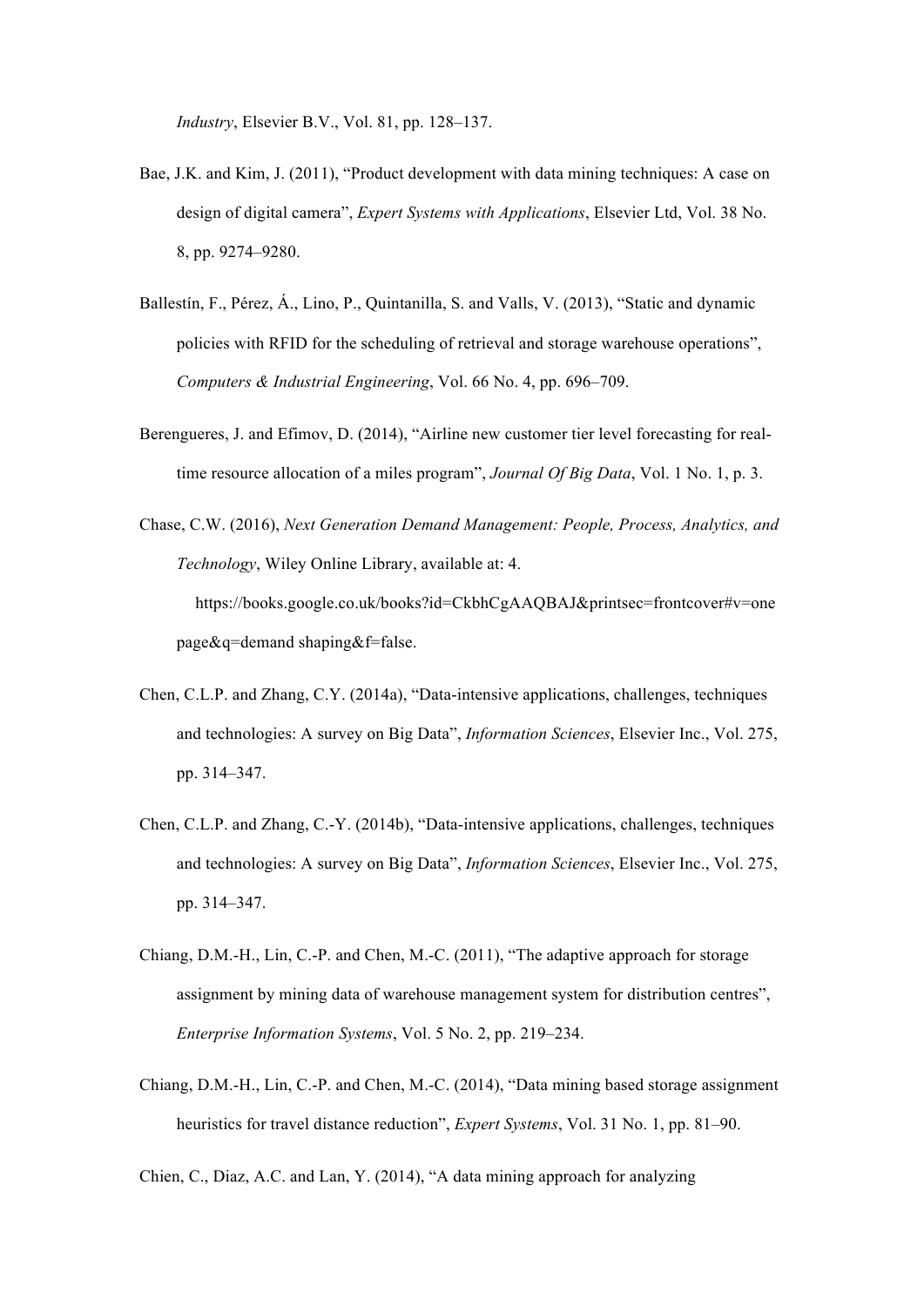*Industry*, Elsevier B.V., Vol. 81, pp. 128–137.

- Bae, J.K. and Kim, J. (2011), "Product development with data mining techniques: A case on design of digital camera", *Expert Systems with Applications*, Elsevier Ltd, Vol. 38 No. 8, pp. 9274–9280.
- Ballestín, F., Pérez, Á., Lino, P., Quintanilla, S. and Valls, V. (2013), "Static and dynamic policies with RFID for the scheduling of retrieval and storage warehouse operations", *Computers & Industrial Engineering*, Vol. 66 No. 4, pp. 696–709.
- Berengueres, J. and Efimov, D. (2014), "Airline new customer tier level forecasting for realtime resource allocation of a miles program", *Journal Of Big Data*, Vol. 1 No. 1, p. 3.

Chase, C.W. (2016), *Next Generation Demand Management: People, Process, Analytics, and Technology*, Wiley Online Library, available at: 4. https://books.google.co.uk/books?id=CkbhCgAAQBAJ&printsec=frontcover#v=one page&q=demand shaping&f=false.

- Chen, C.L.P. and Zhang, C.Y. (2014a), "Data-intensive applications, challenges, techniques and technologies: A survey on Big Data", *Information Sciences*, Elsevier Inc., Vol. 275, pp. 314–347.
- Chen, C.L.P. and Zhang, C.-Y. (2014b), "Data-intensive applications, challenges, techniques and technologies: A survey on Big Data", *Information Sciences*, Elsevier Inc., Vol. 275, pp. 314–347.
- Chiang, D.M.-H., Lin, C.-P. and Chen, M.-C. (2011), "The adaptive approach for storage assignment by mining data of warehouse management system for distribution centres", *Enterprise Information Systems*, Vol. 5 No. 2, pp. 219–234.
- Chiang, D.M.-H., Lin, C.-P. and Chen, M.-C. (2014), "Data mining based storage assignment heuristics for travel distance reduction", *Expert Systems*, Vol. 31 No. 1, pp. 81–90.

Chien, C., Diaz, A.C. and Lan, Y. (2014), "A data mining approach for analyzing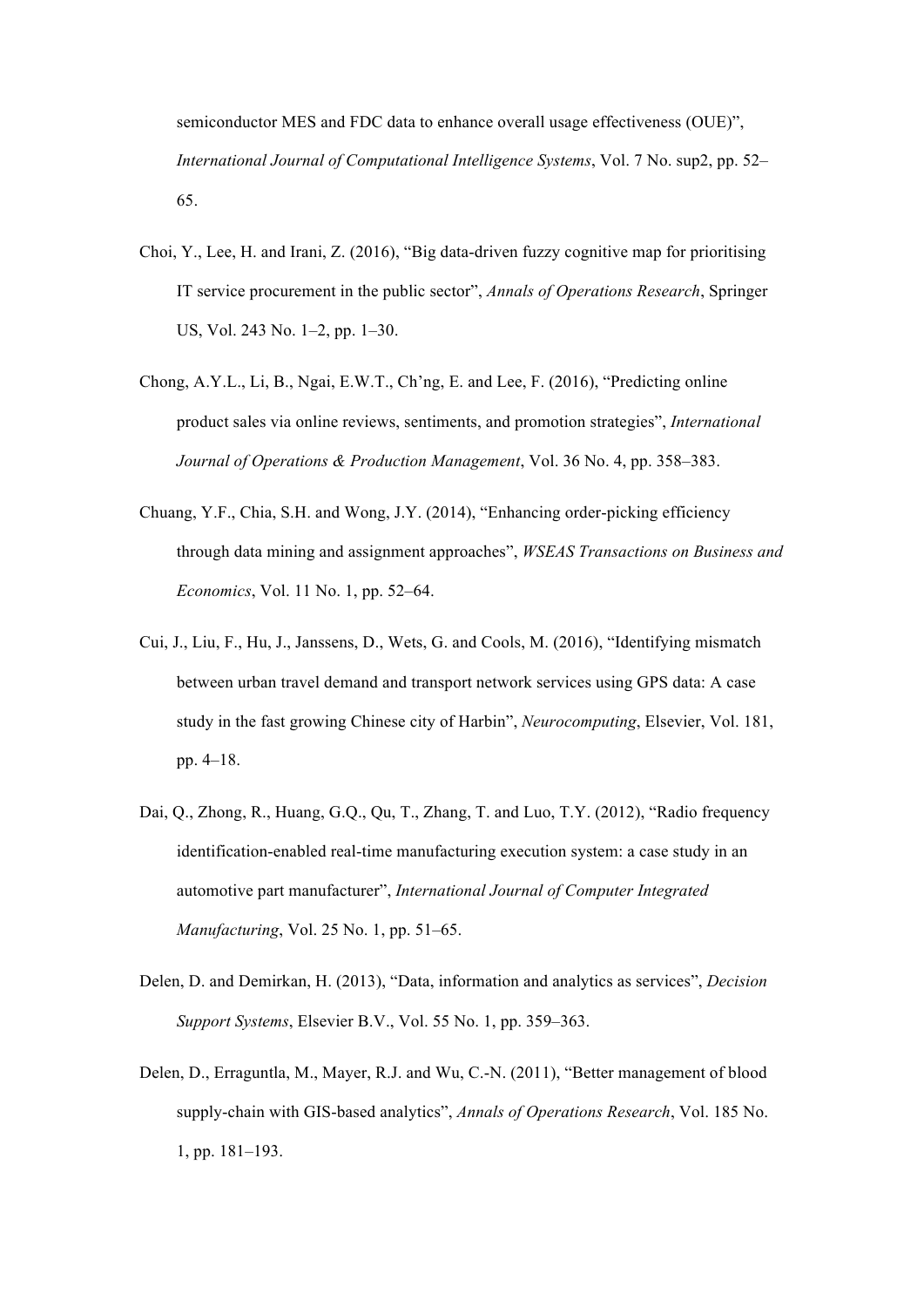semiconductor MES and FDC data to enhance overall usage effectiveness (OUE)", *International Journal of Computational Intelligence Systems*, Vol. 7 No. sup2, pp. 52– 65.

- Choi, Y., Lee, H. and Irani, Z. (2016), "Big data-driven fuzzy cognitive map for prioritising IT service procurement in the public sector", *Annals of Operations Research*, Springer US, Vol. 243 No. 1–2, pp. 1–30.
- Chong, A.Y.L., Li, B., Ngai, E.W.T., Ch'ng, E. and Lee, F. (2016), "Predicting online product sales via online reviews, sentiments, and promotion strategies", *International Journal of Operations & Production Management*, Vol. 36 No. 4, pp. 358–383.
- Chuang, Y.F., Chia, S.H. and Wong, J.Y. (2014), "Enhancing order-picking efficiency through data mining and assignment approaches", *WSEAS Transactions on Business and Economics*, Vol. 11 No. 1, pp. 52–64.
- Cui, J., Liu, F., Hu, J., Janssens, D., Wets, G. and Cools, M. (2016), "Identifying mismatch between urban travel demand and transport network services using GPS data: A case study in the fast growing Chinese city of Harbin", *Neurocomputing*, Elsevier, Vol. 181, pp. 4–18.
- Dai, Q., Zhong, R., Huang, G.Q., Qu, T., Zhang, T. and Luo, T.Y. (2012), "Radio frequency identification-enabled real-time manufacturing execution system: a case study in an automotive part manufacturer", *International Journal of Computer Integrated Manufacturing*, Vol. 25 No. 1, pp. 51–65.
- Delen, D. and Demirkan, H. (2013), "Data, information and analytics as services", *Decision Support Systems*, Elsevier B.V., Vol. 55 No. 1, pp. 359–363.
- Delen, D., Erraguntla, M., Mayer, R.J. and Wu, C.-N. (2011), "Better management of blood supply-chain with GIS-based analytics", *Annals of Operations Research*, Vol. 185 No. 1, pp. 181–193.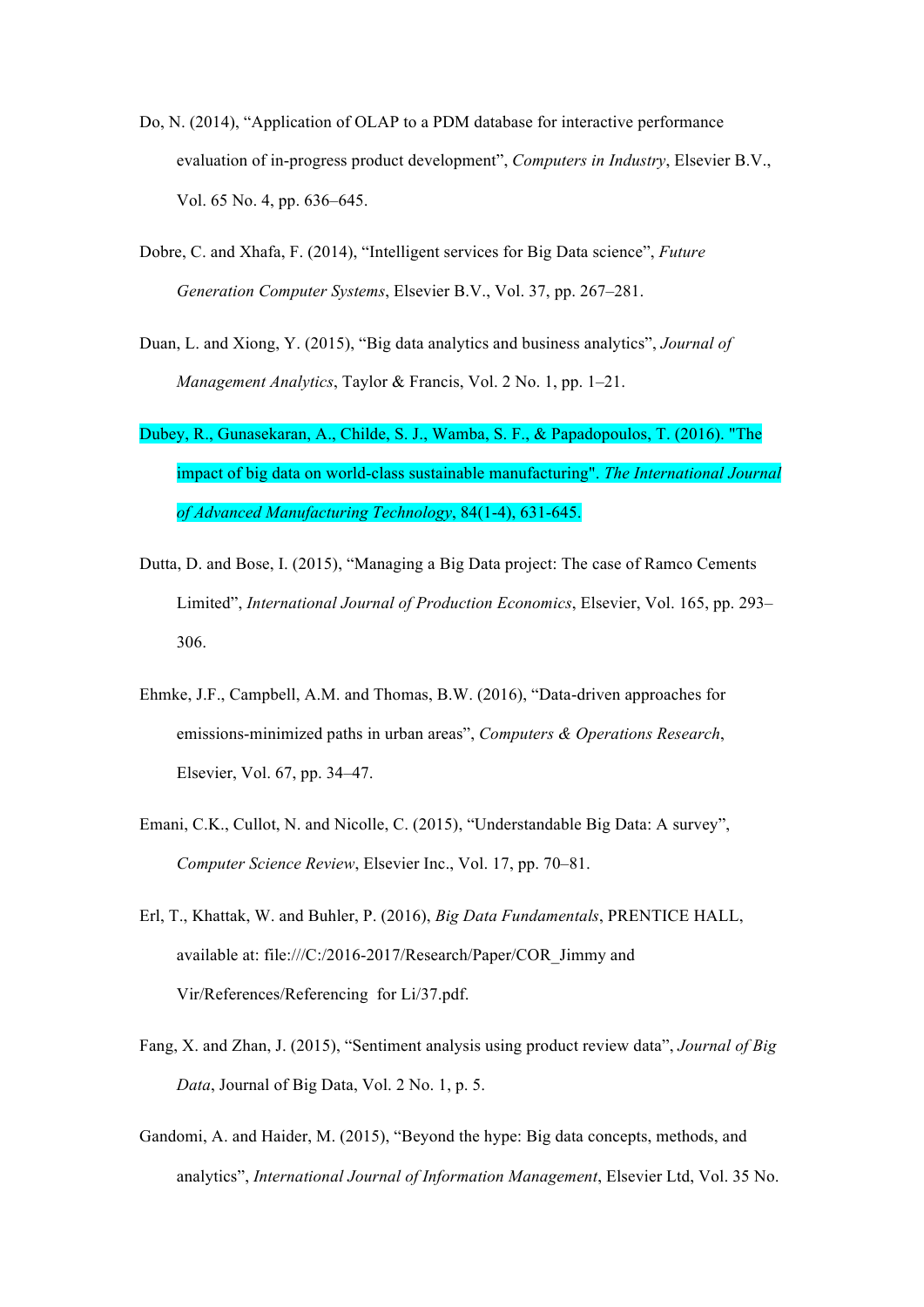- Do, N. (2014), "Application of OLAP to a PDM database for interactive performance evaluation of in-progress product development", *Computers in Industry*, Elsevier B.V., Vol. 65 No. 4, pp. 636–645.
- Dobre, C. and Xhafa, F. (2014), "Intelligent services for Big Data science", *Future Generation Computer Systems*, Elsevier B.V., Vol. 37, pp. 267–281.
- Duan, L. and Xiong, Y. (2015), "Big data analytics and business analytics", *Journal of Management Analytics*, Taylor & Francis, Vol. 2 No. 1, pp. 1–21.
- Dubey, R., Gunasekaran, A., Childe, S. J., Wamba, S. F., & Papadopoulos, T. (2016). "The impact of big data on world-class sustainable manufacturing". *The International Journal of Advanced Manufacturing Technology*, 84(1-4), 631-645.
- Dutta, D. and Bose, I. (2015), "Managing a Big Data project: The case of Ramco Cements Limited", *International Journal of Production Economics*, Elsevier, Vol. 165, pp. 293– 306.
- Ehmke, J.F., Campbell, A.M. and Thomas, B.W. (2016), "Data-driven approaches for emissions-minimized paths in urban areas", *Computers & Operations Research*, Elsevier, Vol. 67, pp. 34–47.
- Emani, C.K., Cullot, N. and Nicolle, C. (2015), "Understandable Big Data: A survey", *Computer Science Review*, Elsevier Inc., Vol. 17, pp. 70–81.
- Erl, T., Khattak, W. and Buhler, P. (2016), *Big Data Fundamentals*, PRENTICE HALL, available at: file:///C:/2016-2017/Research/Paper/COR\_Jimmy and Vir/References/Referencing for Li/37.pdf.
- Fang, X. and Zhan, J. (2015), "Sentiment analysis using product review data", *Journal of Big Data*, Journal of Big Data, Vol. 2 No. 1, p. 5.
- Gandomi, A. and Haider, M. (2015), "Beyond the hype: Big data concepts, methods, and analytics", *International Journal of Information Management*, Elsevier Ltd, Vol. 35 No.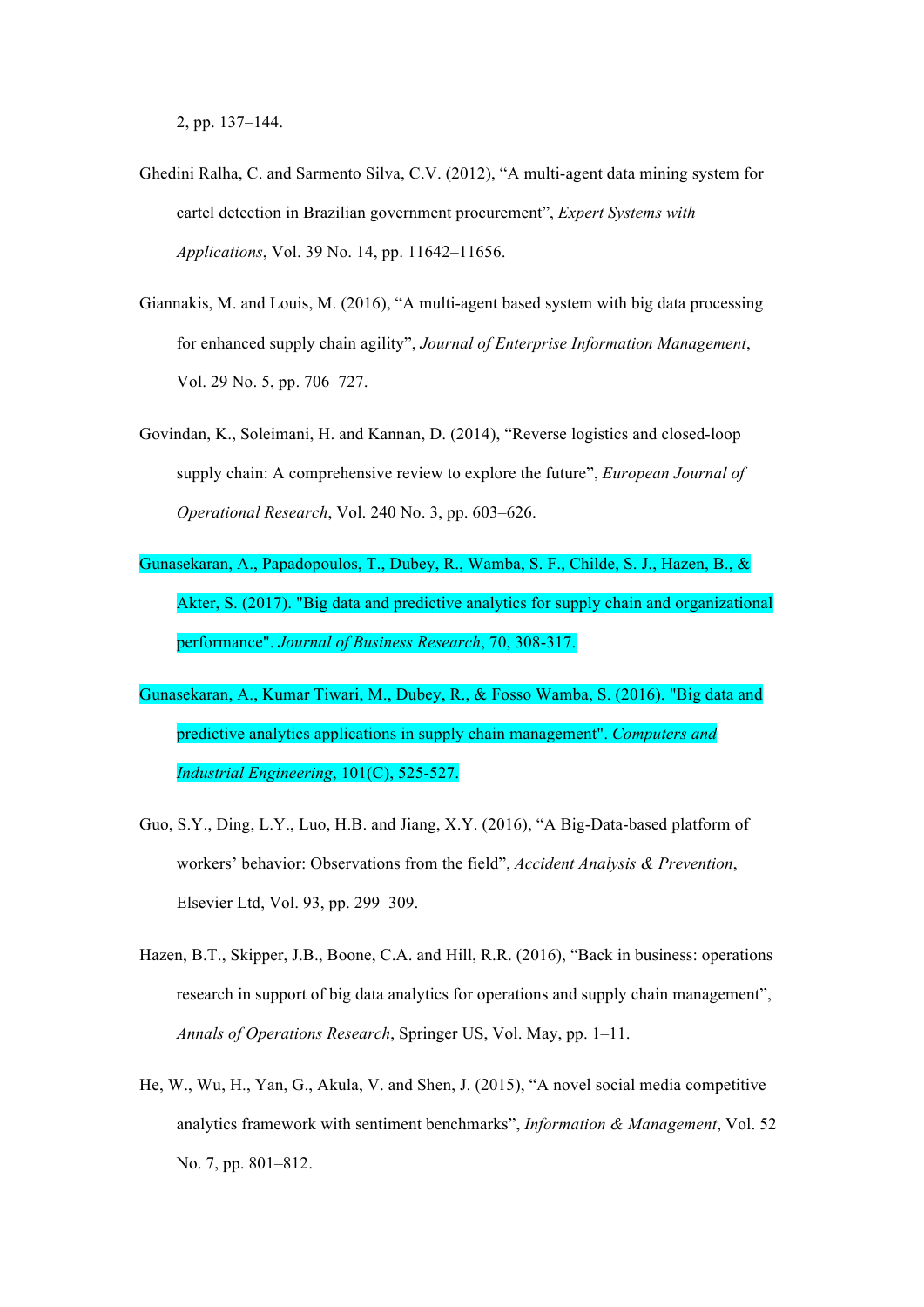2, pp. 137–144.

- Ghedini Ralha, C. and Sarmento Silva, C.V. (2012), "A multi-agent data mining system for cartel detection in Brazilian government procurement", *Expert Systems with Applications*, Vol. 39 No. 14, pp. 11642–11656.
- Giannakis, M. and Louis, M. (2016), "A multi-agent based system with big data processing for enhanced supply chain agility", *Journal of Enterprise Information Management*, Vol. 29 No. 5, pp. 706–727.
- Govindan, K., Soleimani, H. and Kannan, D. (2014), "Reverse logistics and closed-loop supply chain: A comprehensive review to explore the future", *European Journal of Operational Research*, Vol. 240 No. 3, pp. 603–626.
- Gunasekaran, A., Papadopoulos, T., Dubey, R., Wamba, S. F., Childe, S. J., Hazen, B., & Akter, S. (2017). "Big data and predictive analytics for supply chain and organizational performance". *Journal of Business Research*, 70, 308-317.
- Gunasekaran, A., Kumar Tiwari, M., Dubey, R., & Fosso Wamba, S. (2016). "Big data and predictive analytics applications in supply chain management". *Computers and Industrial Engineering*, 101(C), 525-527.
- Guo, S.Y., Ding, L.Y., Luo, H.B. and Jiang, X.Y. (2016), "A Big-Data-based platform of workers' behavior: Observations from the field", *Accident Analysis & Prevention*, Elsevier Ltd, Vol. 93, pp. 299–309.
- Hazen, B.T., Skipper, J.B., Boone, C.A. and Hill, R.R. (2016), "Back in business: operations research in support of big data analytics for operations and supply chain management", *Annals of Operations Research*, Springer US, Vol. May, pp. 1–11.
- He, W., Wu, H., Yan, G., Akula, V. and Shen, J. (2015), "A novel social media competitive analytics framework with sentiment benchmarks", *Information & Management*, Vol. 52 No. 7, pp. 801–812.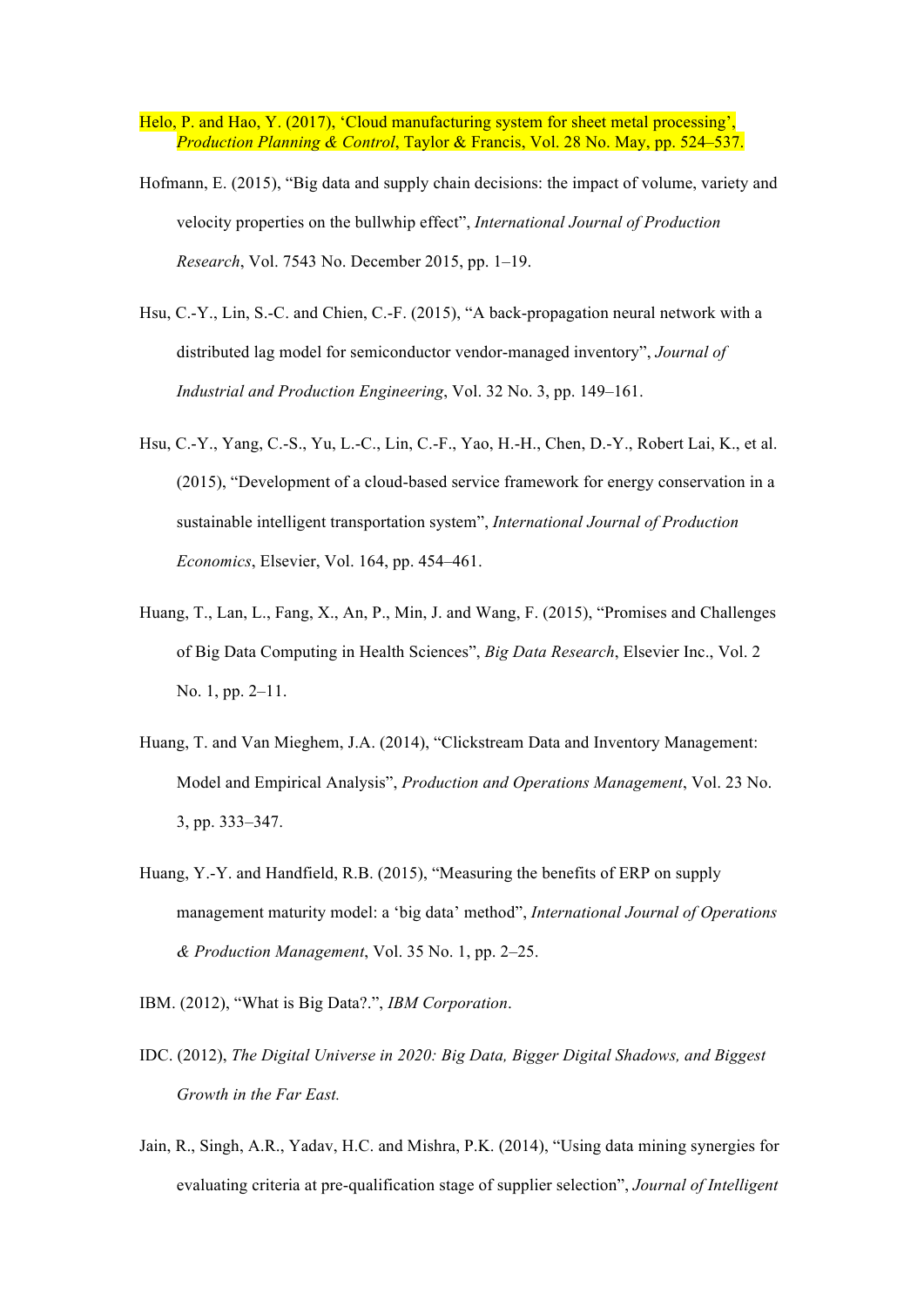Helo, P. and Hao, Y. (2017), 'Cloud manufacturing system for sheet metal processing', *Production Planning & Control*, Taylor & Francis, Vol. 28 No. May, pp. 524–537.

- Hofmann, E. (2015), "Big data and supply chain decisions: the impact of volume, variety and velocity properties on the bullwhip effect", *International Journal of Production Research*, Vol. 7543 No. December 2015, pp. 1–19.
- Hsu, C.-Y., Lin, S.-C. and Chien, C.-F. (2015), "A back-propagation neural network with a distributed lag model for semiconductor vendor-managed inventory", *Journal of Industrial and Production Engineering*, Vol. 32 No. 3, pp. 149–161.
- Hsu, C.-Y., Yang, C.-S., Yu, L.-C., Lin, C.-F., Yao, H.-H., Chen, D.-Y., Robert Lai, K., et al. (2015), "Development of a cloud-based service framework for energy conservation in a sustainable intelligent transportation system", *International Journal of Production Economics*, Elsevier, Vol. 164, pp. 454–461.
- Huang, T., Lan, L., Fang, X., An, P., Min, J. and Wang, F. (2015), "Promises and Challenges of Big Data Computing in Health Sciences", *Big Data Research*, Elsevier Inc., Vol. 2 No. 1, pp. 2–11.
- Huang, T. and Van Mieghem, J.A. (2014), "Clickstream Data and Inventory Management: Model and Empirical Analysis", *Production and Operations Management*, Vol. 23 No. 3, pp. 333–347.
- Huang, Y.-Y. and Handfield, R.B. (2015), "Measuring the benefits of ERP on supply management maturity model: a 'big data' method", *International Journal of Operations & Production Management*, Vol. 35 No. 1, pp. 2–25.
- IBM. (2012), "What is Big Data?.", *IBM Corporation*.
- IDC. (2012), *The Digital Universe in 2020: Big Data, Bigger Digital Shadows, and Biggest Growth in the Far East.*
- Jain, R., Singh, A.R., Yadav, H.C. and Mishra, P.K. (2014), "Using data mining synergies for evaluating criteria at pre-qualification stage of supplier selection", *Journal of Intelligent*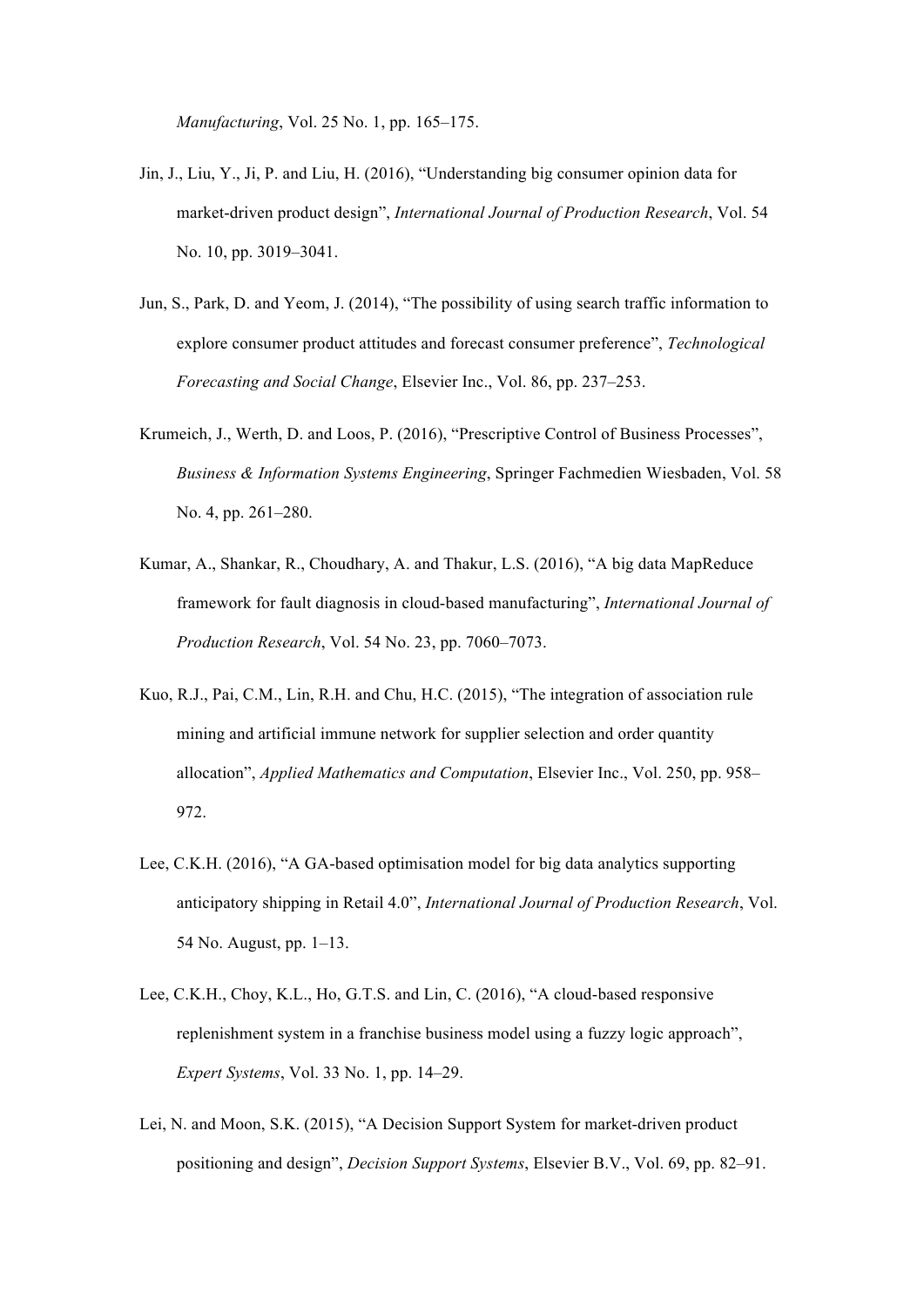*Manufacturing*, Vol. 25 No. 1, pp. 165–175.

- Jin, J., Liu, Y., Ji, P. and Liu, H. (2016), "Understanding big consumer opinion data for market-driven product design", *International Journal of Production Research*, Vol. 54 No. 10, pp. 3019–3041.
- Jun, S., Park, D. and Yeom, J. (2014), "The possibility of using search traffic information to explore consumer product attitudes and forecast consumer preference", *Technological Forecasting and Social Change*, Elsevier Inc., Vol. 86, pp. 237–253.
- Krumeich, J., Werth, D. and Loos, P. (2016), "Prescriptive Control of Business Processes", *Business & Information Systems Engineering*, Springer Fachmedien Wiesbaden, Vol. 58 No. 4, pp. 261–280.
- Kumar, A., Shankar, R., Choudhary, A. and Thakur, L.S. (2016), "A big data MapReduce framework for fault diagnosis in cloud-based manufacturing", *International Journal of Production Research*, Vol. 54 No. 23, pp. 7060–7073.
- Kuo, R.J., Pai, C.M., Lin, R.H. and Chu, H.C. (2015), "The integration of association rule mining and artificial immune network for supplier selection and order quantity allocation", *Applied Mathematics and Computation*, Elsevier Inc., Vol. 250, pp. 958– 972.
- Lee, C.K.H. (2016), "A GA-based optimisation model for big data analytics supporting anticipatory shipping in Retail 4.0", *International Journal of Production Research*, Vol. 54 No. August, pp. 1–13.
- Lee, C.K.H., Choy, K.L., Ho, G.T.S. and Lin, C. (2016), "A cloud-based responsive replenishment system in a franchise business model using a fuzzy logic approach", *Expert Systems*, Vol. 33 No. 1, pp. 14–29.
- Lei, N. and Moon, S.K. (2015), "A Decision Support System for market-driven product positioning and design", *Decision Support Systems*, Elsevier B.V., Vol. 69, pp. 82–91.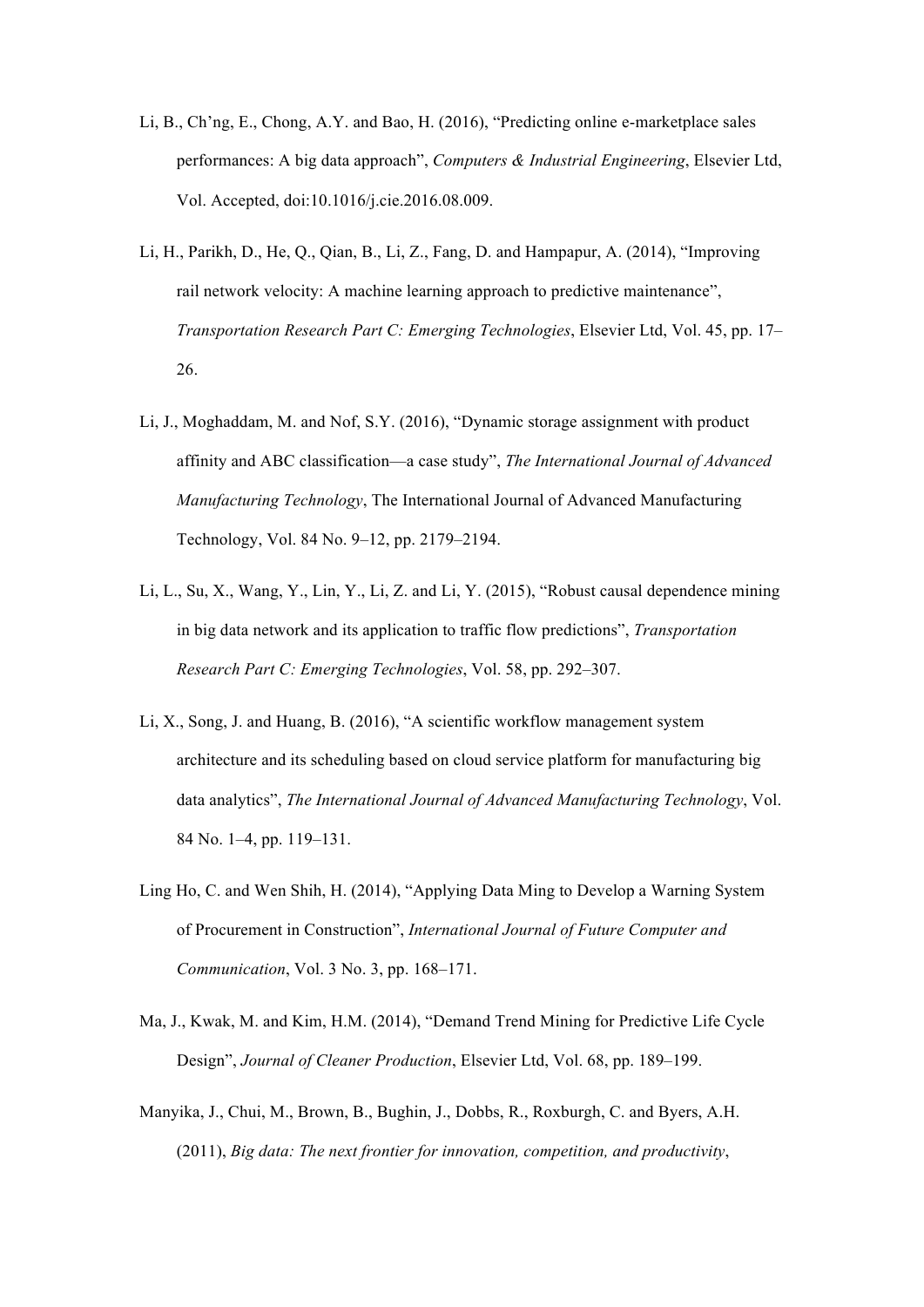- Li, B., Ch'ng, E., Chong, A.Y. and Bao, H. (2016), "Predicting online e-marketplace sales performances: A big data approach", *Computers & Industrial Engineering*, Elsevier Ltd, Vol. Accepted, doi:10.1016/j.cie.2016.08.009.
- Li, H., Parikh, D., He, Q., Qian, B., Li, Z., Fang, D. and Hampapur, A. (2014), "Improving rail network velocity: A machine learning approach to predictive maintenance", *Transportation Research Part C: Emerging Technologies*, Elsevier Ltd, Vol. 45, pp. 17– 26.
- Li, J., Moghaddam, M. and Nof, S.Y. (2016), "Dynamic storage assignment with product affinity and ABC classification—a case study", *The International Journal of Advanced Manufacturing Technology*, The International Journal of Advanced Manufacturing Technology, Vol. 84 No. 9–12, pp. 2179–2194.
- Li, L., Su, X., Wang, Y., Lin, Y., Li, Z. and Li, Y. (2015), "Robust causal dependence mining in big data network and its application to traffic flow predictions", *Transportation Research Part C: Emerging Technologies*, Vol. 58, pp. 292–307.
- Li, X., Song, J. and Huang, B. (2016), "A scientific workflow management system architecture and its scheduling based on cloud service platform for manufacturing big data analytics", *The International Journal of Advanced Manufacturing Technology*, Vol. 84 No. 1–4, pp. 119–131.
- Ling Ho, C. and Wen Shih, H. (2014), "Applying Data Ming to Develop a Warning System of Procurement in Construction", *International Journal of Future Computer and Communication*, Vol. 3 No. 3, pp. 168–171.
- Ma, J., Kwak, M. and Kim, H.M. (2014), "Demand Trend Mining for Predictive Life Cycle Design", *Journal of Cleaner Production*, Elsevier Ltd, Vol. 68, pp. 189–199.
- Manyika, J., Chui, M., Brown, B., Bughin, J., Dobbs, R., Roxburgh, C. and Byers, A.H. (2011), *Big data: The next frontier for innovation, competition, and productivity*,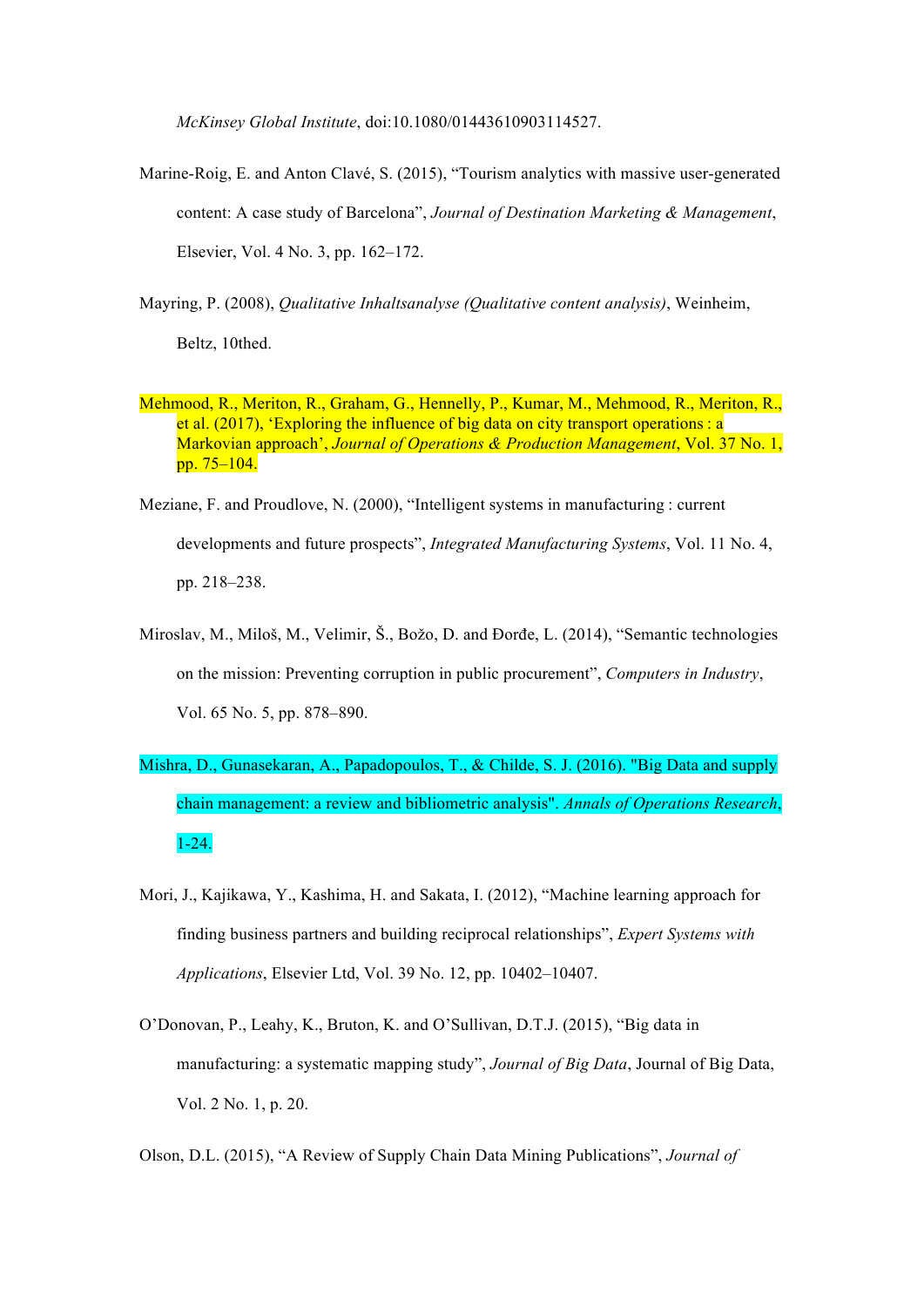*McKinsey Global Institute*, doi:10.1080/01443610903114527.

- Marine-Roig, E. and Anton Clavé, S. (2015), "Tourism analytics with massive user-generated content: A case study of Barcelona", *Journal of Destination Marketing & Management*, Elsevier, Vol. 4 No. 3, pp. 162–172.
- Mayring, P. (2008), *Qualitative Inhaltsanalyse (Qualitative content analysis)*, Weinheim, Beltz, 10thed.
- Mehmood, R., Meriton, R., Graham, G., Hennelly, P., Kumar, M., Mehmood, R., Meriton, R., et al. (2017), 'Exploring the influence of big data on city transport operations : a Markovian approach', *Journal of Operations & Production Management*, Vol. 37 No. 1, pp. 75–104.
- Meziane, F. and Proudlove, N. (2000), "Intelligent systems in manufacturing : current developments and future prospects", *Integrated Manufacturing Systems*, Vol. 11 No. 4, pp. 218–238.
- Miroslav, M., Miloš, M., Velimir, Š., Božo, D. and Đorđe, L. (2014), "Semantic technologies on the mission: Preventing corruption in public procurement", *Computers in Industry*, Vol. 65 No. 5, pp. 878–890.
- Mishra, D., Gunasekaran, A., Papadopoulos, T., & Childe, S. J. (2016). "Big Data and supply chain management: a review and bibliometric analysis". *Annals of Operations Research*, 1-24.
- Mori, J., Kajikawa, Y., Kashima, H. and Sakata, I. (2012), "Machine learning approach for finding business partners and building reciprocal relationships", *Expert Systems with Applications*, Elsevier Ltd, Vol. 39 No. 12, pp. 10402–10407.
- O'Donovan, P., Leahy, K., Bruton, K. and O'Sullivan, D.T.J. (2015), "Big data in manufacturing: a systematic mapping study", *Journal of Big Data*, Journal of Big Data, Vol. 2 No. 1, p. 20.

Olson, D.L. (2015), "A Review of Supply Chain Data Mining Publications", *Journal of*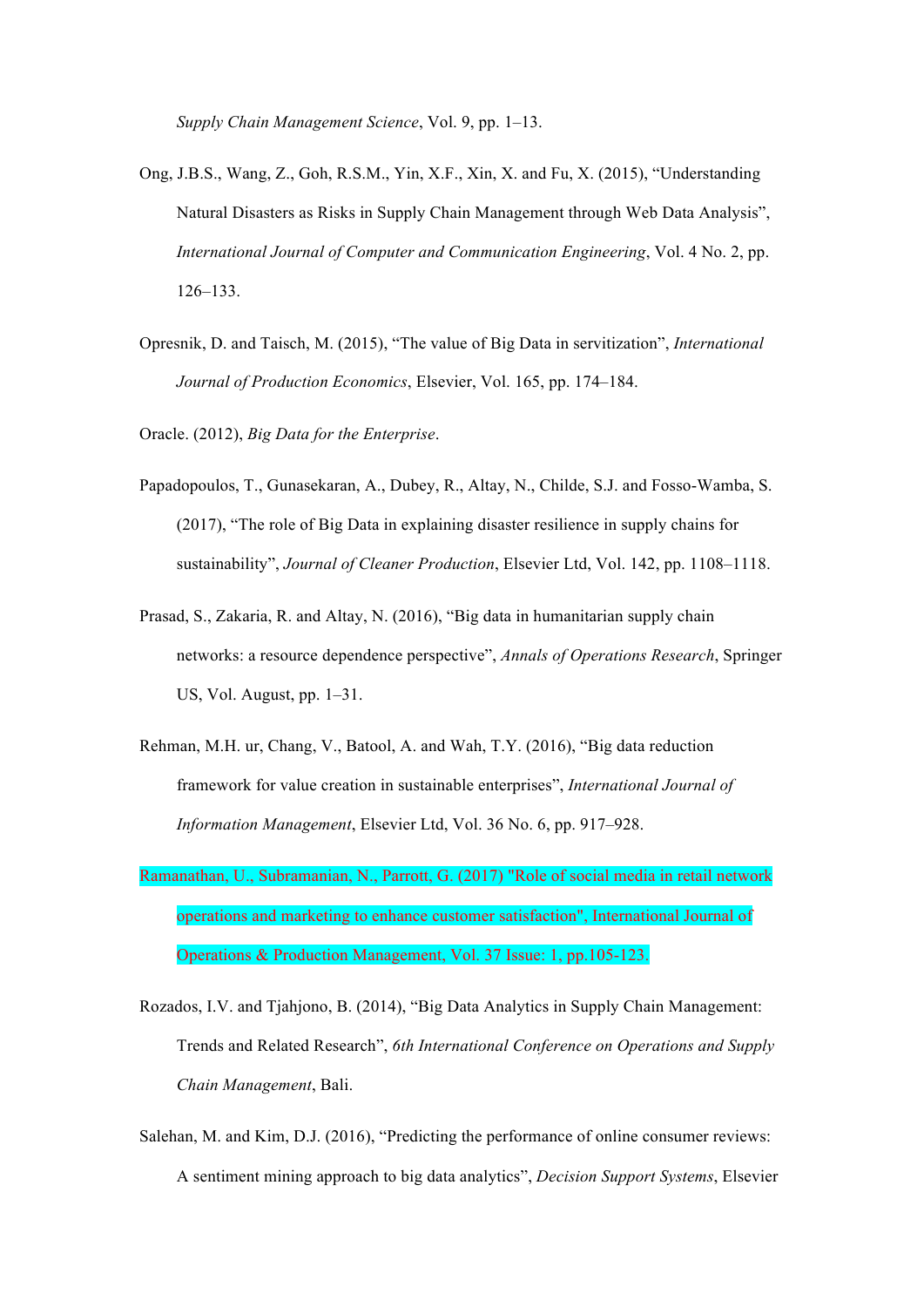*Supply Chain Management Science*, Vol. 9, pp. 1–13.

- Ong, J.B.S., Wang, Z., Goh, R.S.M., Yin, X.F., Xin, X. and Fu, X. (2015), "Understanding Natural Disasters as Risks in Supply Chain Management through Web Data Analysis", *International Journal of Computer and Communication Engineering*, Vol. 4 No. 2, pp. 126–133.
- Opresnik, D. and Taisch, M. (2015), "The value of Big Data in servitization", *International Journal of Production Economics*, Elsevier, Vol. 165, pp. 174–184.
- Oracle. (2012), *Big Data for the Enterprise*.
- Papadopoulos, T., Gunasekaran, A., Dubey, R., Altay, N., Childe, S.J. and Fosso-Wamba, S. (2017), "The role of Big Data in explaining disaster resilience in supply chains for sustainability", *Journal of Cleaner Production*, Elsevier Ltd, Vol. 142, pp. 1108–1118.
- Prasad, S., Zakaria, R. and Altay, N. (2016), "Big data in humanitarian supply chain networks: a resource dependence perspective", *Annals of Operations Research*, Springer US, Vol. August, pp. 1–31.
- Rehman, M.H. ur, Chang, V., Batool, A. and Wah, T.Y. (2016), "Big data reduction framework for value creation in sustainable enterprises", *International Journal of Information Management*, Elsevier Ltd, Vol. 36 No. 6, pp. 917–928.
- Ramanathan, U., Subramanian, N., Parrott, G. (2017) "Role of social media in retail network operations and marketing to enhance customer satisfaction", International Journal of Operations & Production Management, Vol. 37 Issue: 1, pp.105-123.
- Rozados, I.V. and Tjahjono, B. (2014), "Big Data Analytics in Supply Chain Management: Trends and Related Research", *6th International Conference on Operations and Supply Chain Management*, Bali.
- Salehan, M. and Kim, D.J. (2016), "Predicting the performance of online consumer reviews: A sentiment mining approach to big data analytics", *Decision Support Systems*, Elsevier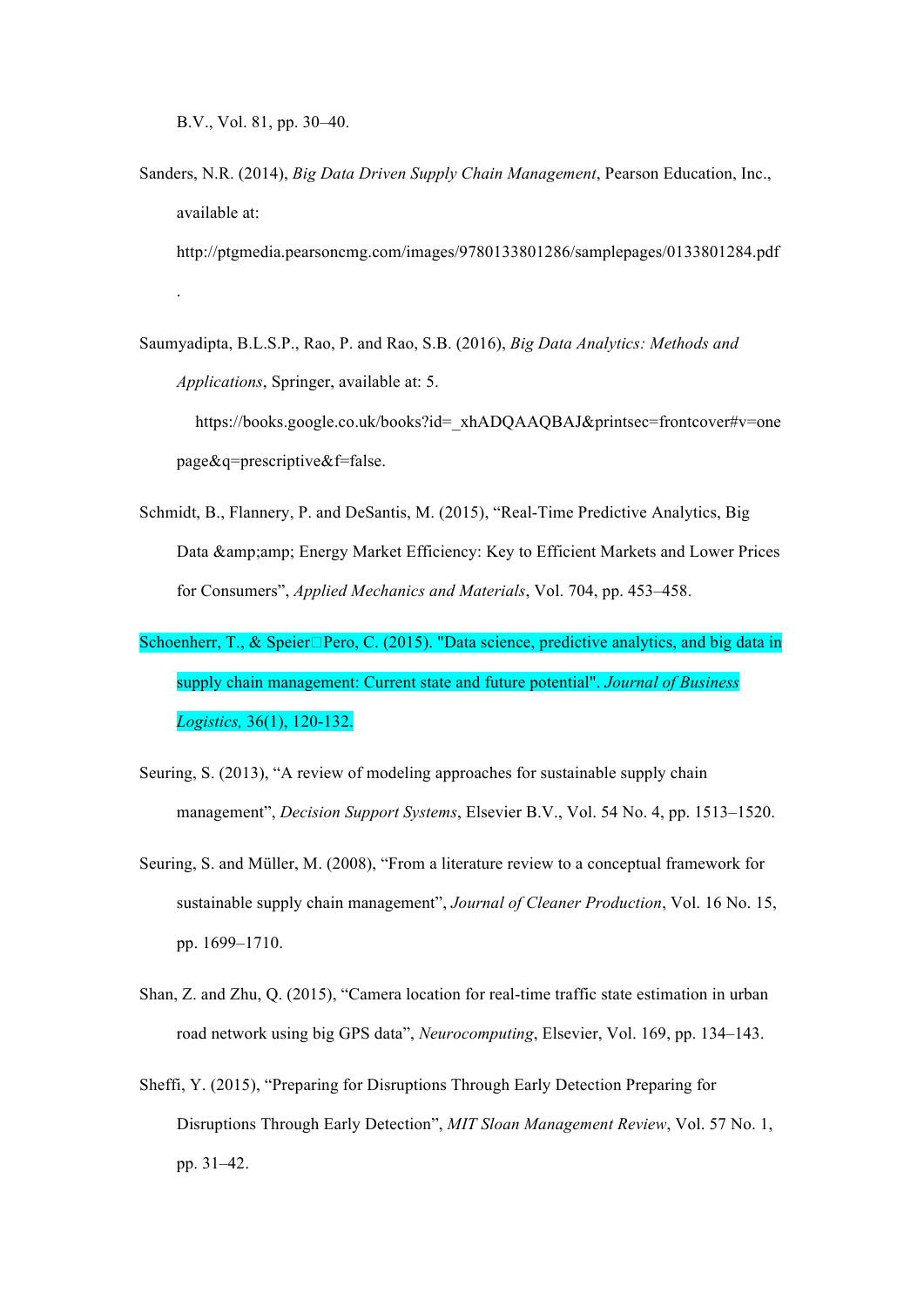B.V., Vol. 81, pp. 30–40.

.

Sanders, N.R. (2014), *Big Data Driven Supply Chain Management*, Pearson Education, Inc., available at:

http://ptgmedia.pearsoncmg.com/images/9780133801286/samplepages/0133801284.pdf

Saumyadipta, B.L.S.P., Rao, P. and Rao, S.B. (2016), *Big Data Analytics: Methods and Applications*, Springer, available at: 5.

https://books.google.co.uk/books?id=\_xhADQAAQBAJ&printsec=frontcover#v=one page&q=prescriptive&f=false.

- Schmidt, B., Flannery, P. and DeSantis, M. (2015), "Real-Time Predictive Analytics, Big Data & amp; amp; Energy Market Efficiency: Key to Efficient Markets and Lower Prices for Consumers", *Applied Mechanics and Materials*, Vol. 704, pp. 453–458.
- Schoenherr, T., & Speier Pero, C. (2015). "Data science, predictive analytics, and big data in supply chain management: Current state and future potential". *Journal of Business Logistics,* 36(1), 120-132.
- Seuring, S. (2013), "A review of modeling approaches for sustainable supply chain management", *Decision Support Systems*, Elsevier B.V., Vol. 54 No. 4, pp. 1513–1520.
- Seuring, S. and Müller, M. (2008), "From a literature review to a conceptual framework for sustainable supply chain management", *Journal of Cleaner Production*, Vol. 16 No. 15, pp. 1699–1710.
- Shan, Z. and Zhu, Q. (2015), "Camera location for real-time traffic state estimation in urban road network using big GPS data", *Neurocomputing*, Elsevier, Vol. 169, pp. 134–143.
- Sheffi, Y. (2015), "Preparing for Disruptions Through Early Detection Preparing for Disruptions Through Early Detection", *MIT Sloan Management Review*, Vol. 57 No. 1, pp. 31–42.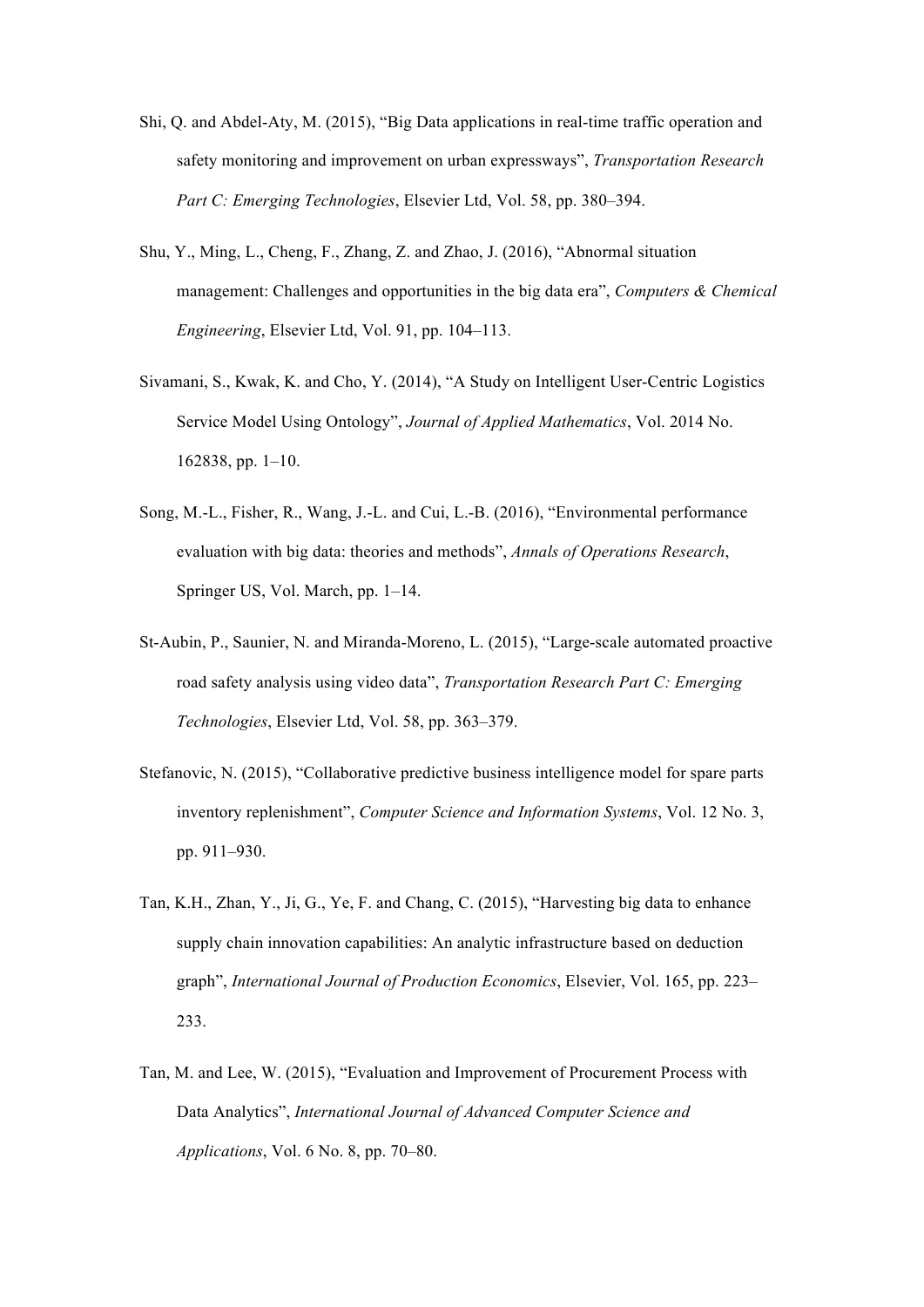- Shi, Q. and Abdel-Aty, M. (2015), "Big Data applications in real-time traffic operation and safety monitoring and improvement on urban expressways", *Transportation Research Part C: Emerging Technologies*, Elsevier Ltd, Vol. 58, pp. 380–394.
- Shu, Y., Ming, L., Cheng, F., Zhang, Z. and Zhao, J. (2016), "Abnormal situation management: Challenges and opportunities in the big data era", *Computers & Chemical Engineering*, Elsevier Ltd, Vol. 91, pp. 104–113.
- Sivamani, S., Kwak, K. and Cho, Y. (2014), "A Study on Intelligent User-Centric Logistics Service Model Using Ontology", *Journal of Applied Mathematics*, Vol. 2014 No. 162838, pp. 1–10.
- Song, M.-L., Fisher, R., Wang, J.-L. and Cui, L.-B. (2016), "Environmental performance evaluation with big data: theories and methods", *Annals of Operations Research*, Springer US, Vol. March, pp. 1–14.
- St-Aubin, P., Saunier, N. and Miranda-Moreno, L. (2015), "Large-scale automated proactive road safety analysis using video data", *Transportation Research Part C: Emerging Technologies*, Elsevier Ltd, Vol. 58, pp. 363–379.
- Stefanovic, N. (2015), "Collaborative predictive business intelligence model for spare parts inventory replenishment", *Computer Science and Information Systems*, Vol. 12 No. 3, pp. 911–930.
- Tan, K.H., Zhan, Y., Ji, G., Ye, F. and Chang, C. (2015), "Harvesting big data to enhance supply chain innovation capabilities: An analytic infrastructure based on deduction graph", *International Journal of Production Economics*, Elsevier, Vol. 165, pp. 223– 233.
- Tan, M. and Lee, W. (2015), "Evaluation and Improvement of Procurement Process with Data Analytics", *International Journal of Advanced Computer Science and Applications*, Vol. 6 No. 8, pp. 70–80.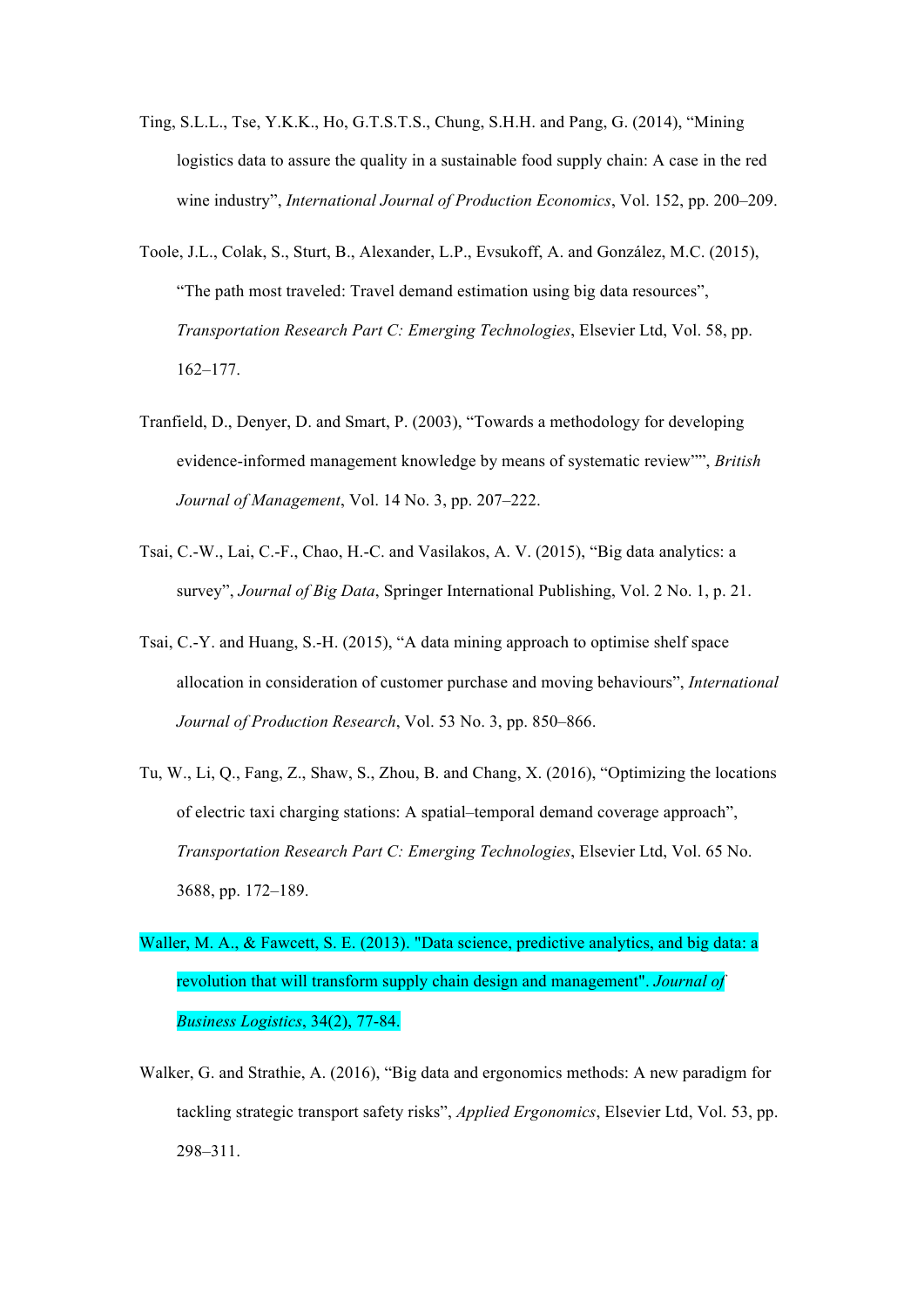- Ting, S.L.L., Tse, Y.K.K., Ho, G.T.S.T.S., Chung, S.H.H. and Pang, G. (2014), "Mining logistics data to assure the quality in a sustainable food supply chain: A case in the red wine industry", *International Journal of Production Economics*, Vol. 152, pp. 200–209.
- Toole, J.L., Colak, S., Sturt, B., Alexander, L.P., Evsukoff, A. and González, M.C. (2015), "The path most traveled: Travel demand estimation using big data resources", *Transportation Research Part C: Emerging Technologies*, Elsevier Ltd, Vol. 58, pp. 162–177.
- Tranfield, D., Denyer, D. and Smart, P. (2003), "Towards a methodology for developing evidence-informed management knowledge by means of systematic review"", *British Journal of Management*, Vol. 14 No. 3, pp. 207–222.
- Tsai, C.-W., Lai, C.-F., Chao, H.-C. and Vasilakos, A. V. (2015), "Big data analytics: a survey", *Journal of Big Data*, Springer International Publishing, Vol. 2 No. 1, p. 21.
- Tsai, C.-Y. and Huang, S.-H. (2015), "A data mining approach to optimise shelf space allocation in consideration of customer purchase and moving behaviours", *International Journal of Production Research*, Vol. 53 No. 3, pp. 850–866.
- Tu, W., Li, Q., Fang, Z., Shaw, S., Zhou, B. and Chang, X. (2016), "Optimizing the locations of electric taxi charging stations: A spatial–temporal demand coverage approach", *Transportation Research Part C: Emerging Technologies*, Elsevier Ltd, Vol. 65 No. 3688, pp. 172–189.
- Waller, M. A., & Fawcett, S. E. (2013). "Data science, predictive analytics, and big data: a revolution that will transform supply chain design and management". *Journal of Business Logistics*, 34(2), 77-84.
- Walker, G. and Strathie, A. (2016), "Big data and ergonomics methods: A new paradigm for tackling strategic transport safety risks", *Applied Ergonomics*, Elsevier Ltd, Vol. 53, pp. 298–311.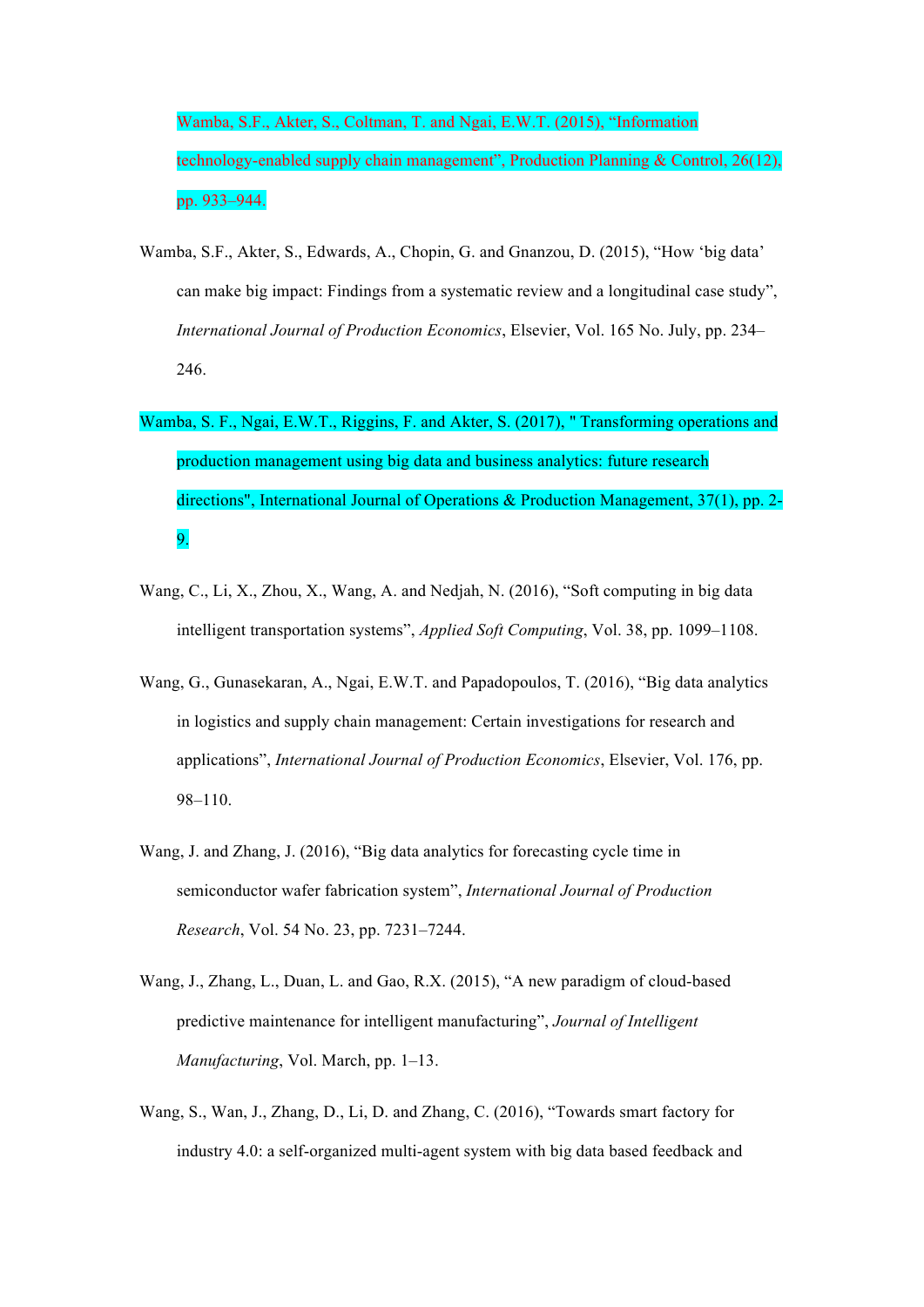Wamba, S.F., Akter, S., Coltman, T. and Ngai, E.W.T. (2015), "Information technology-enabled supply chain management", Production Planning & Control, 26(12), pp. 933–944.

- Wamba, S.F., Akter, S., Edwards, A., Chopin, G. and Gnanzou, D. (2015), "How 'big data' can make big impact: Findings from a systematic review and a longitudinal case study", *International Journal of Production Economics*, Elsevier, Vol. 165 No. July, pp. 234– 246.
- Wamba, S. F., Ngai, E.W.T., Riggins, F. and Akter, S. (2017), " Transforming operations and production management using big data and business analytics: future research directions", International Journal of Operations & Production Management, 37(1), pp. 2- 9.
- Wang, C., Li, X., Zhou, X., Wang, A. and Nedjah, N. (2016), "Soft computing in big data intelligent transportation systems", *Applied Soft Computing*, Vol. 38, pp. 1099–1108.
- Wang, G., Gunasekaran, A., Ngai, E.W.T. and Papadopoulos, T. (2016), "Big data analytics in logistics and supply chain management: Certain investigations for research and applications", *International Journal of Production Economics*, Elsevier, Vol. 176, pp. 98–110.
- Wang, J. and Zhang, J. (2016), "Big data analytics for forecasting cycle time in semiconductor wafer fabrication system", *International Journal of Production Research*, Vol. 54 No. 23, pp. 7231–7244.
- Wang, J., Zhang, L., Duan, L. and Gao, R.X. (2015), "A new paradigm of cloud-based predictive maintenance for intelligent manufacturing", *Journal of Intelligent Manufacturing*, Vol. March, pp. 1–13.
- Wang, S., Wan, J., Zhang, D., Li, D. and Zhang, C. (2016), "Towards smart factory for industry 4.0: a self-organized multi-agent system with big data based feedback and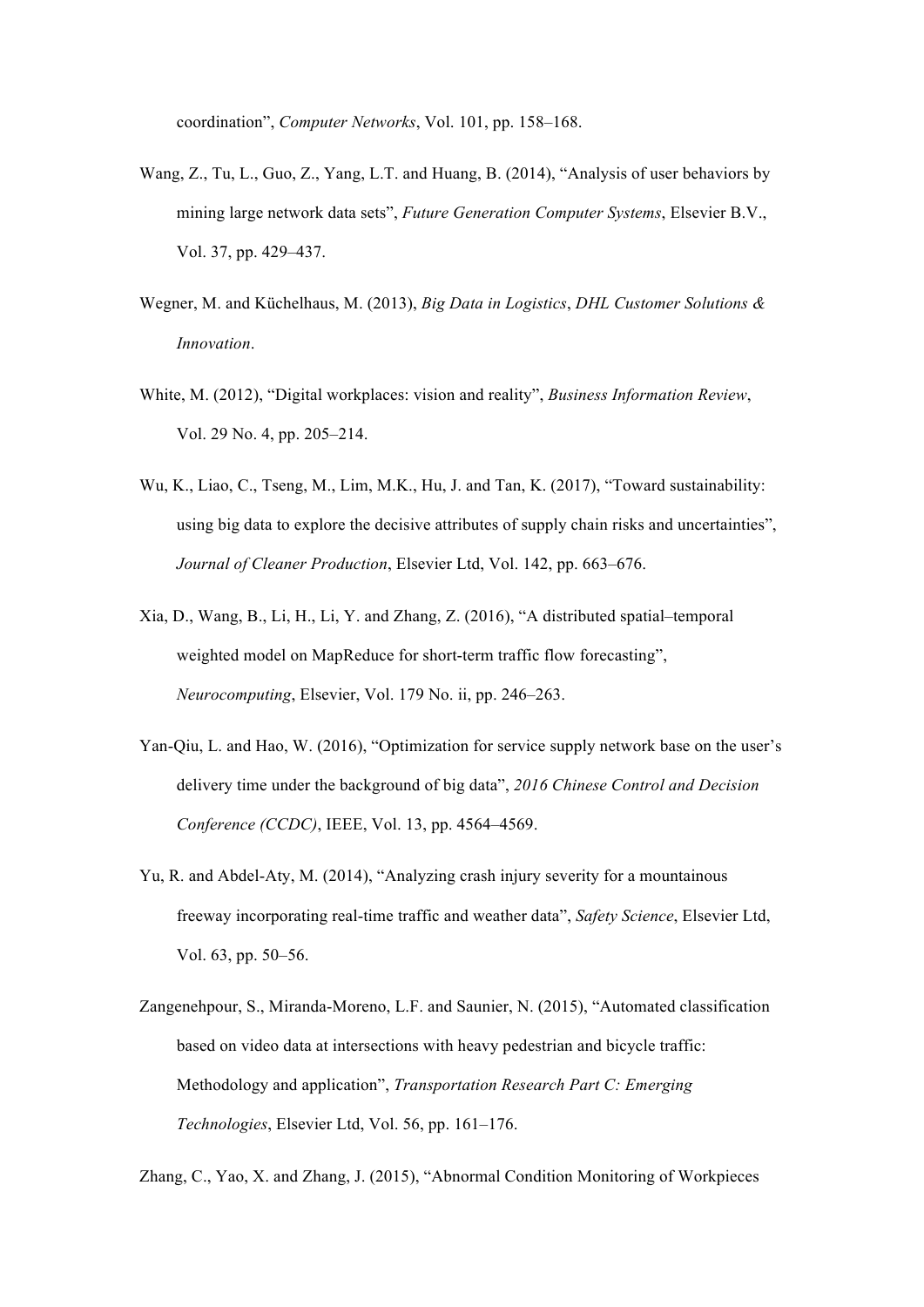coordination", *Computer Networks*, Vol. 101, pp. 158–168.

- Wang, Z., Tu, L., Guo, Z., Yang, L.T. and Huang, B. (2014), "Analysis of user behaviors by mining large network data sets", *Future Generation Computer Systems*, Elsevier B.V., Vol. 37, pp. 429–437.
- Wegner, M. and Küchelhaus, M. (2013), *Big Data in Logistics*, *DHL Customer Solutions & Innovation*.
- White, M. (2012), "Digital workplaces: vision and reality", *Business Information Review*, Vol. 29 No. 4, pp. 205–214.
- Wu, K., Liao, C., Tseng, M., Lim, M.K., Hu, J. and Tan, K. (2017), "Toward sustainability: using big data to explore the decisive attributes of supply chain risks and uncertainties", *Journal of Cleaner Production*, Elsevier Ltd, Vol. 142, pp. 663–676.
- Xia, D., Wang, B., Li, H., Li, Y. and Zhang, Z. (2016), "A distributed spatial–temporal weighted model on MapReduce for short-term traffic flow forecasting", *Neurocomputing*, Elsevier, Vol. 179 No. ii, pp. 246–263.
- Yan-Qiu, L. and Hao, W. (2016), "Optimization for service supply network base on the user's delivery time under the background of big data", *2016 Chinese Control and Decision Conference (CCDC)*, IEEE, Vol. 13, pp. 4564–4569.
- Yu, R. and Abdel-Aty, M. (2014), "Analyzing crash injury severity for a mountainous freeway incorporating real-time traffic and weather data", *Safety Science*, Elsevier Ltd, Vol. 63, pp. 50–56.
- Zangenehpour, S., Miranda-Moreno, L.F. and Saunier, N. (2015), "Automated classification based on video data at intersections with heavy pedestrian and bicycle traffic: Methodology and application", *Transportation Research Part C: Emerging Technologies*, Elsevier Ltd, Vol. 56, pp. 161–176.

Zhang, C., Yao, X. and Zhang, J. (2015), "Abnormal Condition Monitoring of Workpieces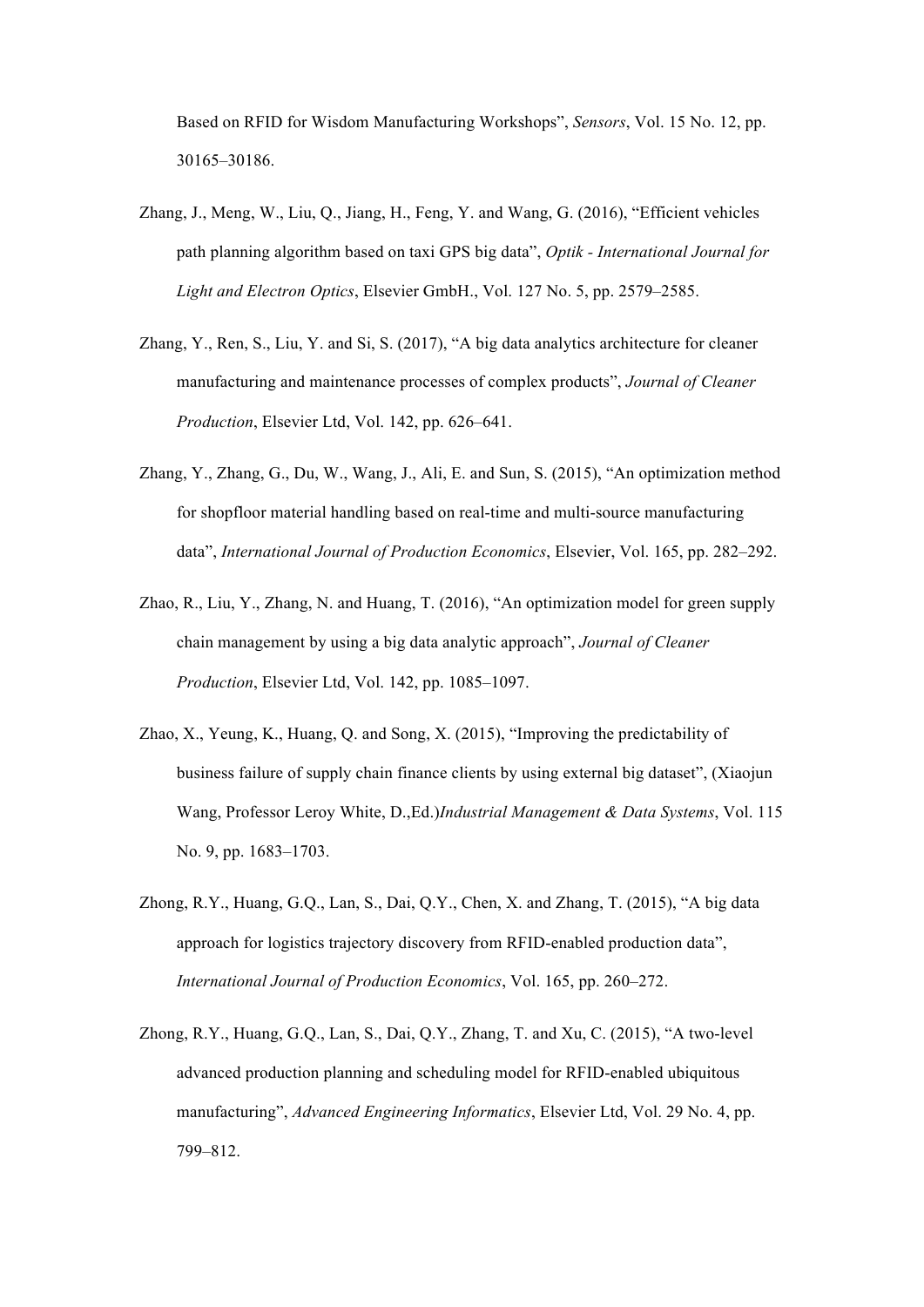Based on RFID for Wisdom Manufacturing Workshops", *Sensors*, Vol. 15 No. 12, pp. 30165–30186.

- Zhang, J., Meng, W., Liu, Q., Jiang, H., Feng, Y. and Wang, G. (2016), "Efficient vehicles path planning algorithm based on taxi GPS big data", *Optik - International Journal for Light and Electron Optics*, Elsevier GmbH., Vol. 127 No. 5, pp. 2579–2585.
- Zhang, Y., Ren, S., Liu, Y. and Si, S. (2017), "A big data analytics architecture for cleaner manufacturing and maintenance processes of complex products", *Journal of Cleaner Production*, Elsevier Ltd, Vol. 142, pp. 626–641.
- Zhang, Y., Zhang, G., Du, W., Wang, J., Ali, E. and Sun, S. (2015), "An optimization method for shopfloor material handling based on real-time and multi-source manufacturing data", *International Journal of Production Economics*, Elsevier, Vol. 165, pp. 282–292.
- Zhao, R., Liu, Y., Zhang, N. and Huang, T. (2016), "An optimization model for green supply chain management by using a big data analytic approach", *Journal of Cleaner Production*, Elsevier Ltd, Vol. 142, pp. 1085–1097.
- Zhao, X., Yeung, K., Huang, Q. and Song, X. (2015), "Improving the predictability of business failure of supply chain finance clients by using external big dataset", (Xiaojun Wang, Professor Leroy White, D.,Ed.)*Industrial Management & Data Systems*, Vol. 115 No. 9, pp. 1683–1703.
- Zhong, R.Y., Huang, G.Q., Lan, S., Dai, Q.Y., Chen, X. and Zhang, T. (2015), "A big data approach for logistics trajectory discovery from RFID-enabled production data", *International Journal of Production Economics*, Vol. 165, pp. 260–272.
- Zhong, R.Y., Huang, G.Q., Lan, S., Dai, Q.Y., Zhang, T. and Xu, C. (2015), "A two-level advanced production planning and scheduling model for RFID-enabled ubiquitous manufacturing", *Advanced Engineering Informatics*, Elsevier Ltd, Vol. 29 No. 4, pp. 799–812.